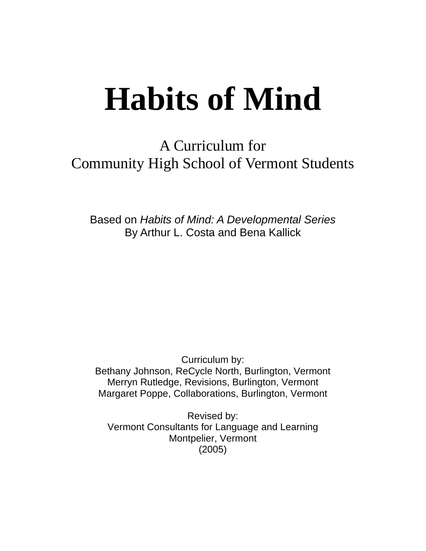# **Habits of Mind**

A Curriculum for Community High School of Vermont Students

Based on *Habits of Mind: A Developmental Series* By Arthur L. Costa and Bena Kallick

Curriculum by: Bethany Johnson, ReCycle North, Burlington, Vermont Merryn Rutledge, Revisions, Burlington, Vermont Margaret Poppe, Collaborations, Burlington, Vermont

Revised by: Vermont Consultants for Language and Learning Montpelier, Vermont (2005)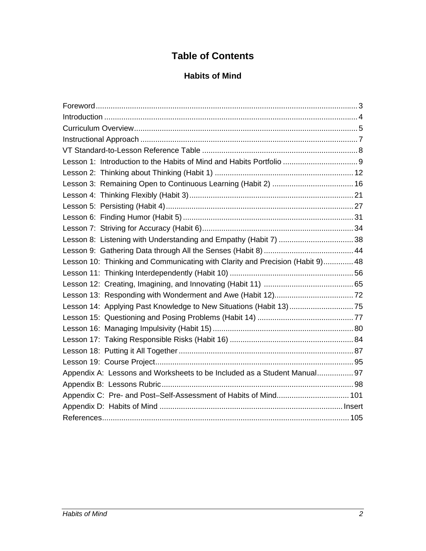# **Table of Contents**

## **Habits of Mind**

| Lesson 10: Thinking and Communicating with Clarity and Precision (Habit 9) 48 |  |  |  |  |  |  |  |
|-------------------------------------------------------------------------------|--|--|--|--|--|--|--|
|                                                                               |  |  |  |  |  |  |  |
|                                                                               |  |  |  |  |  |  |  |
|                                                                               |  |  |  |  |  |  |  |
| Lesson 14: Applying Past Knowledge to New Situations (Habit 13)75             |  |  |  |  |  |  |  |
|                                                                               |  |  |  |  |  |  |  |
|                                                                               |  |  |  |  |  |  |  |
|                                                                               |  |  |  |  |  |  |  |
|                                                                               |  |  |  |  |  |  |  |
|                                                                               |  |  |  |  |  |  |  |
| Appendix A: Lessons and Worksheets to be Included as a Student Manual 97      |  |  |  |  |  |  |  |
|                                                                               |  |  |  |  |  |  |  |
| Appendix C: Pre- and Post-Self-Assessment of Habits of Mind 101               |  |  |  |  |  |  |  |
|                                                                               |  |  |  |  |  |  |  |
|                                                                               |  |  |  |  |  |  |  |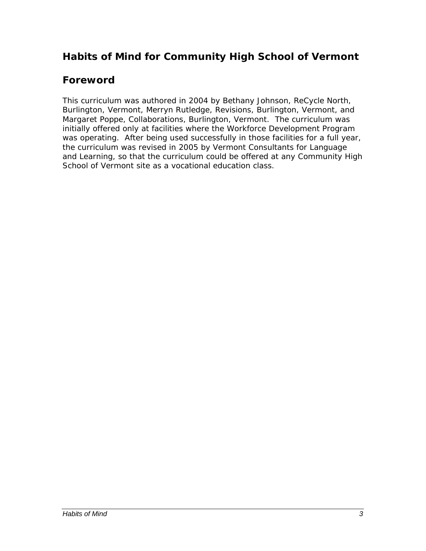# **Habits of Mind for Community High School of Vermont**

# **Foreword**

This curriculum was authored in 2004 by Bethany Johnson, ReCycle North, Burlington, Vermont, Merryn Rutledge, Revisions, Burlington, Vermont, and Margaret Poppe, Collaborations, Burlington, Vermont. The curriculum was initially offered only at facilities where the Workforce Development Program was operating. After being used successfully in those facilities for a full year, the curriculum was revised in 2005 by Vermont Consultants for Language and Learning, so that the curriculum could be offered at any Community High School of Vermont site as a vocational education class.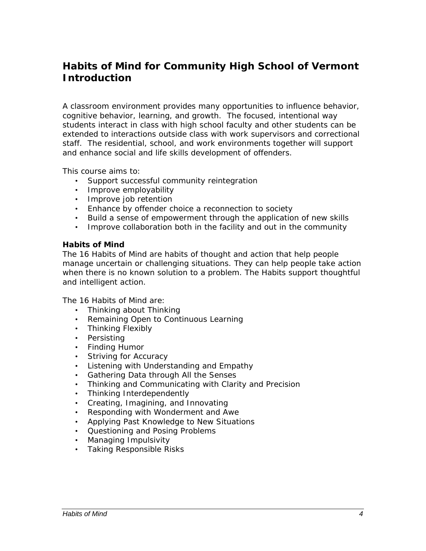# **Habits of Mind for Community High School of Vermont Introduction**

A classroom environment provides many opportunities to influence behavior, cognitive behavior, learning, and growth. The focused, intentional way students interact in class with high school faculty and other students can be extended to interactions outside class with work supervisors and correctional staff. The residential, school, and work environments together will support and enhance social and life skills development of offenders.

This course aims to:

- Support successful community reintegration
- Improve employability
- Improve job retention
- Enhance by offender choice a reconnection to society
- Build a sense of empowerment through the application of new skills
- Improve collaboration both in the facility and out in the community

#### *Habits of Mind*

The 16 Habits of Mind are habits of thought and action that help people manage uncertain or challenging situations. They can help people take action when there is no known solution to a problem. The Habits support thoughtful and intelligent action.

The 16 Habits of Mind are:

- Thinking about Thinking
- Remaining Open to Continuous Learning
- Thinking Flexibly
- Persisting
- Finding Humor
- Striving for Accuracy
- Listening with Understanding and Empathy
- Gathering Data through All the Senses
- Thinking and Communicating with Clarity and Precision
- Thinking Interdependently
- Creating, Imagining, and Innovating
- Responding with Wonderment and Awe
- Applying Past Knowledge to New Situations
- Questioning and Posing Problems
- Managing Impulsivity
- Taking Responsible Risks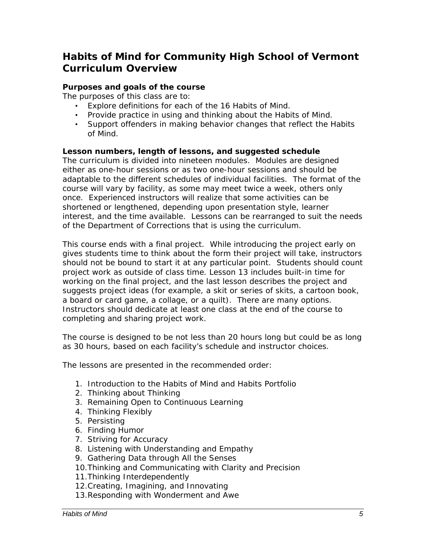# **Habits of Mind for Community High School of Vermont Curriculum Overview**

#### *Purposes and goals of the course*

The purposes of this class are to:

- Explore definitions for each of the 16 Habits of Mind.
- Provide practice in using and thinking about the Habits of Mind.
- Support offenders in making behavior changes that reflect the Habits of Mind.

#### *Lesson numbers, length of lessons, and suggested schedule*

The curriculum is divided into nineteen modules. Modules are designed either as one-hour sessions or as two one-hour sessions and should be adaptable to the different schedules of individual facilities. The format of the course will vary by facility, as some may meet twice a week, others only once. Experienced instructors will realize that some activities can be shortened or lengthened, depending upon presentation style, learner interest, and the time available. Lessons can be rearranged to suit the needs of the Department of Corrections that is using the curriculum.

This course ends with a final project. While introducing the project early on gives students time to think about the form their project will take, instructors should not be bound to start it at any particular point. Students should count project work as outside of class time. Lesson 13 includes built-in time for working on the final project, and the last lesson describes the project and suggests project ideas (for example, a skit or series of skits, a cartoon book, a board or card game, a collage, or a quilt). There are many options. Instructors should dedicate at least one class at the end of the course to completing and sharing project work.

The course is designed to be not less than 20 hours long but could be as long as 30 hours, based on each facility's schedule and instructor choices.

The lessons are presented in the recommended order:

- 1. Introduction to the Habits of Mind and Habits Portfolio
- 2. Thinking about Thinking
- 3. Remaining Open to Continuous Learning
- 4. Thinking Flexibly
- 5. Persisting
- 6. Finding Humor
- 7. Striving for Accuracy
- 8. Listening with Understanding and Empathy
- 9. Gathering Data through All the Senses
- 10.Thinking and Communicating with Clarity and Precision
- 11.Thinking Interdependently
- 12.Creating, Imagining, and Innovating
- 13.Responding with Wonderment and Awe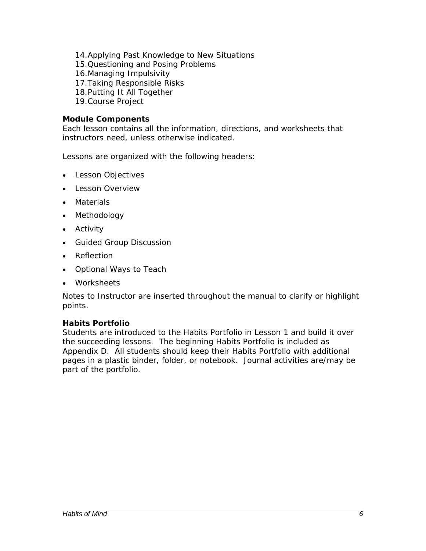- 14.Applying Past Knowledge to New Situations
- 15.Questioning and Posing Problems
- 16.Managing Impulsivity
- 17.Taking Responsible Risks
- 18.Putting It All Together
- 19.Course Project

#### *Module Components*

Each lesson contains all the information, directions, and worksheets that instructors need, unless otherwise indicated.

Lessons are organized with the following headers:

- Lesson Objectives
- Lesson Overview
- Materials
- Methodology
- Activity
- Guided Group Discussion
- Reflection
- Optional Ways to Teach
- Worksheets

Notes to Instructor are inserted throughout the manual to clarify or highlight points.

#### *Habits Portfolio*

Students are introduced to the Habits Portfolio in Lesson 1 and build it over the succeeding lessons. The beginning Habits Portfolio is included as Appendix D. All students should keep their Habits Portfolio with additional pages in a plastic binder, folder, or notebook. Journal activities are/may be part of the portfolio.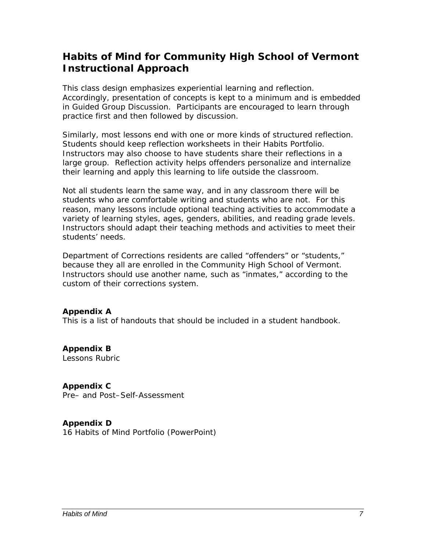# **Habits of Mind for Community High School of Vermont Instructional Approach**

This class design emphasizes experiential learning and reflection. Accordingly, presentation of concepts is kept to a minimum and is embedded in Guided Group Discussion. Participants are encouraged to learn through practice first and then followed by discussion.

Similarly, most lessons end with one or more kinds of structured reflection. Students should keep reflection worksheets in their Habits Portfolio. Instructors may also choose to have students share their reflections in a large group. Reflection activity helps offenders personalize and internalize their learning and apply this learning to life outside the classroom.

Not all students learn the same way, and in any classroom there will be students who are comfortable writing and students who are not. For this reason, many lessons include optional teaching activities to accommodate a variety of learning styles, ages, genders, abilities, and reading grade levels. Instructors should adapt their teaching methods and activities to meet their students' needs.

Department of Corrections residents are called "offenders" or "students," because they all are enrolled in the Community High School of Vermont. Instructors should use another name, such as "inmates," according to the custom of their corrections system.

#### *Appendix A*

This is a list of handouts that should be included in a student handbook.

*Appendix B*  Lessons Rubric

*Appendix C*  Pre– and Post–Self-Assessment

*Appendix D*  16 Habits of Mind Portfolio (PowerPoint)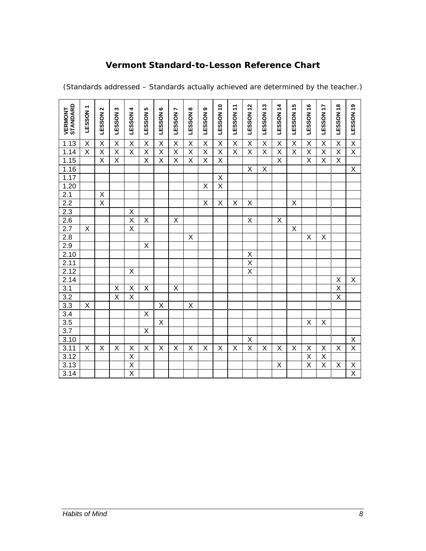## **Vermont Standard-to-Lesson Reference Chart**

|                                                          | ٣                       | N                       | ω                       | 4                       | ю                       | ဖ                       | r                       | ထ                       | თ                       |                         |                         | $\frac{2}{3}$           | 13                      |                         |                         |                         | 17                      | $\frac{8}{1}$           |                         |
|----------------------------------------------------------|-------------------------|-------------------------|-------------------------|-------------------------|-------------------------|-------------------------|-------------------------|-------------------------|-------------------------|-------------------------|-------------------------|-------------------------|-------------------------|-------------------------|-------------------------|-------------------------|-------------------------|-------------------------|-------------------------|
| <b>VERMONT<br/>STANDARD</b>                              | LESSON                  | LESSON                  | LESSON                  | <b>LESSON</b>           | LESSON                  | LESSON                  | LESSON                  | <b>LESSON</b>           | LESSON                  | LESSON 10               | LESSON 11               | LESSON                  | LESSON                  | <b>LESSON 14</b>        | LESSON 15               | LESSON 16               | <b>LESSON</b>           | <b>LESSON</b>           | LESSON 19               |
|                                                          |                         |                         |                         |                         |                         |                         |                         |                         |                         |                         |                         |                         |                         |                         |                         |                         |                         |                         |                         |
| 1.13                                                     | X                       | $\mathsf X$             | X                       | $\mathsf X$             | Χ                       | Χ                       | Χ                       | Χ                       | $\mathsf X$             | $\mathsf X$             | $\sf X$                 | X                       | $\mathsf X$             | $\sf X$                 | $\sf X$                 | $\mathsf X$             | X                       | X                       | $\overline{X}$          |
| 1.14                                                     | $\overline{\mathsf{X}}$ | Χ                       | $\overline{\mathsf{x}}$ | $\overline{\mathsf{x}}$ | $\overline{\mathsf{x}}$ | $\overline{\mathsf{x}}$ | $\overline{\mathsf{x}}$ | $\overline{\mathsf{x}}$ | $\overline{\mathsf{X}}$ | $\overline{\mathsf{x}}$ | $\overline{\mathsf{X}}$ | $\overline{\mathsf{x}}$ | $\overline{\mathsf{x}}$ | $\overline{\mathsf{x}}$ | $\overline{\mathsf{x}}$ | $\overline{\mathsf{x}}$ | $\overline{\mathsf{x}}$ | $\overline{\mathsf{x}}$ | $\overline{\mathsf{X}}$ |
| 1.15                                                     |                         | X                       | $\overline{X}$          |                         | X                       | X                       | X                       | X                       | $\overline{\mathsf{x}}$ | X                       |                         |                         |                         | $\overline{\mathsf{x}}$ |                         | $\overline{\mathsf{x}}$ | $\overline{\mathsf{x}}$ | X                       |                         |
| 1.16                                                     |                         |                         |                         |                         |                         |                         |                         |                         |                         |                         |                         | X                       | X                       |                         |                         |                         |                         |                         | $\mathsf X$             |
| 1.17                                                     |                         |                         |                         |                         |                         |                         |                         |                         |                         | $\overline{\mathsf{x}}$ |                         |                         |                         |                         |                         |                         |                         |                         |                         |
| 1.20                                                     |                         |                         |                         |                         |                         |                         |                         |                         | Χ                       | $\overline{\mathsf{X}}$ |                         |                         |                         |                         |                         |                         |                         |                         |                         |
| 2.1                                                      |                         | X                       |                         |                         |                         |                         |                         |                         |                         |                         |                         |                         |                         |                         |                         |                         |                         |                         |                         |
| $\frac{2.2}{2.3}$                                        |                         | $\overline{\mathsf{x}}$ |                         |                         |                         |                         |                         |                         | $\overline{\mathsf{X}}$ | $\overline{\mathsf{X}}$ | X                       | X                       |                         |                         | $\overline{\mathsf{X}}$ |                         |                         |                         |                         |
|                                                          |                         |                         |                         | $\mathsf X$             |                         |                         |                         |                         |                         |                         |                         |                         |                         |                         |                         |                         |                         |                         |                         |
| $\frac{2.6}{2.7}$                                        |                         |                         |                         | $\overline{\mathsf{x}}$ | X                       |                         | X                       |                         |                         |                         |                         | X                       |                         | X                       |                         |                         |                         |                         |                         |
|                                                          | X                       |                         |                         | $\overline{\mathsf{x}}$ |                         |                         |                         |                         |                         |                         |                         |                         |                         |                         | $\overline{\mathsf{x}}$ |                         |                         |                         |                         |
| $\frac{2.8}{2.9}$ $\frac{2.9}{2.10}$ $\frac{2.11}{2.11}$ |                         |                         |                         |                         |                         |                         |                         | $\sf X$                 |                         |                         |                         |                         |                         |                         |                         | $\pmb{\mathsf{X}}$      | X                       |                         |                         |
|                                                          |                         |                         |                         |                         | Χ                       |                         |                         |                         |                         |                         |                         |                         |                         |                         |                         |                         |                         |                         |                         |
|                                                          |                         |                         |                         |                         |                         |                         |                         |                         |                         |                         |                         | $\overline{X}$          |                         |                         |                         |                         |                         |                         |                         |
|                                                          |                         |                         |                         |                         |                         |                         |                         |                         |                         |                         |                         | $\overline{\mathsf{x}}$ |                         |                         |                         |                         |                         |                         |                         |
| 2.12                                                     |                         |                         |                         | $\mathsf X$             |                         |                         |                         |                         |                         |                         |                         | $\overline{\mathsf{x}}$ |                         |                         |                         |                         |                         |                         |                         |
| 2.14                                                     |                         |                         |                         |                         |                         |                         |                         |                         |                         |                         |                         |                         |                         |                         |                         |                         |                         | Χ                       | X                       |
| 3.1                                                      |                         |                         | $\pmb{\mathsf{X}}$      | $\mathsf X$             | $\sf X$                 |                         | X                       |                         |                         |                         |                         |                         |                         |                         |                         |                         |                         | $\overline{\mathsf{x}}$ |                         |
| 3.2                                                      |                         |                         | $\overline{\mathsf{x}}$ | $\overline{\mathsf{X}}$ |                         |                         |                         |                         |                         |                         |                         |                         |                         |                         |                         |                         |                         | $\overline{\mathsf{x}}$ |                         |
| 3.3                                                      | Χ                       |                         |                         |                         |                         | $\overline{X}$          |                         | X                       |                         |                         |                         |                         |                         |                         |                         |                         |                         |                         |                         |
| 3.4                                                      |                         |                         |                         |                         | $\overline{\mathsf{x}}$ |                         |                         |                         |                         |                         |                         |                         |                         |                         |                         |                         |                         |                         |                         |
| 3.5                                                      |                         |                         |                         |                         |                         | X                       |                         |                         |                         |                         |                         |                         |                         |                         |                         | X                       | Χ                       |                         |                         |
| $\overline{3.7}$                                         |                         |                         |                         |                         | $\overline{\mathsf{x}}$ |                         |                         |                         |                         |                         |                         |                         |                         |                         |                         |                         |                         |                         |                         |
| 3.10                                                     |                         |                         |                         |                         |                         |                         |                         |                         |                         |                         |                         | X                       |                         |                         |                         |                         |                         |                         | X                       |
| 3.11                                                     | X                       | $\sf X$                 | X                       | $\underline{X}$         | $\sf X$                 | X                       | $\sf X$                 | $\sf X$                 | X                       | X                       | $\sf X$                 | $\overline{\mathsf{x}}$ | X                       | $\sf X$                 | $\sf X$                 | X                       | X                       | $\sf X$                 | $\overline{\mathsf{x}}$ |
| 3.12                                                     |                         |                         |                         | $\overline{\mathsf{x}}$ |                         |                         |                         |                         |                         |                         |                         |                         |                         |                         |                         | $\overline{\mathsf{x}}$ | $\overline{\mathsf{x}}$ |                         |                         |
| 3.13                                                     |                         |                         |                         | $\overline{X}$          |                         |                         |                         |                         |                         |                         |                         |                         |                         | Χ                       |                         | $\overline{\mathsf{x}}$ | Χ                       | Χ                       |                         |
| 3.14                                                     |                         |                         |                         | $\overline{\mathsf{x}}$ |                         |                         |                         |                         |                         |                         |                         |                         |                         |                         |                         |                         |                         |                         | $\frac{x}{x}$           |

(Standards addressed – Standards actually achieved are determined by the teacher.)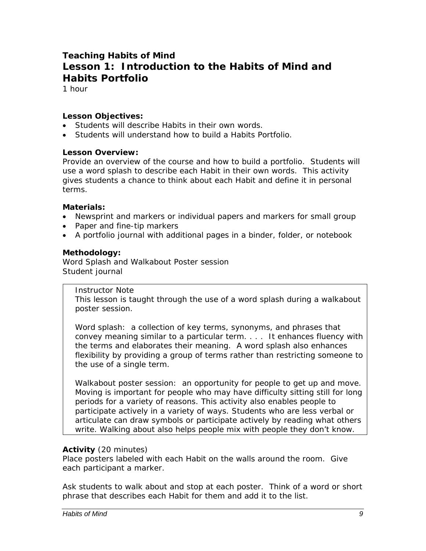## **Teaching Habits of Mind Lesson 1: Introduction to the Habits of Mind and Habits Portfolio**

1 hour

#### *Lesson Objectives:*

- Students will describe Habits in their own words.
- Students will understand how to build a Habits Portfolio.

#### *Lesson Overview:*

Provide an overview of the course and how to build a portfolio. Students will use a word splash to describe each Habit in their own words. This activity gives students a chance to think about each Habit and define it in personal terms.

#### *Materials:*

- Newsprint and markers or individual papers and markers for small group
- Paper and fine-tip markers
- A portfolio journal with additional pages in a binder, folder, or notebook

#### *Methodology:*

Word Splash and Walkabout Poster session Student journal

*Instructor Note* 

This lesson is taught through the use of a word splash during a walkabout poster session.

*Word splash*: a collection of key terms, synonyms, and phrases that convey meaning similar to a particular term. . . . It enhances fluency with the terms and elaborates their meaning. A word splash also enhances flexibility by providing a group of terms rather than restricting someone to the use of a single term.

*Walkabout poster session*: an opportunity for people to get up and move. Moving is important for people who may have difficulty sitting still for long periods for a variety of reasons. This activity also enables people to participate actively in a variety of ways. Students who are less verbal or articulate can draw symbols or participate actively by reading what others write. Walking about also helps people mix with people they don't know.

#### *Activity* (20 minutes)

Place posters labeled with each Habit on the walls around the room. Give each participant a marker.

Ask students to walk about and stop at each poster. Think of a word or short phrase that describes each Habit for them and add it to the list.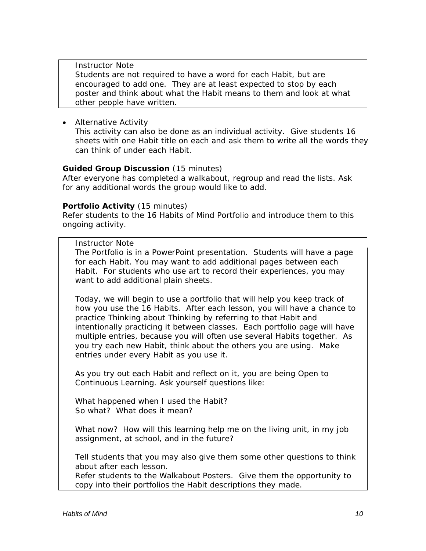#### *Instructor Note*

Students are not required to have a word for each Habit, but are encouraged to add one. They are at least expected to stop by each poster and think about what the Habit means to them and look at what other people have written.

• *Alternative Activity*

This activity can also be done as an individual activity. Give students 16 sheets with one Habit title on each and ask them to write all the words they can think of under each Habit.

#### *Guided Group Discussion* (15 minutes)

After everyone has completed a walkabout, regroup and read the lists. Ask for any additional words the group would like to add.

#### *Portfolio Activity* (15 minutes)

Refer students to the 16 Habits of Mind Portfolio and introduce them to this ongoing activity.

#### *Instructor Note*

The Portfolio is in a PowerPoint presentation. Students will have a page for each Habit. You may want to add additional pages between each Habit. For students who use art to record their experiences, you may want to add additional plain sheets.

*Today, we will begin to use a portfolio that will help you keep track of how you use the 16 Habits. After each lesson, you will have a chance to practice Thinking about Thinking by referring to that Habit and intentionally practicing it between classes. Each portfolio page will have multiple entries, because you will often use several Habits together. As you try each new Habit, think about the others you are using. Make entries under every Habit as you use it.* 

*As you try out each Habit and reflect on it, you are being Open to Continuous Learning. Ask yourself questions like:* 

*What happened when I used the Habit? So what? What does it mean?* 

*What now? How will this learning help me on the living unit, in my job assignment, at school, and in the future?* 

*Tell students that you may also give them some other questions to think about after each lesson.* 

Refer students to the Walkabout Posters. Give them the opportunity to copy into their portfolios the Habit descriptions they made.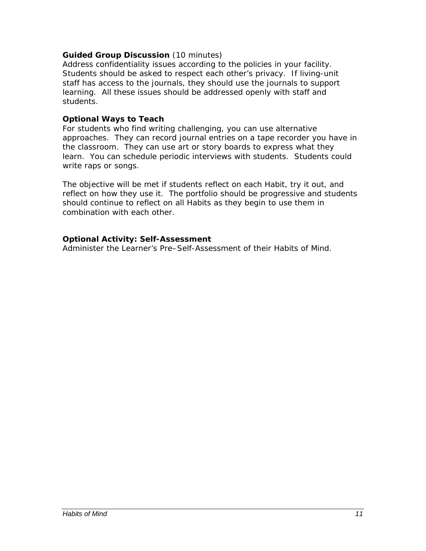#### *Guided Group Discussion* (10 minutes)

Address confidentiality issues according to the policies in your facility. Students should be asked to respect each other's privacy. If living-unit staff has access to the journals, they should use the journals to support learning. All these issues should be addressed openly with staff and students.

#### *Optional Ways to Teach*

For students who find writing challenging, you can use alternative approaches. They can record journal entries on a tape recorder you have in the classroom. They can use art or story boards to express what they learn. You can schedule periodic interviews with students. Students could write raps or songs.

The objective will be met if students reflect on each Habit, try it out, and reflect on how they use it. The portfolio should be progressive and students should continue to reflect on all Habits as they begin to use them in combination with each other.

#### *Optional Activity: Self-Assessment*

Administer the Learner's Pre–Self-Assessment of their Habits of Mind.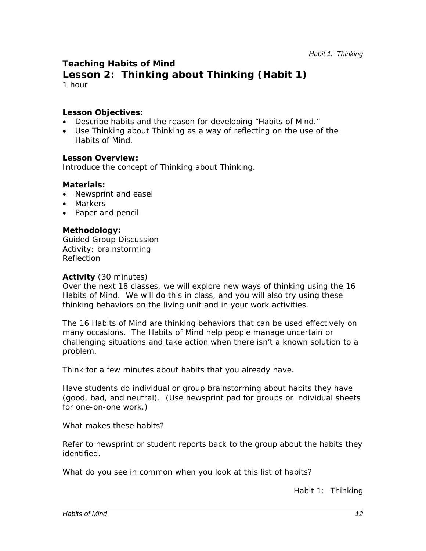## **Teaching Habits of Mind**

**Lesson 2: Thinking about Thinking (Habit 1)** 1 hour

#### *Lesson Objectives:*

- Describe habits and the reason for developing "Habits of Mind."
- Use Thinking about Thinking as a way of reflecting on the use of the Habits of Mind.

#### *Lesson Overview:*

Introduce the concept of Thinking about Thinking.

#### *Materials:*

- Newsprint and easel
- Markers
- Paper and pencil

#### *Methodology:*

Guided Group Discussion Activity: brainstorming Reflection

#### *Activity* (30 minutes)

*Over the next 18 classes, we will explore new ways of thinking using the 16 Habits of Mind. We will do this in class, and you will also try using these thinking behaviors on the living unit and in your work activities.* 

*The 16 Habits of Mind are thinking behaviors that can be used effectively on many occasions. The Habits of Mind help people manage uncertain or challenging situations and take action when there isn't a known solution to a problem.* 

*Think for a few minutes about habits that you already have.*

Have students do individual or group brainstorming about habits they have (good, bad, and neutral). (Use newsprint pad for groups or individual sheets for one-on-one work.)

#### *What makes these habits?*

Refer to newsprint or student reports back to the group about the habits they identified.

*What do you see in common when you look at this list of habits?*

*Habit 1: Thinking*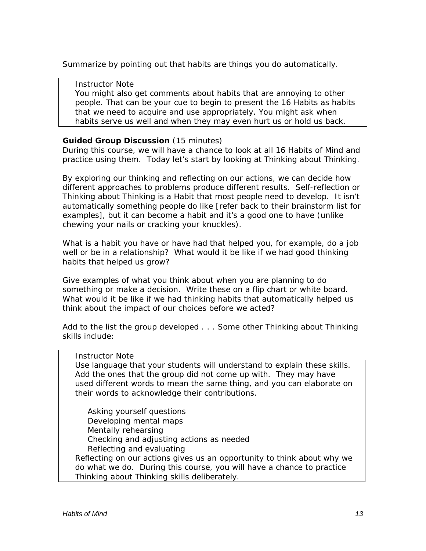Summarize by pointing out that habits are things you do automatically.

#### *Instructor Note*

You might also get comments about habits that are annoying to other people. That can be your cue to begin to present the 16 Habits as habits that we need to acquire and use appropriately. You might ask when habits serve us well and when they may even hurt us or hold us back.

#### *Guided Group Discussion* (15 minutes)

*During this course, we will have a chance to look at all 16 Habits of Mind and practice using them. Today let's start by looking at Thinking about Thinking.* 

*By exploring our thinking and reflecting on our actions, we can decide how different approaches to problems produce different results. Self-reflection or Thinking about Thinking is a Habit that most people need to develop. It isn't automatically something people do like* [refer back to their brainstorm list for examples]*, but it can become a habit and it's a good one to have (unlike chewing your nails or cracking your knuckles).*

*What is a habit you have or have had that helped you, for example, do a job well or be in a relationship? What would it be like if we had good thinking habits that helped us grow?* 

*Give examples of what you think about when you are planning to do something or make a decision.* Write these on a flip chart or white board. *What would it be like if we had thinking habits that automatically helped us think about the impact of our choices before we acted?* 

Add to the list the group developed . . . *Some other Thinking about Thinking skills include:* 

#### *Instructor Note*

Use language that your students will understand to explain these skills. Add the ones that the group did not come up with. They may have used different words to mean the same thing, and you can elaborate on their words to acknowledge their contributions.

Asking yourself questions Developing mental maps Mentally rehearsing Checking and adjusting actions as needed Reflecting and evaluating *Reflecting on our actions gives us an opportunity to think about why we do what we do. During this course, you will have a chance to practice Thinking about Thinking skills deliberately.*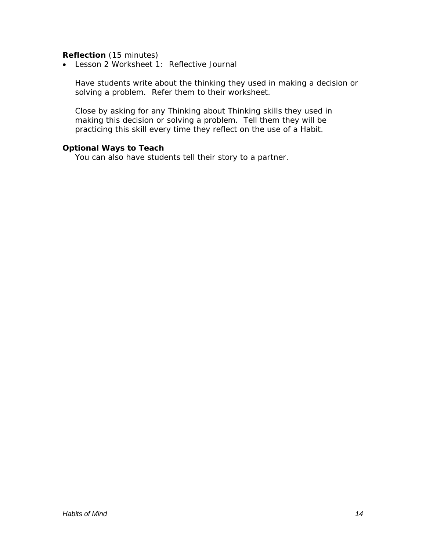#### *Reflection* (15 minutes)

• Lesson 2 Worksheet 1: Reflective Journal

Have students write about the thinking they used in making a decision or solving a problem. Refer them to their worksheet.

Close by asking for any Thinking about Thinking skills they used in making this decision or solving a problem. Tell them they will be practicing this skill every time they reflect on the use of a Habit.

#### *Optional Ways to Teach*

You can also have students tell their story to a partner.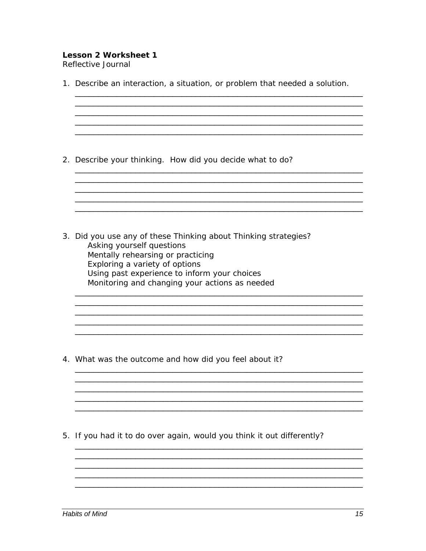# **Lesson 2 Worksheet 1**

Reflective Journal

|    | 1. Describe an interaction, a situation, or problem that needed a solution.                                                                                                                                                                                           |
|----|-----------------------------------------------------------------------------------------------------------------------------------------------------------------------------------------------------------------------------------------------------------------------|
|    | 2. Describe your thinking. How did you decide what to do?                                                                                                                                                                                                             |
|    | 3. Did you use any of these Thinking about Thinking strategies?<br>Asking yourself questions<br>Mentally rehearsing or practicing<br>Exploring a variety of options<br>Using past experience to inform your choices<br>Monitoring and changing your actions as needed |
|    | 4. What was the outcome and how did you feel about it?                                                                                                                                                                                                                |
| 5. | If you had it to do over again, would you think it out differently?                                                                                                                                                                                                   |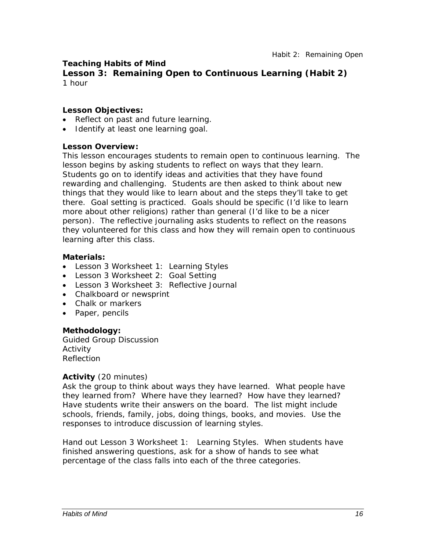#### **Teaching Habits of Mind**

**Lesson 3: Remaining Open to Continuous Learning (Habit 2)** 1 hour

#### *Lesson Objectives:*

- Reflect on past and future learning.
- Identify at least one learning goal.

#### *Lesson Overview:*

This lesson encourages students to remain open to continuous learning. The lesson begins by asking students to reflect on ways that they learn. Students go on to identify ideas and activities that they have found rewarding and challenging. Students are then asked to think about new things that they would like to learn about and the steps they'll take to get there. Goal setting is practiced. Goals should be specific (I'd like to learn more about other religions) rather than general (I'd like to be a nicer person). The reflective journaling asks students to reflect on the reasons they volunteered for this class and how they will remain open to continuous learning after this class.

#### *Materials:*

- Lesson 3 Worksheet 1: Learning Styles
- Lesson 3 Worksheet 2: Goal Setting
- Lesson 3 Worksheet 3: Reflective Journal
- Chalkboard or newsprint
- Chalk or markers
- Paper, pencils

#### *Methodology:*

Guided Group Discussion Activity Reflection

#### *Activity* (20 minutes)

Ask the group to think about ways they have learned. What people have they learned from? Where have they learned? How have they learned? Have students write their answers on the board. The list might include schools, friends, family, jobs, doing things, books, and movies. Use the responses to introduce discussion of learning styles.

Hand out Lesson 3 Worksheet 1: Learning Styles. When students have finished answering questions, ask for a show of hands to see what percentage of the class falls into each of the three categories.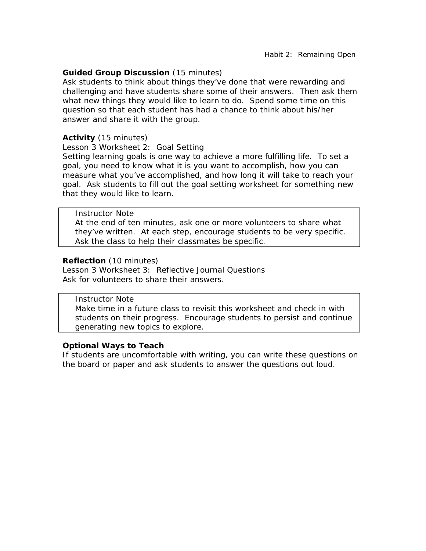#### *Guided Group Discussion* (15 minutes)

Ask students to think about things they've done that were rewarding and challenging and have students share some of their answers. Then ask them what new things they would like to learn to do. Spend some time on this question so that each student has had a chance to think about his/her answer and share it with the group.

#### *Activity* (15 minutes)

Lesson 3 Worksheet 2: Goal Setting

Setting learning goals is one way to achieve a more fulfilling life. To set a goal, you need to know what it is you want to accomplish, how you can measure what you've accomplished, and how long it will take to reach your goal. Ask students to fill out the goal setting worksheet for something new that they would like to learn.

#### *Instructor Note*

At the end of ten minutes, ask one or more volunteers to share what they've written. At each step, encourage students to be very specific. Ask the class to help their classmates be specific.

#### *Reflection* (10 minutes)

Lesson 3 Worksheet 3: Reflective Journal Questions Ask for volunteers to share their answers.

#### *Instructor Note*

Make time in a future class to revisit this worksheet and check in with students on their progress. Encourage students to persist and continue generating new topics to explore.

#### *Optional Ways to Teach*

If students are uncomfortable with writing, you can write these questions on the board or paper and ask students to answer the questions out loud.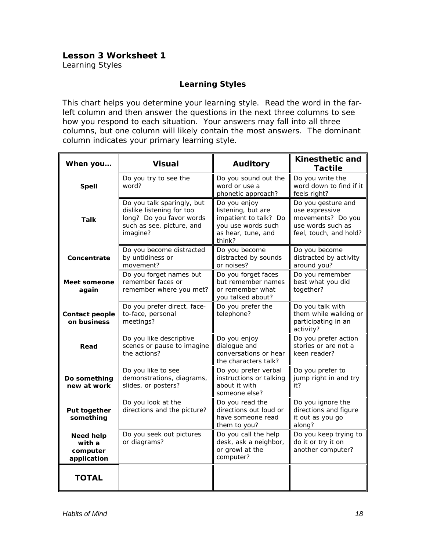## **Lesson 3 Worksheet 1**

Learning Styles

#### **Learning Styles**

This chart helps you determine your learning style. Read the word in the farleft column and then answer the questions in the next three columns to see how you respond to each situation. Your answers may fall into all three columns, but one column will likely contain the most answers. The dominant column indicates your primary learning style.

| When you                                              | <b>Visual</b>                                                                                                                | <b>Auditory</b>                                                                                                   | Kinesthetic and<br><b>Tactile</b>                                                                        |  |  |
|-------------------------------------------------------|------------------------------------------------------------------------------------------------------------------------------|-------------------------------------------------------------------------------------------------------------------|----------------------------------------------------------------------------------------------------------|--|--|
| <b>Spell</b>                                          | Do you try to see the<br>word?                                                                                               | Do you sound out the<br>word or use a<br>phonetic approach?                                                       | Do you write the<br>word down to find if it<br>feels right?                                              |  |  |
| <b>Talk</b>                                           | Do you talk sparingly, but<br>dislike listening for too<br>long? Do you favor words<br>such as see, picture, and<br>imagine? | Do you enjoy<br>listening, but are<br>impatient to talk? Do<br>you use words such<br>as hear, tune, and<br>think? | Do you gesture and<br>use expressive<br>movements? Do you<br>use words such as<br>feel, touch, and hold? |  |  |
| Concentrate                                           | Do you become distracted<br>by untidiness or<br>movement?                                                                    | Do you become<br>distracted by sounds<br>or noises?                                                               | Do you become<br>distracted by activity<br>around you?                                                   |  |  |
| Meet someone<br>again                                 | Do you forget names but<br>remember faces or<br>remember where you met?                                                      | Do you forget faces<br>but remember names<br>or remember what<br>you talked about?                                | Do you remember<br>best what you did<br>together?                                                        |  |  |
| Contact people<br>on business                         | Do you prefer direct, face-<br>to-face, personal<br>meetings?                                                                | Do you prefer the<br>telephone?                                                                                   | Do you talk with<br>them while walking or<br>participating in an<br>activity?                            |  |  |
| Read                                                  | Do you like descriptive<br>scenes or pause to imagine<br>the actions?                                                        | Do you enjoy<br>dialogue and<br>conversations or hear<br>the characters talk?                                     | Do you prefer action<br>stories or are not a<br>keen reader?                                             |  |  |
| Do something<br>new at work                           | Do you like to see<br>demonstrations, diagrams,<br>slides, or posters?                                                       | Do you prefer verbal<br>instructions or talking<br>about it with<br>someone else?                                 | Do you prefer to<br>jump right in and try<br>it?                                                         |  |  |
| Put together<br>something                             | Do you look at the<br>directions and the picture?                                                                            | Do you read the<br>directions out loud or<br>have someone read<br>them to you?                                    | Do you ignore the<br>directions and figure<br>it out as you go<br>along?                                 |  |  |
| <b>Need help</b><br>with a<br>computer<br>application | Do you seek out pictures<br>or diagrams?                                                                                     | Do you call the help<br>desk, ask a neighbor,<br>or growl at the<br>computer?                                     | Do you keep trying to<br>do it or try it on<br>another computer?                                         |  |  |
| <b>TOTAL</b>                                          |                                                                                                                              |                                                                                                                   |                                                                                                          |  |  |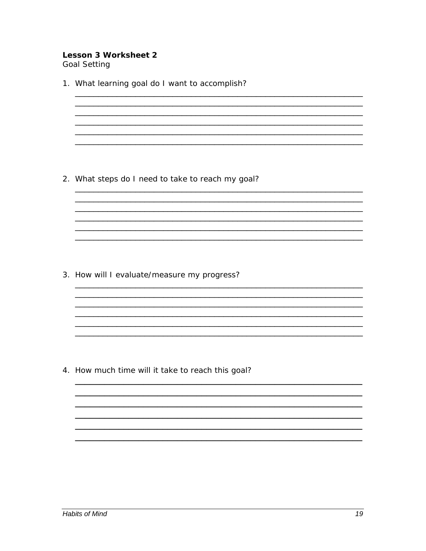#### **Lesson 3 Worksheet 2 Goal Setting**

1. What learning goal do I want to accomplish? <u> 1980 - Johann John Stone, mars eta biztanleria (h. 1980).</u> 2. What steps do I need to take to reach my goal? 3. How will I evaluate/measure my progress?

4. How much time will it take to reach this goal?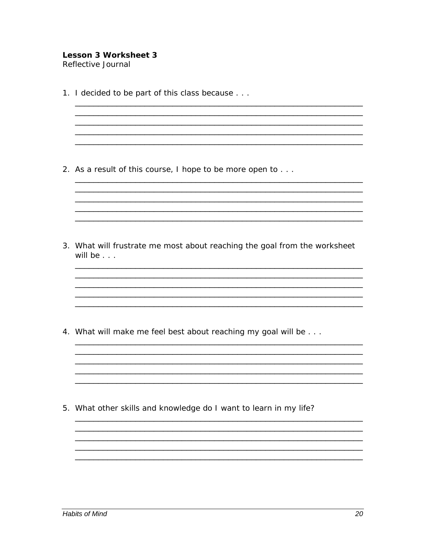#### **Lesson 3 Worksheet 3** Reflective Journal

1. I decided to be part of this class because . . .

2. As a result of this course, I hope to be more open to . . .

3. What will frustrate me most about reaching the goal from the worksheet will be  $\ldots$ 

<u> 1980 - Jan James James James James James James James James James James James James James James James James J</u>

<u> 1989 - Johann John Stone, mars et al. 1989 - John Stone, mars et al. 1989 - John Stone, mars et al. 1989 - John Stone</u>

4. What will make me feel best about reaching my goal will be . . .

5. What other skills and knowledge do I want to learn in my life?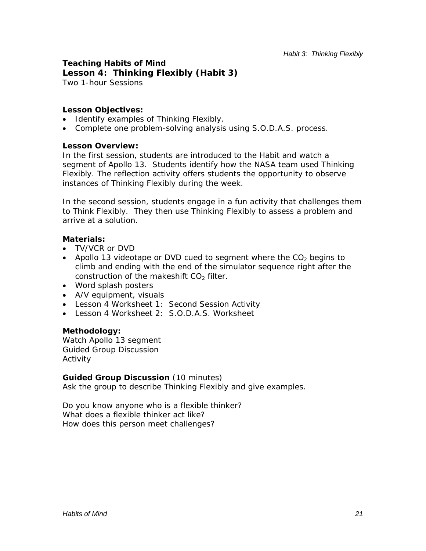#### **Teaching Habits of Mind Lesson 4: Thinking Flexibly (Habit 3)** Two 1-hour Sessions

#### *Lesson Objectives:*

- Identify examples of Thinking Flexibly.
- Complete one problem-solving analysis using S.O.D.A.S. process.

#### *Lesson Overview:*

In the first session, students are introduced to the Habit and watch a segment of *Apollo 13.* Students identify how the NASA team used Thinking Flexibly. The reflection activity offers students the opportunity to observe instances of Thinking Flexibly during the week.

In the second session, students engage in a fun activity that challenges them to Think Flexibly. They then use Thinking Flexibly to assess a problem and arrive at a solution.

#### *Materials:*

- TV/VCR or DVD
- *Apollo 13* videotape or DVD cued to segment where the CO<sub>2</sub> begins to climb and ending with the end of the simulator sequence right after the construction of the makeshift  $CO<sub>2</sub>$  filter.
- Word splash posters
- A/V equipment, visuals
- Lesson 4 Worksheet 1: Second Session Activity
- Lesson 4 Worksheet 2: S.O.D.A.S. Worksheet

#### *Methodology:*

Watch *Apollo 13* segment Guided Group Discussion Activity

#### *Guided Group Discussion* (10 minutes)

Ask the group to describe Thinking Flexibly and give examples.

*Do you know anyone who is a flexible thinker? What does a flexible thinker act like? How does this person meet challenges?*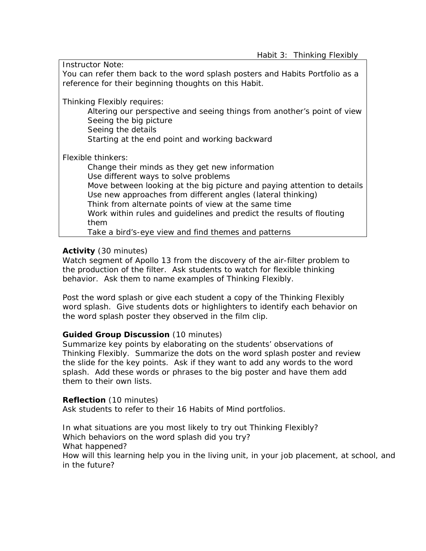*Instructor Note:* 

You can refer them back to the word splash posters and Habits Portfolio as a reference for their beginning thoughts on this Habit.

*Thinking Flexibly requires:* 

Altering our perspective and seeing things from another's point of view Seeing the big picture Seeing the details

Starting at the end point and working backward

Flexible thinkers:

Change their minds as they get new information Use different ways to solve problems Move between looking at the big picture and paying attention to details Use new approaches from different angles (lateral thinking) Think from alternate points of view at the same time Work within rules and guidelines and predict the results of flouting them

Take a bird's-eye view and find themes and patterns

#### *Activity* (30 minutes)

Watch segment of *Apollo 13* from the discovery of the air-filter problem to the production of the filter. Ask students to watch for flexible thinking behavior. Ask them to name examples of Thinking Flexibly.

Post the word splash or give each student a copy of the Thinking Flexibly word splash. Give students dots or highlighters to identify each behavior on the word splash poster they observed in the film clip.

#### *Guided Group Discussion* (10 minutes)

Summarize key points by elaborating on the students' observations of Thinking Flexibly. Summarize the dots on the word splash poster and review the slide for the key points. Ask if they want to add any words to the word splash. Add these words or phrases to the big poster and have them add them to their own lists.

#### *Reflection* (10 minutes)

Ask students to refer to their 16 Habits of Mind portfolios.

*In what situations are you most likely to try out Thinking Flexibly? Which behaviors on the word splash did you try? What happened? How will this learning help you in the living unit, in your job placement, at school, and in the future?*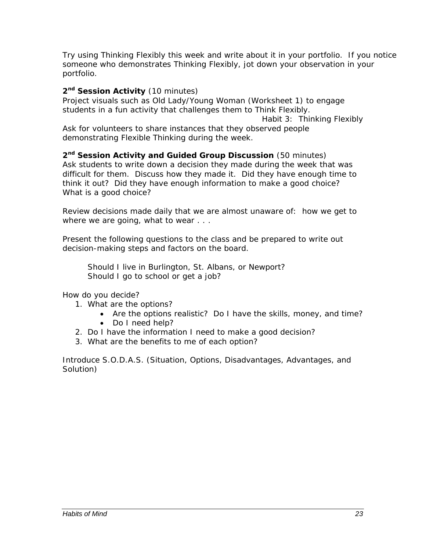*Try using Thinking Flexibly this week and write about it in your portfolio. If you notice someone who demonstrates Thinking Flexibly, jot down your observation in your portfolio.* 

#### 2<sup>nd</sup> Session Activity (10 minutes)

Project visuals such as *Old Lady/Young Woman* (Worksheet 1) to engage students in a fun activity that challenges them to Think Flexibly. *Habit 3: Thinking Flexibly* Ask for volunteers to share instances that they observed people demonstrating Flexible Thinking during the week.

*2nd Session Activity and Guided Group Discussion* (50 minutes) Ask students to write down a decision they made during the week that was difficult for them. Discuss how they made it. Did they have enough time to think it out? Did they have enough information to make a good choice? What is a good choice?

Review decisions made daily that we are almost unaware of: how we get to where we are going, what to wear . . .

Present the following questions to the class and be prepared to write out decision-making steps and factors on the board.

Should I live in Burlington, St. Albans, or Newport? Should I go to school or get a job?

How do you decide?

- 1. What are the options?
	- Are the options realistic? Do I have the skills, money, and time?
	- Do I need help?
- 2. Do I have the information I need to make a good decision?
- 3. What are the benefits to me of each option?

Introduce S.O.D.A.S. (Situation, Options, Disadvantages, Advantages, and Solution)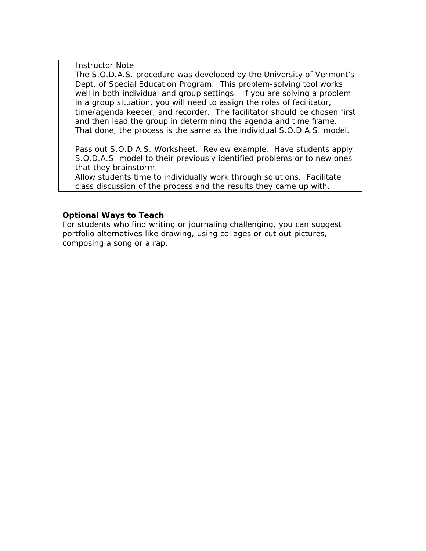*Instructor Note* 

The S.O.D.A.S. procedure was developed by the University of Vermont's Dept. of Special Education Program. This problem-solving tool works well in both individual and group settings. If you are solving a problem in a group situation, you will need to assign the roles of *facilitator, time/agenda keeper, and recorder*.The facilitator should be chosen first and then lead the group in determining the agenda and time frame. That done, the process is the same as the individual S.O.D.A.S. model.

Pass out S.O.D.A.S. Worksheet. Review example. Have students apply S.O.D.A.S. model to their previously identified problems or to new ones that they brainstorm.

Allow students time to individually work through solutions. Facilitate class discussion of the process and the results they came up with.

#### *Optional Ways to Teach*

For students who find writing or journaling challenging, you can suggest portfolio alternatives like drawing, using collages or cut out pictures, composing a song or a rap.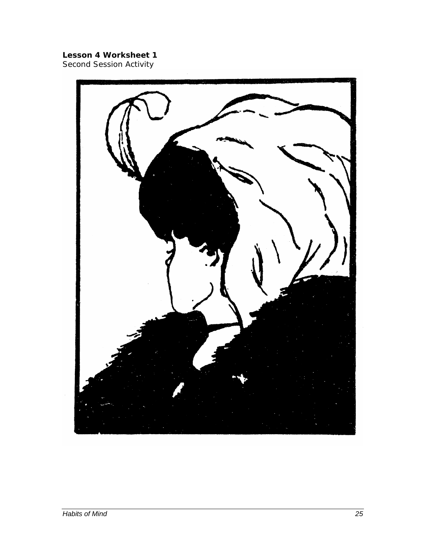# **Lesson 4 Worksheet 1**

Second Session Activity

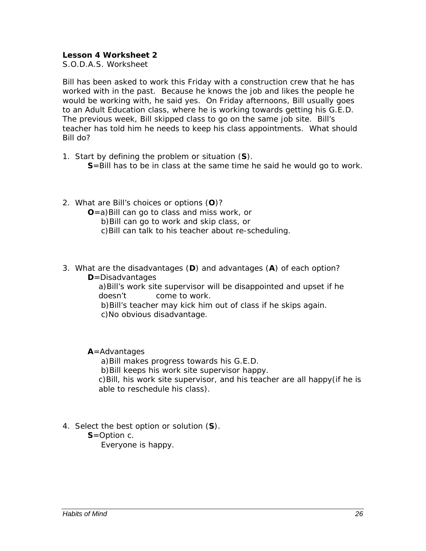#### **Lesson 4 Worksheet 2**

S.O.D.A.S. Worksheet

Bill has been asked to work this Friday with a construction crew that he has worked with in the past. Because he knows the job and likes the people he would be working with, he said yes. On Friday afternoons, Bill usually goes to an Adult Education class, where he is working towards getting his G.E.D. The previous week, Bill skipped class to go on the same job site. Bill's teacher has told him he needs to keep his class appointments. What should Bill do?

- 1. Start by defining the problem or situation (**S**). **S**=Bill has to be in class at the same time he said he would go to work.
- 2. What are Bill's choices or options (**O**)?
	- **O**=a)Bill can go to class and miss work, or
		- b)Bill can go to work and skip class, or
		- c)Bill can talk to his teacher about re-scheduling.
- 3. What are the disadvantages (**D**) and advantages (**A**) of each option? **D**=Disadvantages

a)Bill's work site supervisor will be disappointed and upset if he doesn't come to work.

 b)Bill's teacher may kick him out of class if he skips again. c)No obvious disadvantage.

#### **A**=Advantages

a)Bill makes progress towards his G.E.D.

b)Bill keeps his work site supervisor happy.

c)Bill, his work site supervisor, and his teacher are all happy(if he is able to reschedule his class).

- 4. Select the best option or solution (**S**).
	- **S**=Option c.

Everyone is happy.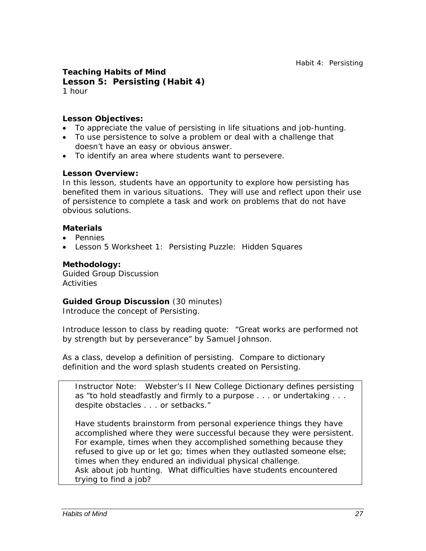#### **Teaching Habits of Mind Lesson 5: Persisting (Habit 4)**  1 hour

#### *Lesson Objectives:*

- To appreciate the value of persisting in life situations and job-hunting.
- To use persistence to solve a problem or deal with a challenge that doesn't have an easy or obvious answer.
- To identify an area where students want to persevere.

#### *Lesson Overview:*

In this lesson, students have an opportunity to explore how persisting has benefited them in various situations. They will use and reflect upon their use of persistence to complete a task and work on problems that do not have obvious solutions.

#### *Materials*

- Pennies
- Lesson 5 Worksheet 1: Persisting Puzzle: Hidden Squares

#### *Methodology:*

Guided Group Discussion **Activities** 

#### *Guided Group Discussion* (30 minutes)

Introduce the concept of Persisting.

Introduce lesson to class by reading quote: "Great works are performed not by strength but by perseverance" by Samuel Johnson.

As a class, develop a definition of persisting. Compare to dictionary definition and the word splash students created on Persisting.

*Instructor Note*: Webster's II New College Dictionary defines *persisting* as "to hold steadfastly and firmly to a purpose . . . or undertaking . . . despite obstacles . . . or setbacks."

Have students brainstorm from personal experience things they have accomplished where they were successful because they were persistent. For example, times when they accomplished something because they refused to give up or let go; times when they outlasted someone else; times when they endured an individual physical challenge. Ask about job hunting. What difficulties have students encountered trying to find a job?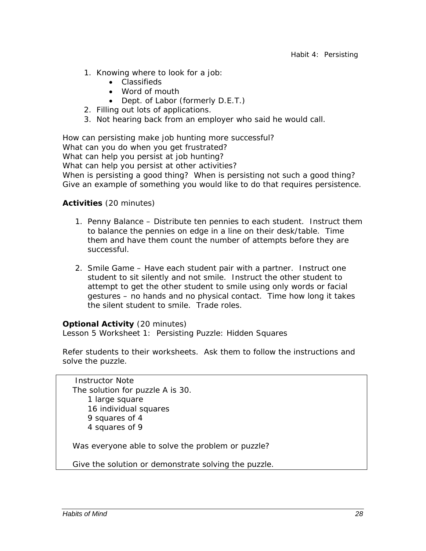- 1. Knowing where to look for a job:
	- Classifieds
	- Word of mouth
	- Dept. of Labor (formerly D.E.T.)
- 2. Filling out lots of applications.
- 3. Not hearing back from an employer who said he would call.

*How can persisting make job hunting more successful? What can you do when you get frustrated? What can help you persist at job hunting? What can help you persist at other activities? When is persisting a good thing? When is persisting not such a good thing? Give an example of something you would like to do that requires persistence.*

#### *Activities* (20 minutes)

- 1. Penny Balance Distribute ten pennies to each student. Instruct them to balance the pennies on edge in a line on their desk/table. Time them and have them count the number of attempts before they are successful.
- 2. Smile Game Have each student pair with a partner. Instruct one student to sit silently and not smile. Instruct the other student to attempt to get the other student to smile using only words or facial gestures – no hands and no physical contact. Time how long it takes the silent student to smile. Trade roles.

#### *Optional Activity* (20 minutes)

Lesson 5 Worksheet 1: Persisting Puzzle: Hidden Squares

Refer students to their worksheets. Ask them to follow the instructions and solve the puzzle.

 *Instructor Note*  The solution for puzzle A is 30. 1 large square 16 individual squares 9 squares of 4 4 squares of 9

Was everyone able to solve the problem or puzzle?

Give the solution or demonstrate solving the puzzle.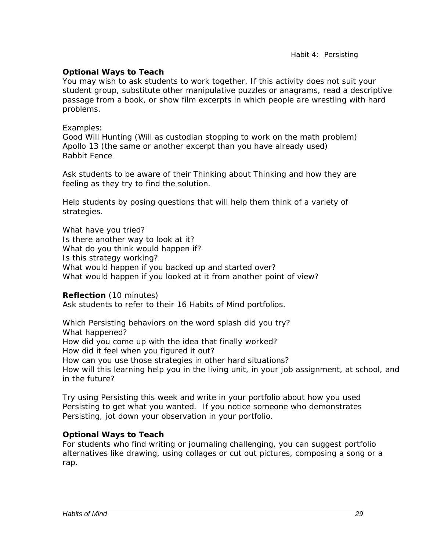*Habit 4: Persisting* 

#### *Optional Ways to Teach*

You may wish to ask students to work together. If this activity does not suit your student group, substitute other manipulative puzzles or anagrams, read a descriptive passage from a book, or show film excerpts in which people are wrestling with hard problems.

#### Examples:

*Good Will Hunting* (Will as custodian stopping to work on the math problem) *Apollo 13* (the same or another excerpt than you have already used) *Rabbit Fence*

Ask students to be aware of their Thinking about Thinking and how they are feeling as they try to find the solution.

Help students by posing questions that will help them think of a variety of strategies.

*What have you tried? Is there another way to look at it? What do you think would happen if? Is this strategy working? What would happen if you backed up and started over? What would happen if you looked at it from another point of view?*

*Reflection* (10 minutes)

Ask students to refer to their 16 Habits of Mind portfolios.

*Which Persisting behaviors on the word splash did you try? What happened? How did you come up with the idea that finally worked? How did it feel when you figured it out? How can you use those strategies in other hard situations? How will this learning help you in the living unit, in your job assignment, at school, and in the future?* 

*Try using Persisting this week and write in your portfolio about how you used Persisting to get what you wanted. If you notice someone who demonstrates Persisting, jot down your observation in your portfolio.* 

## *Optional Ways to Teach*

For students who find writing or journaling challenging, you can suggest portfolio alternatives like drawing, using collages or cut out pictures, composing a song or a rap.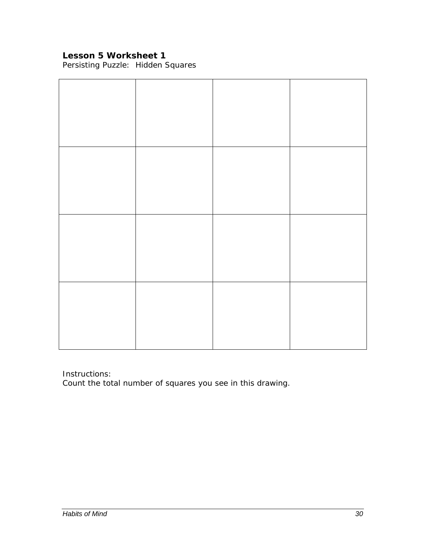## **Lesson 5 Worksheet 1**

Persisting Puzzle: Hidden Squares

Instructions:

Count the total number of squares you see in this drawing.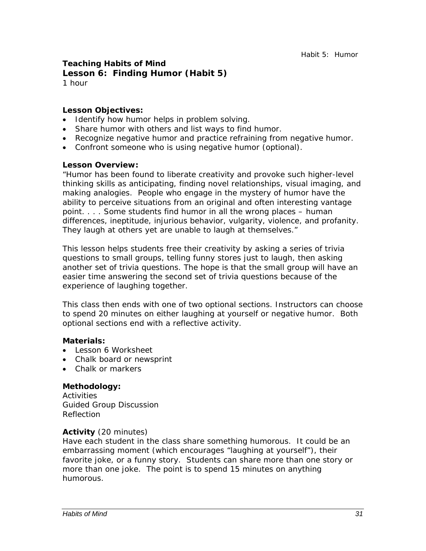#### **Teaching Habits of Mind Lesson 6: Finding Humor (Habit 5)**  1 hour

#### *Lesson Objectives:*

- Identify how humor helps in problem solving.
- Share humor with others and list ways to find humor.
- Recognize negative humor and practice refraining from negative humor.
- Confront someone who is using negative humor (optional).

#### *Lesson Overview:*

"Humor has been found to liberate creativity and provoke such higher-level thinking skills as anticipating, finding novel relationships, visual imaging, and making analogies. People who engage in the mystery of humor have the ability to perceive situations from an original and often interesting vantage point. . . . Some students find humor in all the wrong places – human differences, ineptitude, injurious behavior, vulgarity, violence, and profanity. They laugh at others yet are unable to laugh at themselves."

This lesson helps students free their creativity by asking a series of trivia questions to small groups, telling funny stores just to laugh, then asking another set of trivia questions. The hope is that the small group will have an easier time answering the second set of trivia questions because of the experience of laughing together.

This class then ends with one of two optional sections. Instructors can choose to spend 20 minutes on either laughing at yourself or negative humor. Both optional sections end with a reflective activity.

#### *Materials:*

- Lesson 6 Worksheet
- Chalk board or newsprint
- Chalk or markers

#### *Methodology:*

**Activities** Guided Group Discussion Reflection

#### *Activity* (20 minutes)

Have each student in the class share something humorous. It could be an embarrassing moment (which encourages "laughing at yourself"), their favorite joke, or a funny story. Students can share more than one story or more than one joke. The point is to spend 15 minutes on anything humorous.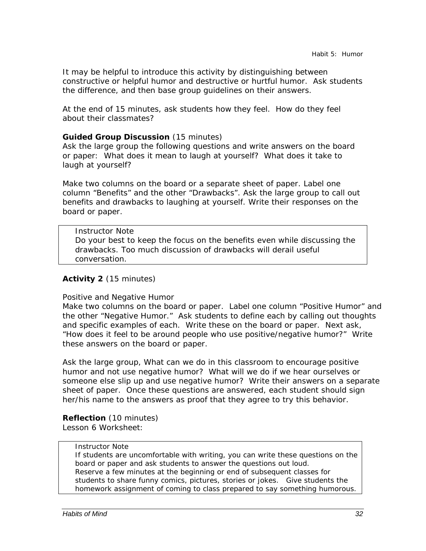It may be helpful to introduce this activity by distinguishing between constructive or helpful humor and destructive or hurtful humor. Ask students the difference, and then base group guidelines on their answers.

At the end of 15 minutes, ask students how they feel. How do they feel about their classmates?

#### *Guided Group Discussion* (15 minutes)

Ask the large group the following questions and write answers on the board or paper: *What does it mean to laugh at yourself? What does it take to laugh at yourself?* 

Make two columns on the board or a separate sheet of paper. Label one column "Benefits" and the other "Drawbacks". Ask the large group to call out benefits and drawbacks to laughing at yourself. Write their responses on the board or paper.

#### *Instructor Note*

Do your best to keep the focus on the benefits even while discussing the drawbacks. Too much discussion of drawbacks will derail useful conversation.

#### *Activity 2* (15 minutes)

#### Positive and Negative Humor

Make two columns on the board or paper. Label one column "Positive Humor" and the other "Negative Humor." Ask students to define each by calling out thoughts and specific examples of each. Write these on the board or paper. Next ask, "How does it feel to be around people who use positive/negative humor?" Write these answers on the board or paper.

Ask the large group, *What can we do in this classroom to encourage positive humor and not use negative humor? What will we do if we hear ourselves or someone else slip up and use negative humor?* Write their answers on a separate sheet of paper. Once these questions are answered, each student should sign her/his name to the answers as proof that they agree to try this behavior.

## *Reflection* (10 minutes)

Lesson 6 Worksheet:

#### *Instructor Note*

If students are uncomfortable with writing, you can write these questions on the board or paper and ask students to answer the questions out loud. Reserve a few minutes at the beginning or end of subsequent classes for students to share funny comics, pictures, stories or jokes. Give students the homework assignment of coming to class prepared to say something humorous.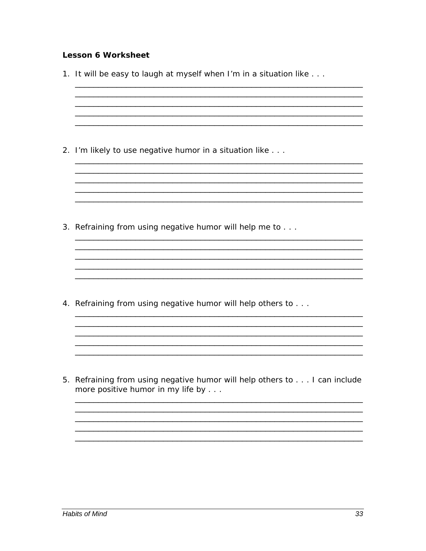#### **Lesson 6 Worksheet**

1. It will be easy to laugh at myself when I'm in a situation like . . . 2. I'm likely to use negative humor in a situation like . . . <u> 1989 - Johann Stoff, deutscher Stoff, der Stoff, der Stoff, der Stoff, der Stoff, der Stoff, der Stoff, der S</u> 3. Refraining from using negative humor will help me to . . . <u> 1980 - Johann Barn, mars ann an t-Amhain ann an t-Amhain an t-Amhain an t-Amhain an t-Amhain an t-Amhain an t-</u> 4. Refraining from using negative humor will help others to . . . 5. Refraining from using negative humor will help others to . . . I can include more positive humor in my life by . . .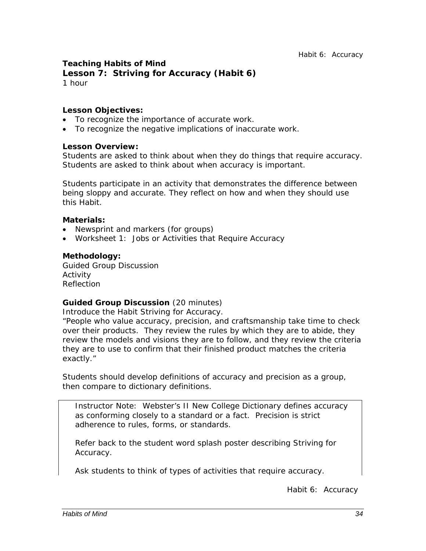# **Teaching Habits of Mind Lesson 7: Striving for Accuracy (Habit 6)**

1 hour

#### *Lesson Objectives:*

- To recognize the importance of accurate work.
- To recognize the negative implications of inaccurate work.

#### *Lesson Overview:*

Students are asked to think about when they do things that require accuracy. Students are asked to think about when accuracy is important.

Students participate in an activity that demonstrates the difference between being sloppy and accurate. They reflect on how and when they should use this Habit.

#### *Materials:*

- Newsprint and markers (for groups)
- Worksheet 1: Jobs or Activities that Require Accuracy

#### *Methodology:*

Guided Group Discussion Activity Reflection

## *Guided Group Discussion* (20 minutes)

Introduce the Habit Striving for Accuracy.

"People who value accuracy, precision, and craftsmanship take time to check over their products. They review the rules by which they are to abide, they review the models and visions they are to follow, and they review the criteria they are to use to confirm that their finished product matches the criteria exactly."

Students should develop definitions of accuracy and precision as a group, then compare to dictionary definitions.

*Instructor Note:* Webster's II New College Dictionary defines *accuracy as* conforming closely to a standard or a fact. *Precision* is strict adherence to rules, forms, or standards.

Refer back to the student word splash poster describing Striving for Accuracy.

Ask students to think of types of activities that require accuracy.

*Habit 6: Accuracy*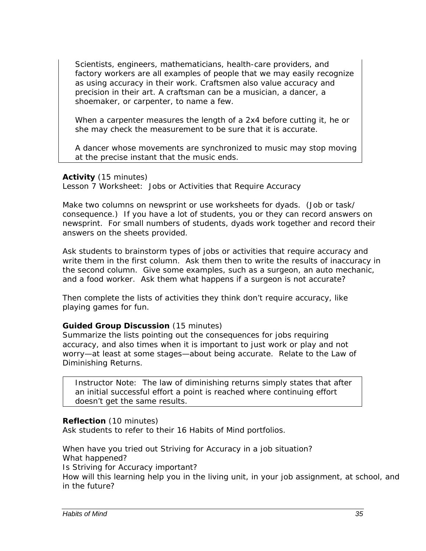*Scientists, engineers, mathematicians, health-care providers, and factory workers are all examples of people that we may easily recognize as using accuracy in their work. Craftsmen also value accuracy and precision in their art. A craftsman can be a musician, a dancer, a shoemaker, or carpenter, to name a few.* 

*When a carpenter measures the length of a 2x4 before cutting it, he or she may check the measurement to be sure that it is accurate.* 

*A dancer whose movements are synchronized to music may stop moving at the precise instant that the music ends.* 

#### *Activity* (15 minutes)

Lesson 7 Worksheet: Jobs or Activities that Require Accuracy

Make two columns on newsprint or use worksheets for dyads. (Job or task/ consequence.) If you have a lot of students, you or they can record answers on newsprint. For small numbers of students, dyads work together and record their answers on the sheets provided.

Ask students to brainstorm types of jobs or activities that require accuracy and write them in the first column. Ask them then to write the results of inaccuracy in the second column. Give some examples, such as a surgeon, an auto mechanic, and a food worker. Ask them what happens if a surgeon is not accurate?

Then complete the lists of activities they think don't require accuracy, like playing games for fun.

#### *Guided Group Discussion* (15 minutes)

Summarize the lists pointing out the consequences for jobs requiring accuracy, and also times when it is important to just work or play and not worry—at least at some stages—about being accurate. Relate to the Law of Diminishing Returns.

*Instructor Note:* The law of diminishing returns simply states that after an initial successful effort a point is reached where continuing effort doesn't get the same results.

#### *Reflection* (10 minutes)

Ask students to refer to their 16 Habits of Mind portfolios.

*When have you tried out Striving for Accuracy in a job situation? What happened? Is Striving for Accuracy important? How will this learning help you in the living unit, in your job assignment, at school, and in the future?*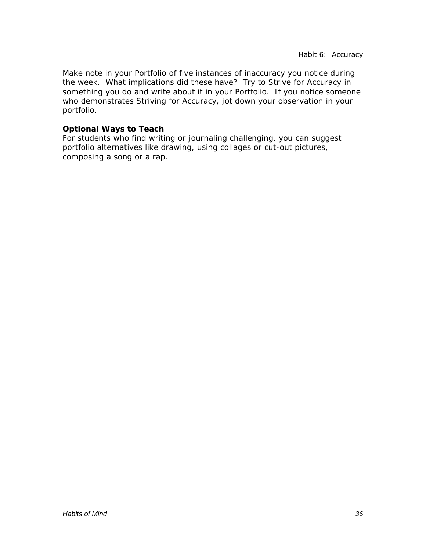*Make note in your Portfolio of five instances of inaccuracy you notice during the week. What implications did these have? Try to Strive for Accuracy in something you do and write about it in your Portfolio. If you notice someone who demonstrates Striving for Accuracy, jot down your observation in your portfolio.* 

#### *Optional Ways to Teach*

For students who find writing or journaling challenging, you can suggest portfolio alternatives like drawing, using collages or cut-out pictures, composing a song or a rap.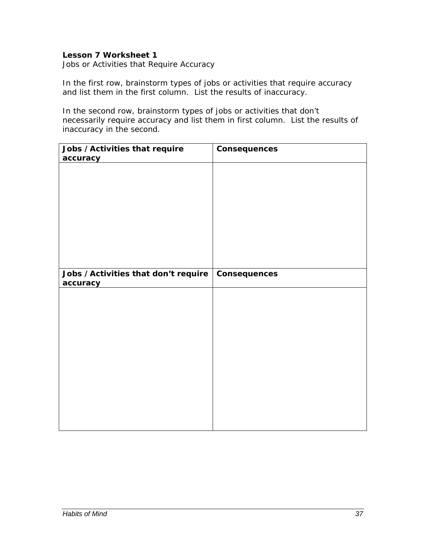#### **Lesson 7 Worksheet 1**

Jobs or Activities that Require Accuracy

In the first row, brainstorm types of jobs or activities that require accuracy and list them in the first column. List the results of inaccuracy.

In the second row, brainstorm types of jobs or activities that don't necessarily require accuracy and list them in first column. List the results of inaccuracy in the second.

| Jobs / Activities that require       | Consequences |
|--------------------------------------|--------------|
| accuracy                             |              |
|                                      |              |
|                                      |              |
|                                      |              |
|                                      |              |
|                                      |              |
|                                      |              |
|                                      |              |
|                                      |              |
|                                      |              |
|                                      |              |
|                                      |              |
| Jobs / Activities that don't require | Consequences |
| accuracy                             |              |
|                                      |              |
|                                      |              |
|                                      |              |
|                                      |              |
|                                      |              |
|                                      |              |
|                                      |              |
|                                      |              |
|                                      |              |
|                                      |              |
|                                      |              |
|                                      |              |
|                                      |              |
|                                      |              |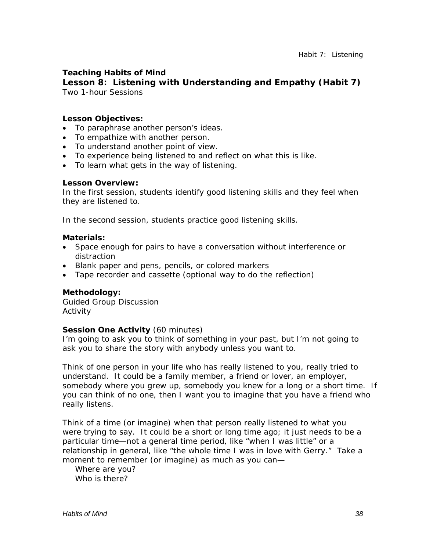# **Teaching Habits of Mind**

# **Lesson 8: Listening with Understanding and Empathy (Habit 7)** Two 1-hour Sessions

#### *Lesson Objectives:*

- To paraphrase another person's ideas.
- To empathize with another person.
- To understand another point of view.
- To experience being listened to and reflect on what this is like.
- To learn what gets in the way of listening.

#### *Lesson Overview:*

In the first session, students identify good listening skills and they feel when they are listened to.

In the second session, students practice good listening skills.

#### *Materials:*

- Space enough for pairs to have a conversation without interference or distraction
- Blank paper and pens, pencils, or colored markers
- Tape recorder and cassette (optional way to do the reflection)

#### *Methodology:*

Guided Group Discussion Activity

#### **Session One Activity** (60 minutes)

*I'm going to ask you to think of something in your past, but I'm not going to ask you to share the story with anybody unless you want to.* 

*Think of one person in your life who has really listened to you, really tried to understand. It could be a family member, a friend or lover, an employer, somebody where you grew up, somebody you knew for a long or a short time. If you can think of no one, then I want you to imagine that you have a friend who really listens.* 

*Think of a time (or imagine) when that person really listened to what you were trying to say. It could be a short or long time ago; it just needs to be a particular time—not a general time period, like "when I was little" or a relationship in general, like "the whole time I was in love with Gerry." Take a moment to remember (or imagine) as much as you can—* 

*Where are you? Who is there?*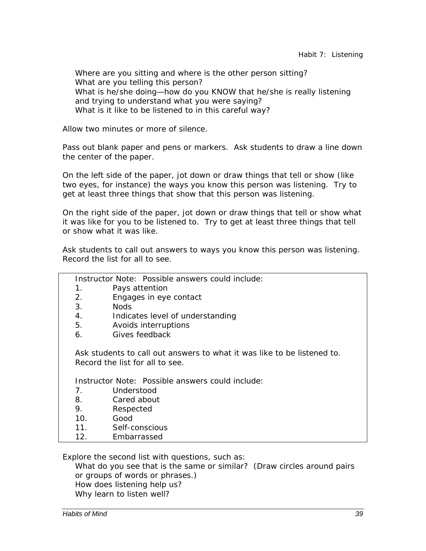*Where are you sitting and where is the other person sitting? What are you telling this person?*  What is he/she doing—how do you KNOW that he/she is really listening *and trying to understand what you were saying? What is it like to be listened to in this careful way?* 

Allow two minutes or more of silence.

Pass out blank paper and pens or markers. Ask students to draw a line down the center of the paper.

On the left side of the paper, jot down or draw things that tell or show (like two eyes, for instance) the ways you know this person was listening. Try to get at least three things that show that this person was listening.

On the right side of the paper, jot down or draw things that tell or show what it was like for you to be listened to. Try to get at least three things that tell or show what it was like.

Ask students to call out answers to ways you know this person was listening. Record the list for all to see.

*Instructor Note*: Possible answers could include:

- 1. Pays attention
- 2. Engages in eye contact
- 3. Nods
- 4. Indicates level of understanding
- 5. Avoids interruptions
- 6. Gives feedback

Ask students to call out answers to what it was like to be listened to. Record the list for all to see.

*Instructor Note*: Possible answers could include:

- 7. Understood
- 8. Cared about
- 9. Respected
- 10. Good
- 11. Self-conscious
- 12. Embarrassed

Explore the second list with questions, such as:

*What do you see that is the same or similar?* (Draw circles around pairs or groups of words or phrases.) *How does listening help us? Why learn to listen well?*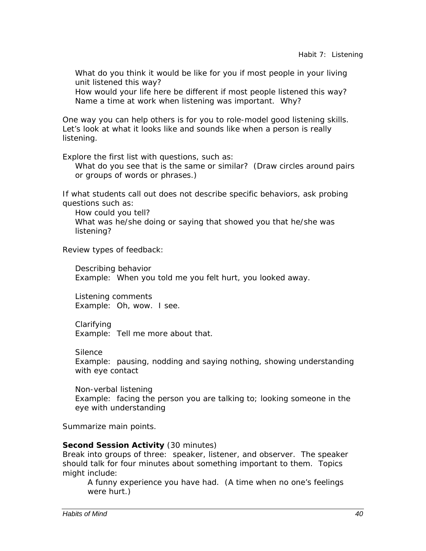What do you think it would be like for you if most people in your living *unit listened this way? How would your life here be different if most people listened this way? Name a time at work when listening was important. Why?* 

One way you can help others is for you to role-model good listening skills. Let's look at what it looks like and sounds like when a person is really listening.

Explore the first list with questions, such as:

*What do you see that is the same or similar?* (Draw circles around pairs or groups of words or phrases.)

If what students call out does not describe specific behaviors, ask probing questions such as:

*How could you tell? What was he/she doing or saying that showed you that he/she was listening?* 

Review types of feedback:

*Describing behavior*  Example: When you told me you felt hurt, you looked away.

*Listening comments*  Example: Oh, wow. I see.

*Clarifying*  Example: Tell me more about that.

*Silence* 

Example: pausing, nodding and saying nothing, showing understanding with eye contact

*Non-verbal listening*  Example: facing the person you are talking to; looking someone in the eye with understanding

Summarize main points.

#### **Second Session Activity** (30 minutes)

Break into groups of three: speaker, listener, and observer. The speaker should talk for four minutes about something important to them. Topics might include:

A funny experience you have had. (A time when no one's feelings were hurt.)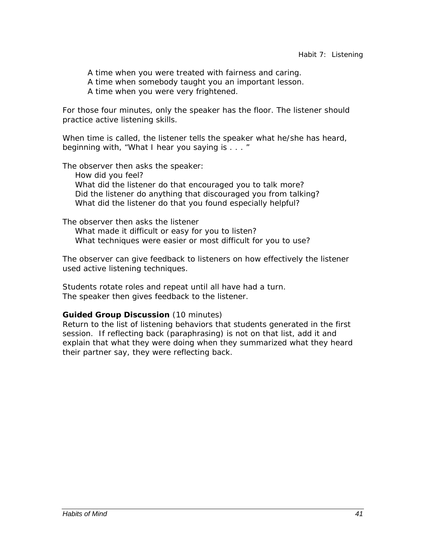A time when you were treated with fairness and caring.

- A time when somebody taught you an important lesson.
- A time when you were very frightened.

For those four minutes, only the speaker has the floor. The listener should practice active listening skills.

When time is called, the listener tells the speaker what he/she has heard, beginning with, "What I hear you saying is . . . "

The observer then asks the speaker:

 How did you feel? What did the listener do that encouraged you to talk more? Did the listener do anything that discouraged you from talking? What did the listener do that you found especially helpful?

The observer then asks the listener What made it difficult or easy for you to listen? What techniques were easier or most difficult for you to use?

The observer can give feedback to listeners on how effectively the listener used active listening techniques.

Students rotate roles and repeat until all have had a turn. The speaker then gives feedback to the listener.

### *Guided Group Discussion* (10 minutes)

Return to the list of listening behaviors that students generated in the first session. If reflecting back (paraphrasing) is not on that list, add it and explain that what they were doing when they summarized what they heard their partner say, they were reflecting back.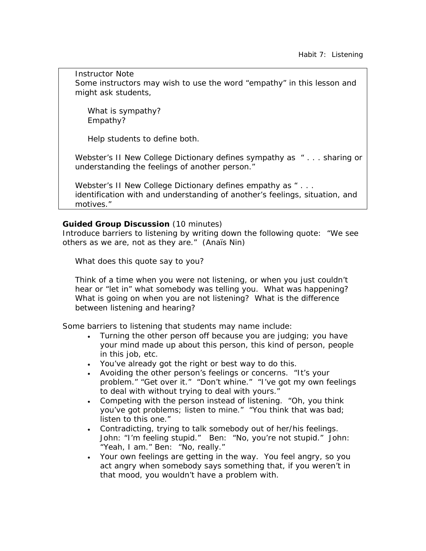*Instructor Note*  Some instructors may wish to use the word "empathy" in this lesson and might ask students,

What is sympathy? Empathy?

Help students to define both.

Webster's II New College Dictionary defines *sympathy* as " . . . sharing or understanding the feelings of another person."

Webster's II New College Dictionary defines *empathy* as " . . . identification with and understanding of another's feelings, situation, and motives."

#### *Guided Group Discussion* (10 minutes)

Introduce barriers to listening by writing down the following quote: "We see others as we are, not as they are." (Anaïs Nin)

*What does this quote say to you?* 

*Think of a time when you were not listening, or when you just couldn't hear or "let in" what somebody was telling you. What was happening? What is going on when you are not listening? What is the difference between listening and hearing?* 

Some barriers to listening that students may name include:

- Turning the other person off because you are judging; you have your mind made up about this person, this kind of person, people in this job, etc.
- You've already got the right or best way to do this.
- Avoiding the other person's feelings or concerns. "It's your problem." "Get over it." "Don't whine." "I've got my own feelings to deal with without trying to deal with yours."
- Competing with the person instead of listening. "Oh, you think you've got problems; listen to mine." "You think that was bad; listen to this one."
- Contradicting, trying to talk somebody out of her/his feelings. John: "I'm feeling stupid." Ben: "No, you're not stupid." John: "Yeah, I am." Ben: "No, really."
- Your own feelings are getting in the way. You feel angry, so you act angry when somebody says something that, if you weren't in that mood, you wouldn't have a problem with.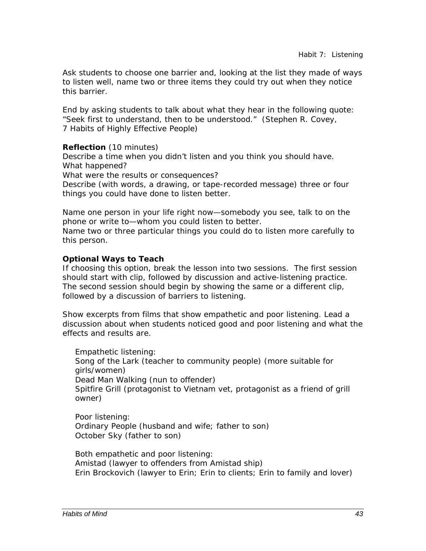Ask students to choose one barrier and, looking at the list they made of ways to listen well, name two or three items they could try out when they notice this barrier.

End by asking students to talk about what they hear in the following quote: "Seek first to understand, then to be understood." (Stephen R. Covey, *7 Habits of Highly Effective People*)

*Reflection* (10 minutes) *Describe a time when you didn't listen and you think you should have. What happened? What were the results or consequences? Describe (with words, a drawing, or tape-recorded message) three or four things you could have done to listen better.* 

*Name one person in your life right now—somebody you see, talk to on the phone or write to—whom you could listen to better. Name two or three particular things you could do to listen more carefully to this person.* 

# *Optional Ways to Teach*

If choosing this option, break the lesson into two sessions. The first session should start with clip, followed by discussion and active-listening practice. The second session should begin by showing the same or a different clip, followed by a discussion of barriers to listening.

Show excerpts from films that show empathetic and poor listening. Lead a discussion about when students noticed good and poor listening and what the effects and results are.

Empathetic listening: *Song of the Lark* (teacher to community people) (more suitable for girls/women) *Dead Man Walking* (nun to offender) *Spitfire Grill* (protagonist to Vietnam vet, protagonist as a friend of grill owner)

Poor listening: *Ordinary People* (husband and wife; father to son) *October Sky* (father to son)

Both empathetic and poor listening: *Amistad* (lawyer to offenders from Amistad ship) *Erin Brockovich* (lawyer to Erin; Erin to clients; Erin to family and lover)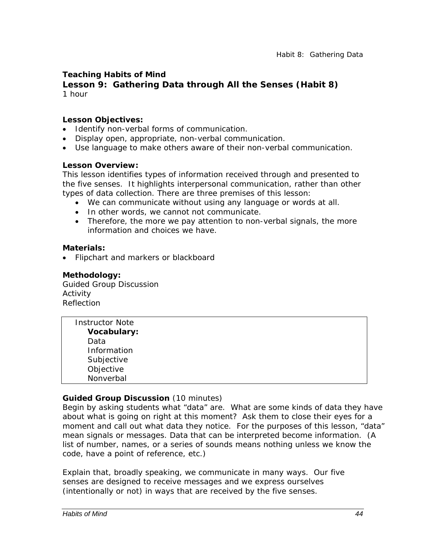# **Teaching Habits of Mind**

# **Lesson 9: Gathering Data through All the Senses (Habit 8)**  1 hour

#### *Lesson Objectives:*

- Identify non-verbal forms of communication.
- Display open, appropriate, non-verbal communication.
- Use language to make others aware of their non-verbal communication.

#### *Lesson Overview:*

This lesson identifies types of information received through and presented to the five senses. It highlights interpersonal communication, rather than other types of data collection. There are three premises of this lesson:

- We can communicate without using any language or words at all.
- In other words, we cannot *not* communicate.
- Therefore, the more we pay attention to non-verbal signals, the more information and choices we have.

#### *Materials:*

• Flipchart and markers or blackboard

#### *Methodology:*

Guided Group Discussion Activity Reflection

| <b>Instructor Note</b> |  |  |
|------------------------|--|--|
| <b>Vocabulary:</b>     |  |  |
| Data                   |  |  |
| Information            |  |  |
| Subjective             |  |  |
| Objective              |  |  |
| Nonverbal              |  |  |

### *Guided Group Discussion* (10 minutes)

Begin by asking students what "data" are. What are some kinds of data they have about what is going on right at this moment? Ask them to close their eyes for a moment and call out what data they notice. For the purposes of this lesson, "data" mean signals or messages. Data that can be interpreted become information. (A list of number, names, or a series of sounds means nothing unless we know the code, have a point of reference, etc.)

Explain that, broadly speaking, we communicate in many ways. Our five senses are designed to receive messages and we express ourselves (intentionally or not) in ways that are received by the five senses.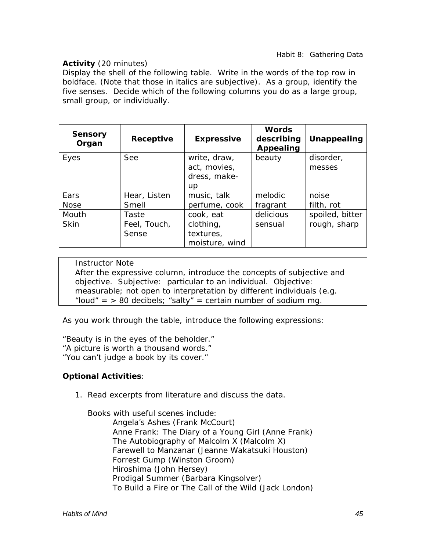# *Activity* (20 minutes)

Display the shell of the following table. Write in the words of the top row in boldface. (Note that those in italics are subjective). As a group, identify the five senses. Decide which of the following columns you do as a large group, small group, or individually.

| <b>Sensory</b><br>Organ | Receptive    | <b>Expressive</b> | <b>Words</b><br>describing<br>Appealing | Unappealing     |
|-------------------------|--------------|-------------------|-----------------------------------------|-----------------|
| Eyes                    | See          | write, draw,      | beauty                                  | disorder,       |
|                         |              | act, movies,      |                                         | messes          |
|                         |              | dress, make-      |                                         |                 |
|                         |              | <b>up</b>         |                                         |                 |
| Ears                    | Hear, Listen | music, talk       | melodic                                 | noise           |
| <b>Nose</b>             | Smell        | perfume, cook     | fragrant                                | filth, rot      |
| Mouth                   | Taste        | cook, eat         | delicious                               | spoiled, bitter |
| <b>Skin</b>             | Feel, Touch, | clothing,         | sensual                                 | rough, sharp    |
|                         | Sense        | textures,         |                                         |                 |
|                         |              | moisture, wind    |                                         |                 |

*Instructor Note* 

After the expressive column, introduce the concepts of subjective and objective. *Subjective*: particular to an individual. *Objective*: measurable; not open to interpretation by different individuals (e.g. "loud" =  $> 80$  decibels; "salty" = certain number of sodium mg.

As you work through the table, introduce the following expressions:

"Beauty is in the eyes of the beholder." "A picture is worth a thousand words." "You can't judge a book by its cover."

# *Optional Activities*:

1. Read excerpts from literature and discuss the data.

Books with useful scenes include:

*Angela's Ashes* (Frank McCourt) *Anne Frank: The Diary of a Young Girl* (Anne Frank) *The Autobiography of Malcolm X* (Malcolm X) *Farewell to Manzanar* (Jeanne Wakatsuki Houston) *Forrest Gump* (Winston Groom) *Hiroshima* (John Hersey) *Prodigal Summer* (Barbara Kingsolver) *To Build a Fire* or *The Call of the Wild* (Jack London)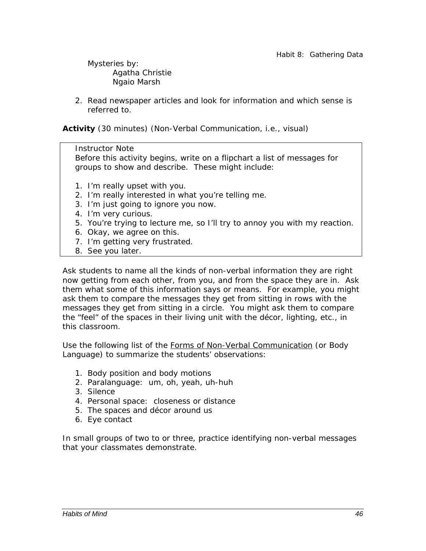Mysteries by: Agatha Christie Ngaio Marsh

2. Read newspaper articles and look for information and which sense is referred to.

*Activity* (30 minutes) (Non-Verbal Communication, i.e., visual)

*Instructor Note* 

Before this activity begins, write on a flipchart a list of messages for groups to show and describe. These might include:

- 1. I'm really upset with you.
- 2. I'm really interested in what you're telling me.
- 3. I'm just going to ignore you now.
- 4. I'm very curious.
- 5. You're trying to lecture me, so I'll try to annoy you with my reaction.
- 6. Okay, we agree on this.
- 7. I'm getting very frustrated.
- 8. See you later.

Ask students to name all the kinds of non-verbal information they are right now getting from each other, from you, and from the space they are in. Ask them what some of this information says or means. For example, you might ask them to compare the messages they get from sitting in rows with the messages they get from sitting in a circle. You might ask them to compare the "feel" of the spaces in their living unit with the décor, lighting, etc., in this classroom.

Use the following list of the Forms of Non-Verbal Communication (or Body Language) to summarize the students' observations:

- 1. Body position and body motions
- 2. Paralanguage: um, oh, yeah, uh-huh
- 3. Silence
- 4. Personal space: closeness or distance
- 5. The spaces and décor around us
- 6. Eye contact

In small groups of two to or three, practice identifying non-verbal messages that your classmates demonstrate.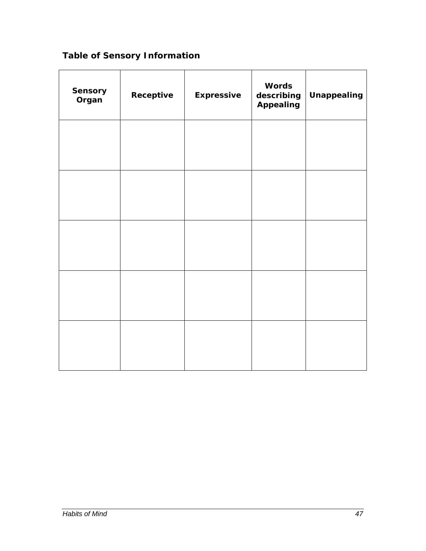# **Table of Sensory Information**

| Sensory<br>Organ | Receptive | <b>Expressive</b> | <b>Words</b><br>describing<br><b>Appealing</b> | <b>Unappealing</b> |
|------------------|-----------|-------------------|------------------------------------------------|--------------------|
|                  |           |                   |                                                |                    |
|                  |           |                   |                                                |                    |
|                  |           |                   |                                                |                    |
|                  |           |                   |                                                |                    |
|                  |           |                   |                                                |                    |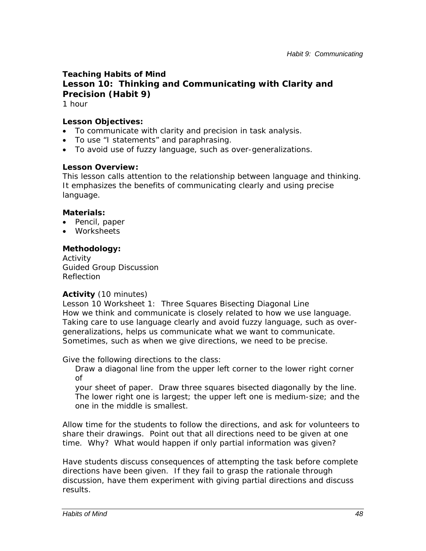# **Teaching Habits of Mind Lesson 10: Thinking and Communicating with Clarity and Precision (Habit 9)**

1 hour

# *Lesson Objectives:*

- To communicate with clarity and precision in task analysis.
- To use "I statements" and paraphrasing.
- To avoid use of fuzzy language, such as over-generalizations.

# *Lesson Overview:*

This lesson calls attention to the relationship between language and thinking. It emphasizes the benefits of communicating clearly and using precise language.

### *Materials:*

- Pencil, paper
- Worksheets

# *Methodology:*

Activity Guided Group Discussion Reflection

# *Activity* (10 minutes)

Lesson 10 Worksheet 1: Three Squares Bisecting Diagonal Line How we think and communicate is closely related to how we use language. Taking care to use language clearly and avoid fuzzy language, such as overgeneralizations, helps us communicate what we want to communicate. Sometimes, such as when we give directions, we need to be precise.

Give the following directions to the class:

 Draw a diagonal line from the upper left corner to the lower right corner of

your sheet of paper. Draw three squares bisected diagonally by the line. The lower right one is largest; the upper left one is medium-size; and the one in the middle is smallest.

Allow time for the students to follow the directions, and ask for volunteers to share their drawings. Point out that all directions need to be given at one time. Why? What would happen if only partial information was given?

Have students discuss consequences of attempting the task before complete directions have been given. If they fail to grasp the rationale through discussion, have them experiment with giving partial directions and discuss results.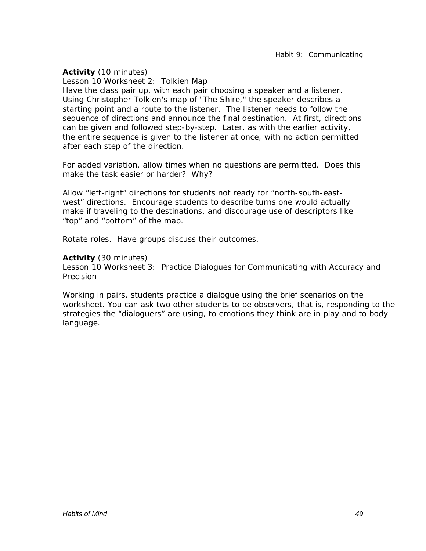#### *Activity* (10 minutes)

Lesson 10 Worksheet 2: Tolkien Map Have the class pair up, with each pair choosing a speaker and a listener. Using Christopher Tolkien's map of "The Shire," the speaker describes a starting point and a route to the listener. The listener needs to follow the sequence of directions and announce the final destination. At first, directions can be given and followed step-by-step. Later, as with the earlier activity, the entire sequence is given to the listener at once, with no action permitted after each step of the direction.

For added variation, allow times when no questions are permitted. Does this make the task easier or harder? Why?

Allow "left-right" directions for students not ready for "north-south-eastwest" directions. Encourage students to describe turns one would actually make if traveling to the destinations, and discourage use of descriptors like "top" and "bottom" of the map.

Rotate roles. Have groups discuss their outcomes.

#### *Activity* (30 minutes)

Lesson 10 Worksheet 3: Practice Dialogues for Communicating with Accuracy and Precision

Working in pairs, students practice a dialogue using the brief scenarios on the worksheet. You can ask two other students to be observers, that is, responding to the strategies the "dialoguers" are using, to emotions they think are in play and to body language.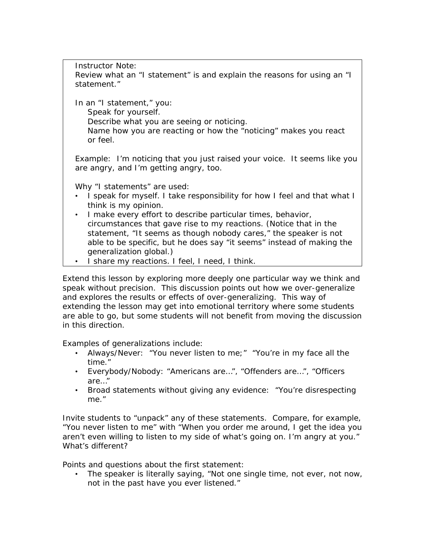*Instructor Note*:

Review what an "I statement" is and explain the reasons for using an "I statement."

In an "I statement," you:

Speak for yourself.

Describe what you are seeing or noticing.

 Name how you are reacting or how the "noticing" makes you react or feel.

Example: I'm noticing that you just raised your voice. It seems like you are angry, and I'm getting angry, too.

Why "I statements" are used:

- I speak for myself. I take responsibility for how I feel and that what I think is my opinion.
- I make every effort to describe particular times, behavior, circumstances that gave rise to my reactions. (Notice that in the statement, "It seems as though nobody cares," the speaker is not able to be specific, but he does say "it seems" instead of making the generalization global.)
- I share my reactions. I feel, I need, I think.

Extend this lesson by exploring more deeply one particular way we think and speak without precision. This discussion points out how we over-generalize and explores the results or effects of over-generalizing. This way of extending the lesson may get into emotional territory where some students are able to go, but some students will not benefit from moving the discussion in this direction.

Examples of generalizations include:

- Always/Never: "You never listen to me;" "You're in my face all the time."
- Everybody/Nobody: "Americans are…", "Offenders are…", "Officers are…"
- Broad statements without giving any evidence: "You're disrespecting me."

Invite students to "unpack" any of these statements. Compare, for example, "You never listen to me" with "When you order me around, I get the idea you aren't even willing to listen to my side of what's going on. I'm angry at you." What's different?

Points and questions about the first statement:

• The speaker is literally saying, "Not one single time, not ever, not now, not in the past have you ever listened."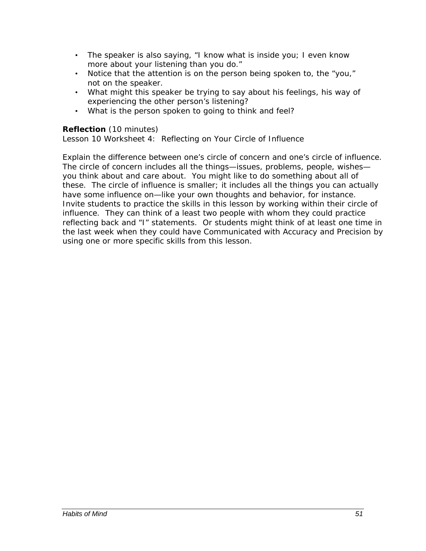- The speaker is also saying, "I know what is inside you; I even know more about your listening than you do."
- Notice that the attention is on the person being spoken to, the "you," not on the speaker.
- What might this speaker be trying to say about his feelings, his way of experiencing the other person's listening?
- What is the person spoken to going to think and feel?

# *Reflection* (10 minutes)

Lesson 10 Worksheet 4: Reflecting on Your Circle of Influence

Explain the difference between one's circle of concern and one's circle of influence. The circle of concern includes all the things—issues, problems, people, wishes you think about and care about. You might like to do something about all of these. The circle of influence is smaller; it includes all the things you can actually have some influence on—like your own thoughts and behavior, for instance. Invite students to practice the skills in this lesson by working within their circle of influence. They can think of a least two people with whom they could practice reflecting back and "I" statements. Or students might think of at least one time in the last week when they could have Communicated with Accuracy and Precision by using one or more specific skills from this lesson.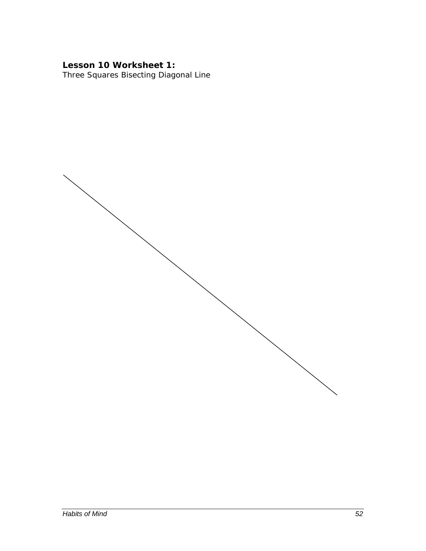# Lesson 10 Worksheet 1:

Three Squares Bisecting Diagonal Line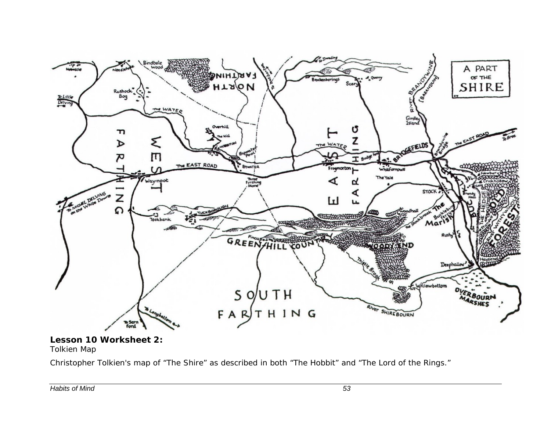

#### **Lesson 10 Worksheet 2:**  Tolkien Map

Christopher Tolkien's map of "The Shire" as described in both "The Hobbit" and "The Lord of the Rings."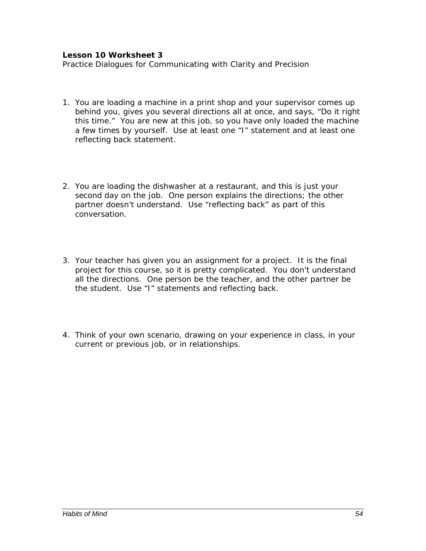#### **Lesson 10 Worksheet 3**

Practice Dialogues for Communicating with Clarity and Precision

- 1. You are loading a machine in a print shop and your supervisor comes up behind you, gives you several directions all at once, and says, "Do it right this time." You are new at this job, so you have only loaded the machine a few times by yourself. Use at least one "I" statement and at least one reflecting back statement.
- 2. You are loading the dishwasher at a restaurant, and this is just your second day on the job. One person explains the directions; the other partner doesn't understand. Use "reflecting back" as part of this conversation.
- 3. Your teacher has given you an assignment for a project. It is the final project for this course, so it is pretty complicated. You don't understand all the directions. One person be the teacher, and the other partner be the student. Use "I" statements and reflecting back.
- 4. Think of your own scenario, drawing on your experience in class, in your current or previous job, or in relationships.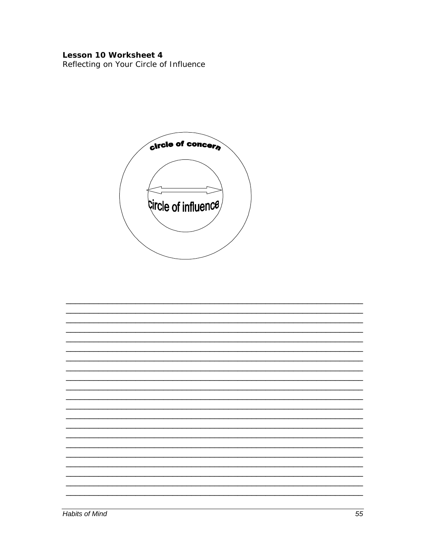# Lesson 10 Worksheet 4

Reflecting on Your Circle of Influence



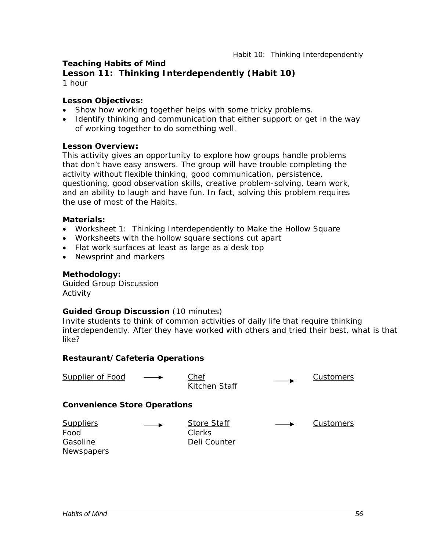## **Teaching Habits of Mind**

**Lesson 11: Thinking Interdependently (Habit 10)**  1 hour

#### *Lesson Objectives:*

- Show how working together helps with some tricky problems.
- Identify thinking and communication that either support or get in the way of working together to do something well.

#### *Lesson Overview:*

This activity gives an opportunity to explore how groups handle problems that don't have easy answers. The group will have trouble completing the activity without flexible thinking, good communication, persistence, questioning, good observation skills, creative problem-solving, team work, and an ability to laugh and have fun. In fact, solving this problem requires the use of most of the Habits.

#### *Materials:*

- Worksheet 1: Thinking Interdependently to Make the Hollow Square
- Worksheets with the hollow square sections cut apart
- Flat work surfaces at least as large as a desk top
- Newsprint and markers

#### *Methodology:*

Guided Group Discussion Activity

#### *Guided Group Discussion* (10 minutes)

Invite students to think of common activities of daily life that require thinking interdependently. After they have worked with others and tried their best, what is that like?

#### **Restaurant/Cafeteria Operations**

| <b>Supplier of Food</b>                                   |  | Chef<br>Kitchen Staff                        |  | Customers |
|-----------------------------------------------------------|--|----------------------------------------------|--|-----------|
| <b>Convenience Store Operations</b>                       |  |                                              |  |           |
| <b>Suppliers</b><br>Food<br>Gasoline<br><b>Newspapers</b> |  | <b>Store Staff</b><br>Clerks<br>Deli Counter |  | Customers |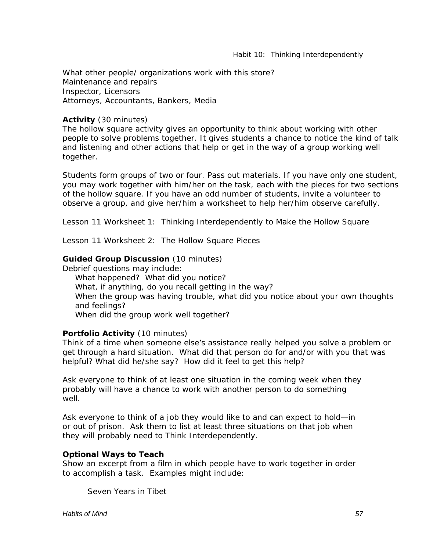What other people/ organizations work with this store? Maintenance and repairs Inspector, Licensors Attorneys, Accountants, Bankers, Media

### *Activity* (30 minutes)

The hollow square activity gives an opportunity to think about working with other people to solve problems together. It gives students a chance to notice the kind of talk and listening and other actions that help or get in the way of a group working well together.

Students form groups of two or four. Pass out materials. If you have only one student, you may work together with him/her on the task, each with the pieces for two sections of the hollow square. If you have an odd number of students, invite a volunteer to observe a group, and give her/him a worksheet to help her/him observe carefully.

Lesson 11 Worksheet 1: Thinking Interdependently to Make the Hollow Square

Lesson 11 Worksheet 2: The Hollow Square Pieces

#### *Guided Group Discussion* (10 minutes)

Debrief questions may include:

*What happened? What did you notice? What, if anything, do you recall getting in the way? When the group was having trouble, what did you notice about your own thoughts and feelings? When did the group work well together?* 

### *Portfolio Activity* (10 minutes)

Think of a time when someone else's assistance really helped you solve a problem or get through a hard situation. What did that person do for and/or with you that was helpful? What did he/she say? How did it feel to get this help?

Ask everyone to think of at least one situation in the coming week when they probably will have a chance to work with another person to do something well.

Ask everyone to think of a job they would like to and can expect to hold—in or out of prison. Ask them to list at least three situations on that job when they will probably need to Think Interdependently.

### *Optional Ways to Teach*

Show an excerpt from a film in which people have to work together in order to accomplish a task. Examples might include:

*Seven Years in Tibet*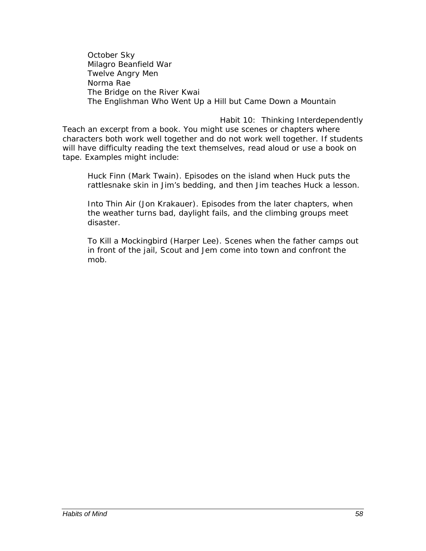*October Sky Milagro Beanfield War Twelve Angry Men Norma Rae The Bridge on the River Kwai The Englishman Who Went Up a Hill but Came Down a Mountain* 

*Habit 10: Thinking Interdependently*  Teach an excerpt from a book. You might use scenes or chapters where characters both work well together and do not work well together. If students will have difficulty reading the text themselves, read aloud or use a book on tape. Examples might include:

*Huck Finn* (Mark Twain). Episodes on the island when Huck puts the rattlesnake skin in Jim's bedding, and then Jim teaches Huck a lesson.

*Into Thin Air* (Jon Krakauer). Episodes from the later chapters, when the weather turns bad, daylight fails, and the climbing groups meet disaster.

*To Kill a Mockingbird* (Harper Lee). Scenes when the father camps out in front of the jail, Scout and Jem come into town and confront the mob.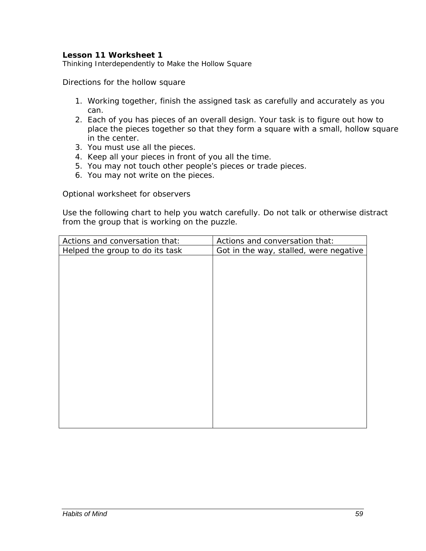#### **Lesson 11 Worksheet 1**

Thinking Interdependently to Make the Hollow Square

Directions for the hollow square

- 1. Working together, finish the assigned task as carefully and accurately as you can.
- 2. Each of you has pieces of an overall design. Your task is to figure out how to place the pieces together so that they form a square with a small, hollow square in the center.
- 3. You must use all the pieces.
- 4. Keep all your pieces in front of you all the time.
- 5. You may not touch other people's pieces or trade pieces.
- 6. You may not write on the pieces.

Optional worksheet for observers

Use the following chart to help you watch carefully. Do not talk or otherwise distract from the group that is working on the puzzle.

| Actions and conversation that:  | Actions and conversation that:         |
|---------------------------------|----------------------------------------|
| Helped the group to do its task | Got in the way, stalled, were negative |
|                                 |                                        |
|                                 |                                        |
|                                 |                                        |
|                                 |                                        |
|                                 |                                        |
|                                 |                                        |
|                                 |                                        |
|                                 |                                        |
|                                 |                                        |
|                                 |                                        |
|                                 |                                        |
|                                 |                                        |
|                                 |                                        |
|                                 |                                        |
|                                 |                                        |
|                                 |                                        |
|                                 |                                        |
|                                 |                                        |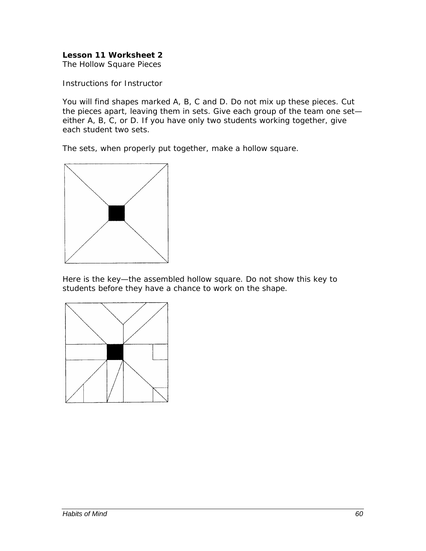# **Lesson 11 Worksheet 2**

The Hollow Square Pieces

Instructions for Instructor

You will find shapes marked A, B, C and D. Do not mix up these pieces. Cut the pieces apart, leaving them in sets. Give each group of the team one set either A, B, C, or D. If you have only two students working together, give each student two sets.

The sets, when properly put together, make a hollow square.



Here is the key—the assembled hollow square. Do not show this key to students before they have a chance to work on the shape.

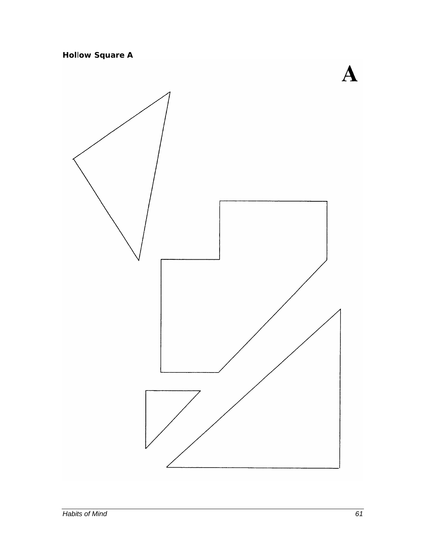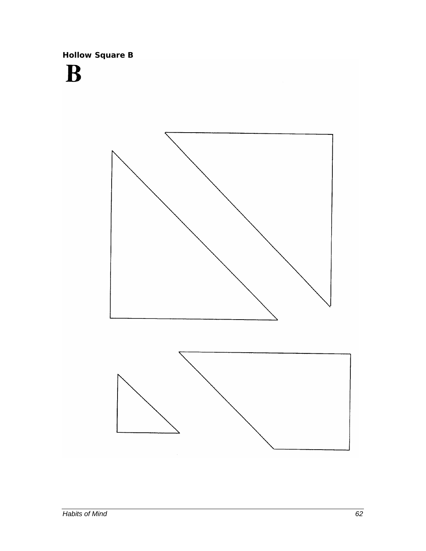**Hollow Square B** 

# B



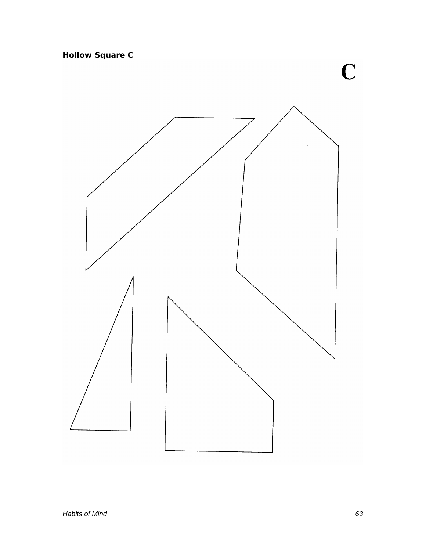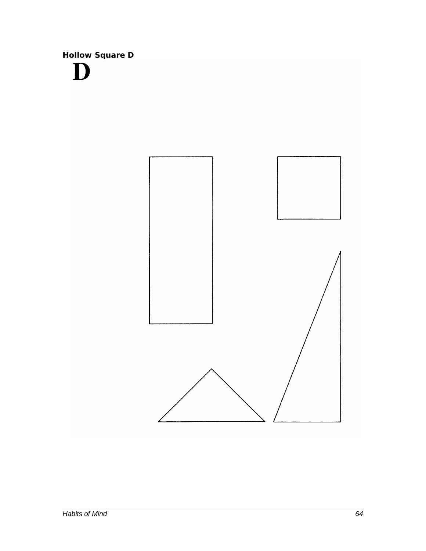**Hollow Square D** D

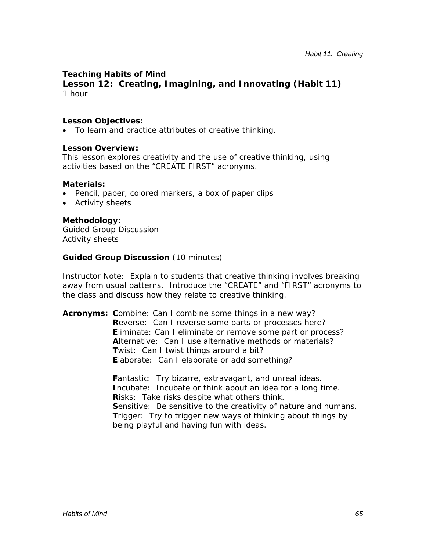# **Teaching Habits of Mind**

**Lesson 12: Creating, Imagining, and Innovating (Habit 11)**  1 hour

#### *Lesson Objectives:*

• To learn and practice attributes of creative thinking.

#### *Lesson Overview:*

This lesson explores creativity and the use of creative thinking, using activities based on the "CREATE FIRST" acronyms.

#### *Materials:*

- Pencil, paper, colored markers, a box of paper clips
- Activity sheets

### *Methodology:*

Guided Group Discussion Activity sheets

#### *Guided Group Discussion* (10 minutes)

*Instructor Note*: Explain to students that creative thinking involves breaking away from usual patterns. Introduce the "CREATE" and "FIRST" acronyms to the class and discuss how they relate to creative thinking.

**Acronyms: C**ombine: Can I combine some things in a new way? **R**everse: Can I reverse some parts or processes here? **E**liminate: Can I eliminate or remove some part or process? **A**lternative: Can I use alternative methods or materials? **T**wist: Can I twist things around a bit? **E**laborate: Can I elaborate or add something?

> **F**antastic: Try bizarre, extravagant, and unreal ideas. **I**ncubate: Incubate or think about an idea for a long time. **R**isks: Take risks despite what others think. **Sensitive:** Be sensitive to the creativity of nature and humans. **T**rigger: Try to trigger new ways of thinking about things by being playful and having fun with ideas.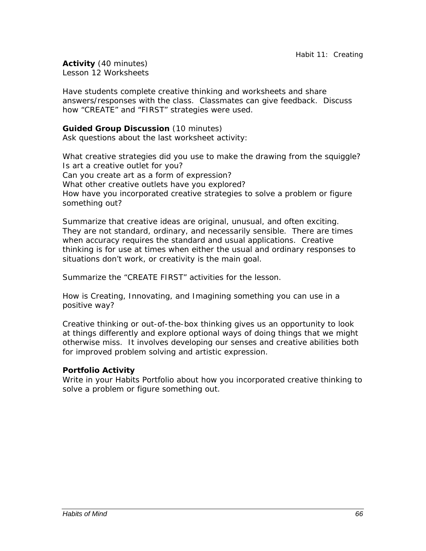*Activity* (40 minutes) Lesson 12 Worksheets

Have students complete creative thinking and worksheets and share answers/responses with the class. Classmates can give feedback. Discuss how "CREATE" and "FIRST" strategies were used.

# *Guided Group Discussion* (10 minutes)

Ask questions about the last worksheet activity:

*What creative strategies did you use to make the drawing from the squiggle*? *Is art a creative outlet for you? Can you create art as a form of expression? What other creative outlets have you explored? How have you incorporated creative strategies to solve a problem or figure something out?* 

*Summarize that creative ideas are original, unusual, and often exciting. They are not standard, ordinary, and necessarily sensible. There are times when accuracy requires the standard and usual applications. Creative thinking is for use at times when either the usual and ordinary responses to situations don't work, or creativity is the main goal.* 

Summarize the "CREATE FIRST" activities for the lesson.

*How is Creating, Innovating, and Imagining something you can use in a positive way?* 

*Creative thinking or out-of-the-box thinking gives us an opportunity to look at things differently and explore optional ways of doing things that we might otherwise miss. It involves developing our senses and creative abilities both for improved problem solving and artistic expression.*

### *Portfolio Activity*

Write in your Habits Portfolio about how you incorporated creative thinking to solve a problem or figure something out.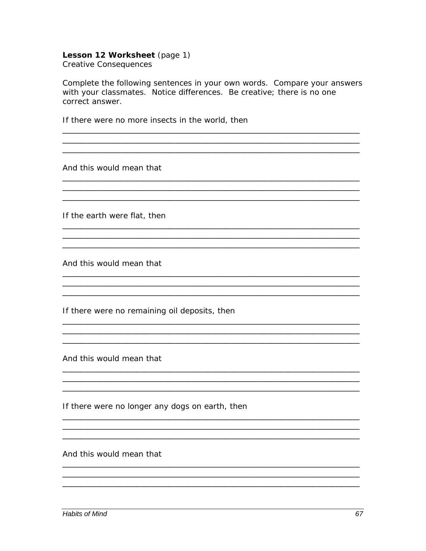#### Lesson 12 Worksheet (page 1) **Creative Consequences**

Complete the following sentences in your own words. Compare your answers with your classmates. Notice differences. Be creative; there is no one correct answer.

If there were no more insects in the world, then

And this would mean that

If the earth were flat, then

And this would mean that

If there were no remaining oil deposits, then

And this would mean that

If there were no longer any dogs on earth, then

And this would mean that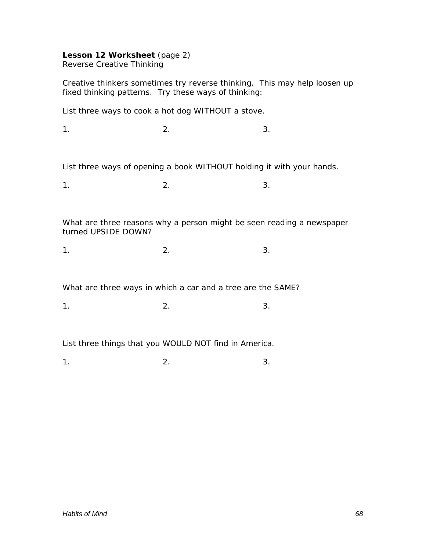#### **Lesson 12 Worksheet** (page 2) Reverse Creative Thinking

Creative thinkers sometimes try reverse thinking. This may help loosen up fixed thinking patterns. Try these ways of thinking:

List three ways to cook a hot dog WITHOUT a stove.

 $1.$  2.  $2.$  3.

List three ways of opening a book WITHOUT holding it with your hands.

 $1.$  2.  $2.$  3.

What are three reasons why a person might be seen reading a newspaper turned UPSIDE DOWN?

 $1.$  2.  $2.$  3.

What are three ways in which a car and a tree are the SAME?

 $1.$  2.  $2.$  3.

List three things that you WOULD NOT find in America.

 $1.$  2.  $2.$  3.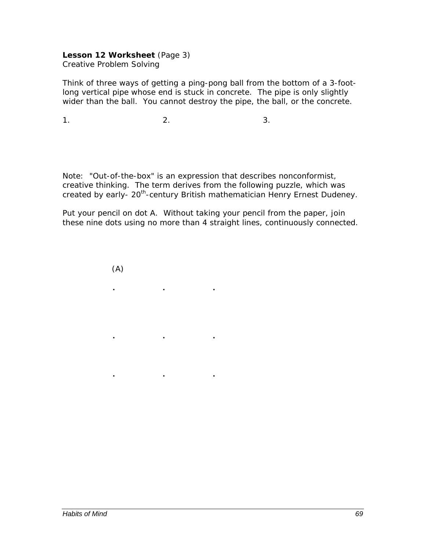#### **Lesson 12 Worksheet** (Page 3) Creative Problem Solving

Think of three ways of getting a ping-pong ball from the bottom of a 3-footlong vertical pipe whose end is stuck in concrete. The pipe is only slightly wider than the ball. You cannot destroy the pipe, the ball, or the concrete.

 $1.$  2.  $2.$  3.

**. . .** 

**. . .** 

**. . .** 

Note: "Out-of-the-box" is an expression that describes nonconformist, creative thinking. The term derives from the following puzzle, which was created by early- 20<sup>th</sup>-century British mathematician Henry Ernest Dudeney.

Put your pencil on dot A. Without taking your pencil from the paper, join these nine dots using no more than 4 straight lines, continuously connected.

(A)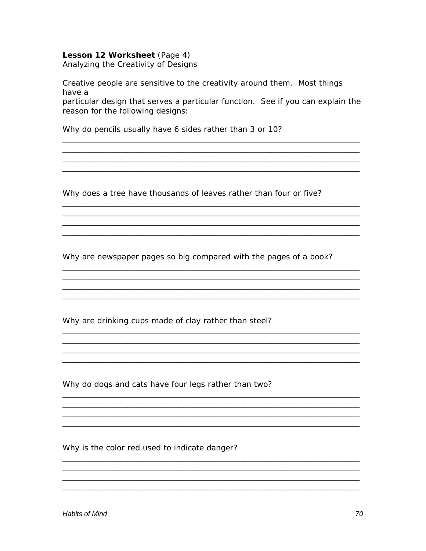#### Lesson 12 Worksheet (Page 4)

Analyzing the Creativity of Designs

Creative people are sensitive to the creativity around them. Most things have a

particular design that serves a particular function. See if you can explain the reason for the following designs:

Why do pencils usually have 6 sides rather than 3 or 10?

Why does a tree have thousands of leaves rather than four or five?

Why are newspaper pages so big compared with the pages of a book?

<u> 1989 - Johann Stoff, deutscher Stoffen und der Stoffen und der Stoffen und der Stoffen und der Stoffen und der</u>

<u> 1980 - Jan James James Barnett, fransk politik (d. 1980)</u>

Why are drinking cups made of clay rather than steel?

Why do dogs and cats have four legs rather than two?

Why is the color red used to indicate danger?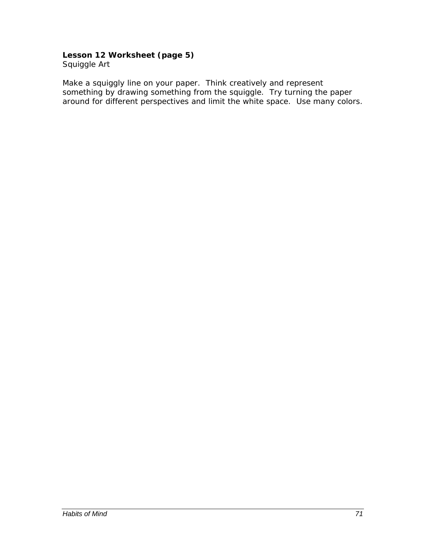# **Lesson 12 Worksheet (page 5)**

Squiggle Art

Make a squiggly line on your paper. Think creatively and represent something by drawing something from the squiggle. Try turning the paper around for different perspectives and limit the white space. Use many colors.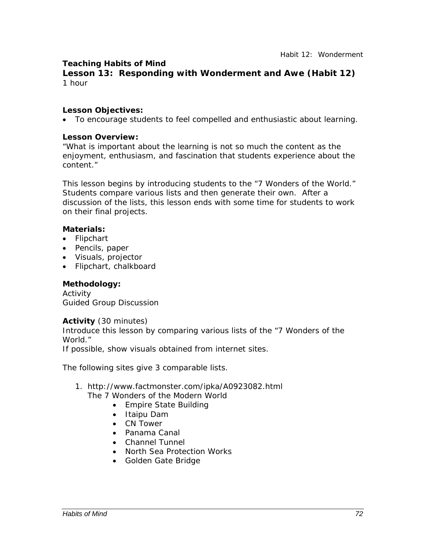# **Teaching Habits of Mind**

**Lesson 13: Responding with Wonderment and Awe (Habit 12)** 1 hour

#### *Lesson Objectives:*

• To encourage students to feel compelled and enthusiastic about learning.

#### *Lesson Overview:*

"What is important about the learning is not so much the content as the enjoyment, enthusiasm, and fascination that students experience about the content."

This lesson begins by introducing students to the "7 Wonders of the World." Students compare various lists and then generate their own. After a discussion of the lists, this lesson ends with some time for students to work on their final projects.

#### *Materials:*

- Flipchart
- Pencils, paper
- Visuals, projector
- Flipchart, chalkboard

# *Methodology:*

Activity Guided Group Discussion

#### *Activity* (30 minutes)

Introduce this lesson by comparing various lists of the "7 Wonders of the World."

If possible, show visuals obtained from internet sites.

The following sites give 3 comparable lists.

- 1. http://www.factmonster.com/ipka/A0923082.html
	- The 7 Wonders of the Modern World
		- Empire State Building
		- Itaipu Dam
		- CN Tower
		- Panama Canal
		- Channel Tunnel
		- North Sea Protection Works
		- Golden Gate Bridge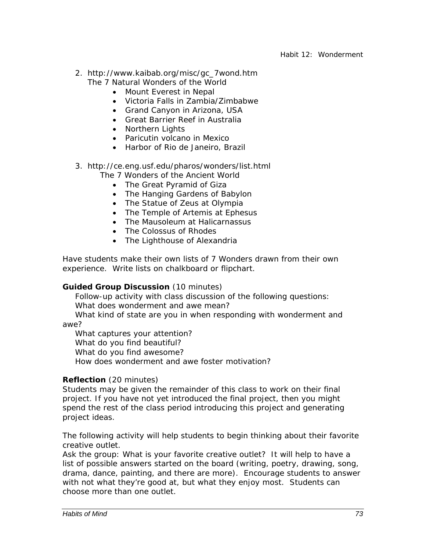- 2. http://www.kaibab.org/misc/gc\_7wond.htm The 7 Natural Wonders of the World
	- Mount Everest in Nepal
	- Victoria Falls in Zambia/Zimbabwe
	- Grand Canyon in Arizona, USA
	- Great Barrier Reef in Australia
	- Northern Lights
	- Paricutin volcano in Mexico
	- Harbor of Rio de Janeiro, Brazil

## 3. http://ce.eng.usf.edu/pharos/wonders/list.html

- The 7 Wonders of the Ancient World
	- The Great Pyramid of Giza
	- The Hanging Gardens of Babylon
	- The Statue of Zeus at Olympia
	- The Temple of Artemis at Ephesus
	- The Mausoleum at Halicarnassus
	- The Colossus of Rhodes
	- The Lighthouse of Alexandria

Have students make their own lists of 7 Wonders drawn from their own experience. Write lists on chalkboard or flipchart.

## *Guided Group Discussion* (10 minutes)

Follow-up activity with class discussion of the following questions: What does wonderment and awe mean?

What kind of state are you in when responding with wonderment and awe?

What captures your attention?

What do you find beautiful?

What do you find awesome?

How does wonderment and awe foster motivation?

## *Reflection* (20 minutes)

Students may be given the remainder of this class to work on their final project. If you have not yet introduced the final project, then you might spend the rest of the class period introducing this project and generating project ideas.

The following activity will help students to begin thinking about their favorite creative outlet.

Ask the group: *What is your favorite creative outlet?* It will help to have a list of possible answers started on the board (writing, poetry, drawing, song, drama, dance, painting, and there are more). Encourage students to answer with not what they're good at, but what they enjoy most. Students can choose more than one outlet.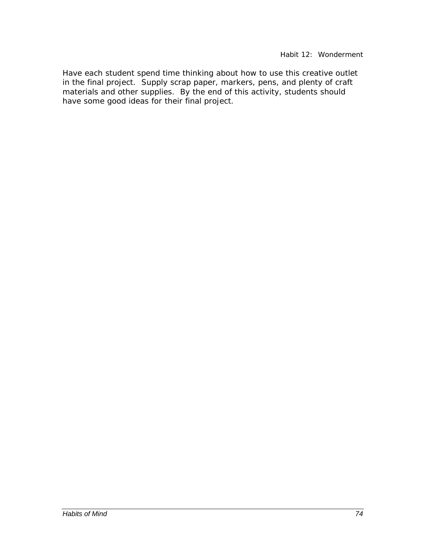Have each student spend time thinking about how to use this creative outlet in the final project. Supply scrap paper, markers, pens, and plenty of craft materials and other supplies. By the end of this activity, students should have some good ideas for their final project.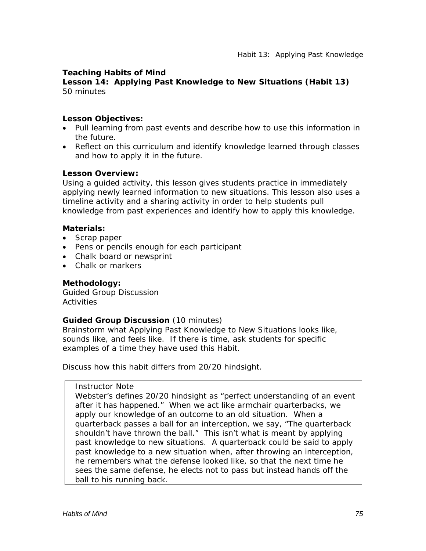## **Teaching Habits of Mind**

**Lesson 14: Applying Past Knowledge to New Situations (Habit 13)**  50 minutes

## *Lesson Objectives:*

- Pull learning from past events and describe how to use this information in the future.
- Reflect on this curriculum and identify knowledge learned through classes and how to apply it in the future.

## *Lesson Overview:*

Using a guided activity, this lesson gives students practice in immediately applying newly learned information to new situations. This lesson also uses a timeline activity and a sharing activity in order to help students pull knowledge from past experiences and identify how to apply this knowledge.

## *Materials:*

- Scrap paper
- Pens or pencils enough for each participant
- Chalk board or newsprint
- Chalk or markers

## *Methodology:*

Guided Group Discussion **Activities** 

## *Guided Group Discussion* (10 minutes)

Brainstorm what Applying Past Knowledge to New Situations looks like, sounds like, and feels like. If there is time, ask students for specific examples of a time they have used this Habit.

Discuss how this habit differs from 20/20 hindsight.

## *Instructor Note*

Webster's defines 20/20 hindsight as "perfect understanding of an event after it has happened." When we act like armchair quarterbacks, we apply our knowledge of an outcome to an old situation. When a quarterback passes a ball for an interception, we say, "The quarterback shouldn't have thrown the ball." This isn't what is meant by applying past knowledge to new situations. A quarterback could be said to apply past knowledge to a new situation when, after throwing an interception, he remembers what the defense looked like, so that the next time he sees the same defense, he elects not to pass but instead hands off the ball to his running back.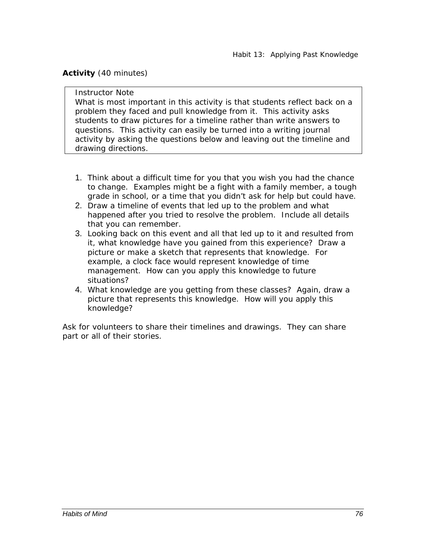## *Activity* (40 minutes)

## *Instructor Note*

What is most important in this activity is that students reflect back on a problem they faced and pull knowledge from it. This activity asks students to draw pictures for a timeline rather than write answers to questions. This activity can easily be turned into a writing journal activity by asking the questions below and leaving out the timeline and drawing directions.

- 1. Think about a difficult time for you that you wish you had the chance to change. Examples might be a fight with a family member, a tough grade in school, or a time that you didn't ask for help but could have.
- 2. Draw a timeline of events that led up to the problem and what happened after you tried to resolve the problem. Include all details that you can remember.
- 3. Looking back on this event and all that led up to it and resulted from it, what knowledge have you gained from this experience? Draw a picture or make a sketch that represents that knowledge. For example, a clock face would represent knowledge of time management. How can you apply this knowledge to future situations?
- 4. What knowledge are you getting from these classes? Again, draw a picture that represents this knowledge. How will you apply this knowledge?

Ask for volunteers to share their timelines and drawings. They can share part or all of their stories.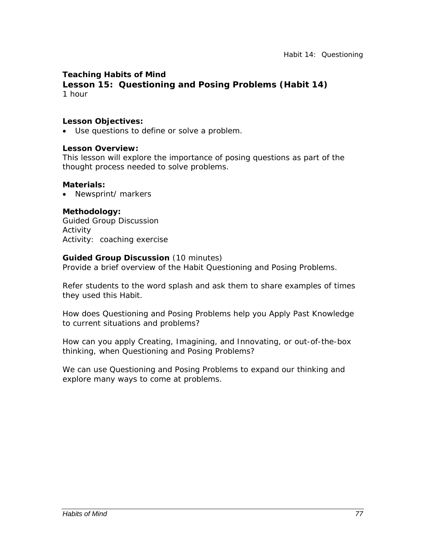## **Teaching Habits of Mind**

**Lesson 15: Questioning and Posing Problems (Habit 14)**  1 hour

#### *Lesson Objectives:*

• Use questions to define or solve a problem.

#### *Lesson Overview:*

This lesson will explore the importance of posing questions as part of the thought process needed to solve problems.

#### *Materials:*

• Newsprint/ markers

#### *Methodology:*

Guided Group Discussion Activity Activity: coaching exercise

#### *Guided Group Discussion* (10 minutes)

Provide a brief overview of the Habit Questioning and Posing Problems.

Refer students to the word splash and ask them to share examples of times they used this Habit.

*How does Questioning and Posing Problems help you Apply Past Knowledge to current situations and problems?* 

*How can you apply Creating, Imagining, and Innovating, or out-of-the-box thinking, when Questioning and Posing Problems?* 

*We can use Questioning and Posing Problems to expand our thinking and explore many ways to come at problems.*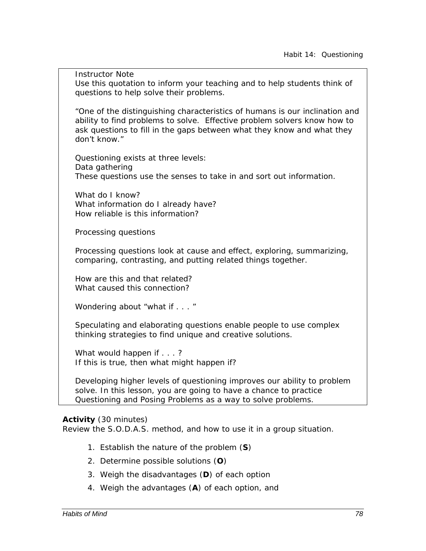*Instructor Note*  Use this quotation to inform your teaching and to help students think of questions to help solve their problems.

"One of the distinguishing characteristics of humans is our inclination and ability to find problems to solve. Effective problem solvers know how to ask questions to fill in the gaps between what they know and what they don't know."

Questioning exists at three levels: *Data gathering*  These questions use the senses to take in and sort out information.

What do I know? What information do I already have? How reliable is this information?

*Processing questions* 

Processing questions look at cause and effect, exploring, summarizing, comparing, contrasting, and putting related things together.

How are this and that related? What caused this connection?

*Wondering about "what if . . . "* 

Speculating and elaborating questions enable people to use complex thinking strategies to find unique and creative solutions.

What would happen if . . . ? If this is true, then what might happen if?

Developing higher levels of questioning improves our ability to problem solve. In this lesson, you are going to have a chance to practice Questioning and Posing Problems as a way to solve problems.

## *Activity* (30 minutes)

Review the S.O.D.A.S. method, and how to use it in a group situation.

- 1. Establish the nature of the problem (**S**)
- 2. Determine possible solutions (**O**)
- 3. Weigh the disadvantages (**D**) of each option
- 4. Weigh the advantages (**A**) of each option, and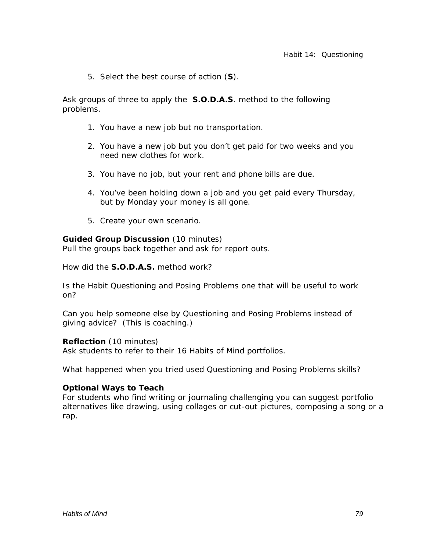5. Select the best course of action (**S**).

Ask groups of three to apply the **S.O.D.A.S**. method to the following problems.

- 1. You have a new job but no transportation.
- 2. You have a new job but you don't get paid for two weeks and you need new clothes for work.
- 3. You have no job, but your rent and phone bills are due.
- 4. You've been holding down a job and you get paid every Thursday, but by Monday your money is all gone.
- 5. Create your own scenario.

## *Guided Group Discussion* (10 minutes)

Pull the groups back together and ask for report outs.

*How did the* **S.O.D.A.S.** method *work?* 

*Is the Habit Questioning and Posing Problems one that will be useful to work on?* 

*Can you help someone else by Questioning and Posing Problems instead of giving advice? (This is coaching.)* 

## *Reflection* (10 minutes)

Ask students to refer to their 16 Habits of Mind portfolios.

*What happened when you tried used Questioning and Posing Problems skills?* 

## *Optional Ways to Teach*

For students who find writing or journaling challenging you can suggest portfolio alternatives like drawing, using collages or cut-out pictures, composing a song or a rap.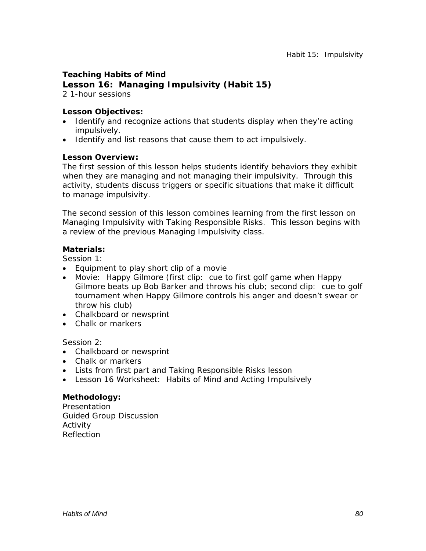## **Teaching Habits of Mind Lesson 16: Managing Impulsivity (Habit 15)**

2 1-hour sessions

## *Lesson Objectives:*

- Identify and recognize actions that students display when they're acting impulsively.
- Identify and list reasons that cause them to act impulsively.

## *Lesson Overview:*

The first session of this lesson helps students identify behaviors they exhibit when they are managing and not managing their impulsivity. Through this activity, students discuss triggers or specific situations that make it difficult to manage impulsivity.

The second session of this lesson combines learning from the first lesson on Managing Impulsivity with Taking Responsible Risks. This lesson begins with a review of the previous Managing Impulsivity class.

#### *Materials:*

Session 1:

- Equipment to play short clip of a movie
- Movie: *Happy Gilmore* (first clip: cue to first golf game when Happy Gilmore beats up Bob Barker and throws his club; second clip: cue to golf tournament when Happy Gilmore controls his anger and doesn't swear or throw his club)
- Chalkboard or newsprint
- Chalk or markers

Session 2:

- Chalkboard or newsprint
- Chalk or markers
- Lists from first part and Taking Responsible Risks lesson
- Lesson 16 Worksheet: Habits of Mind and Acting Impulsively

## *Methodology:*

**Presentation** Guided Group Discussion Activity Reflection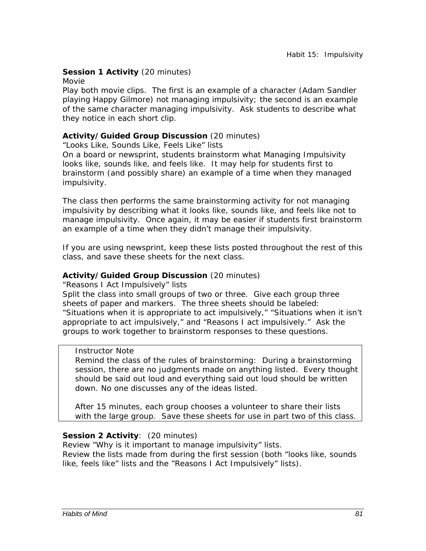## **Session 1 Activity** (20 minutes)

#### Movie

Play both movie clips. The first is an example of a character (Adam Sandler playing Happy Gilmore) not managing impulsivity; the second is an example of the same character managing impulsivity. Ask students to describe what they notice in each short clip.

## *Activity/Guided Group Discussion* (20 minutes)

"Looks Like, Sounds Like, Feels Like" lists

On a board or newsprint, students brainstorm what Managing Impulsivity looks like, sounds like, and feels like. It may help for students first to brainstorm (and possibly share) an example of a time when they managed impulsivity.

The class then performs the same brainstorming activity for *not* managing impulsivity by describing what it looks like, sounds like, and feels like *not* to manage impulsivity. Once again, it may be easier if students first brainstorm an example of a time when they didn't manage their impulsivity.

If you are using newsprint, keep these lists posted throughout the rest of this class, and save these sheets for the next class.

#### *Activity/Guided Group Discussion* (20 minutes)

"Reasons I Act Impulsively" lists

Split the class into small groups of two or three. Give each group three sheets of paper and markers. The three sheets should be labeled: "Situations when it is appropriate to act impulsively," "Situations when it isn't appropriate to act impulsively," and "Reasons I act impulsively." Ask the groups to work together to brainstorm responses to these questions.

#### *Instructor Note*

Remind the class of the rules of brainstorming: During a brainstorming session, there are no judgments made on anything listed. Every thought should be said out loud and everything said out loud should be written down. No one discusses any of the ideas listed.

After 15 minutes, each group chooses a volunteer to share their lists with the large group. Save these sheets for use in part two of this class.

## *Session 2 Activity*: (20 minutes)

Review "Why is it important to manage impulsivity" lists. Review the lists made from during the first session (both "looks like, sounds like, feels like" lists and the "Reasons I Act Impulsively" lists).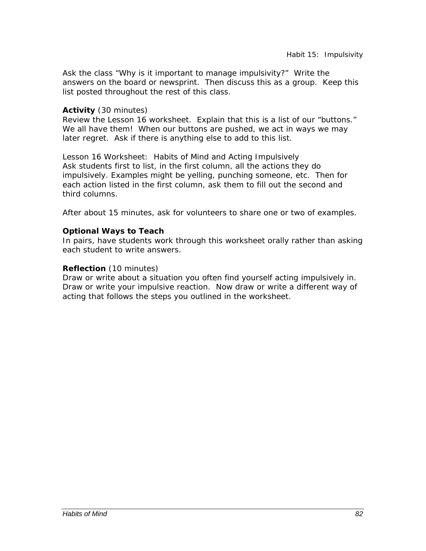Ask the class "Why is it important to manage impulsivity?" Write the answers on the board or newsprint. Then discuss this as a group. Keep this list posted throughout the rest of this class.

## *Activity* (30 minutes)

Review the Lesson 16 worksheet. Explain that this is a list of our "buttons." We all have them! When our buttons are pushed, we act in ways we may later regret. Ask if there is anything else to add to this list.

Lesson 16 Worksheet: Habits of Mind and Acting Impulsively Ask students first to list, in the first column, all the actions they do impulsively. Examples might be yelling, punching someone, etc. Then for each action listed in the first column, ask them to fill out the second and third columns.

After about 15 minutes, ask for volunteers to share one or two of examples.

## *Optional Ways to Teach*

In pairs, have students work through this worksheet orally rather than asking each student to write answers.

## *Reflection* (10 minutes)

Draw or write about a situation you often find yourself acting impulsively in. Draw or write your impulsive reaction. Now draw or write a different way of acting that follows the steps you outlined in the worksheet.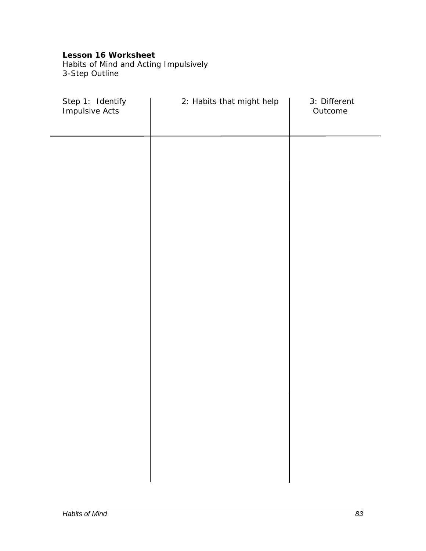Habits of Mind and Acting Impulsively 3-Step Outline

| Step 1: Identify<br>Impulsive Acts | 2: Habits that might help | 3: Different<br>Outcome |
|------------------------------------|---------------------------|-------------------------|
|                                    |                           |                         |
|                                    |                           |                         |
|                                    |                           |                         |
|                                    |                           |                         |
|                                    |                           |                         |
|                                    |                           |                         |
|                                    |                           |                         |
|                                    |                           |                         |
|                                    |                           |                         |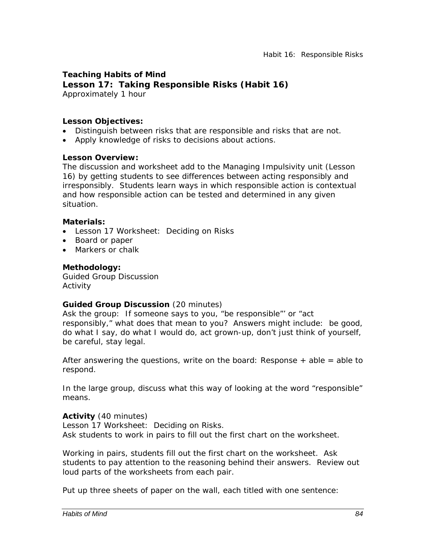**Teaching Habits of Mind Lesson 17: Taking Responsible Risks (Habit 16)**  Approximately 1 hour

## *Lesson Objectives:*

- Distinguish between risks that are responsible and risks that are not.
- Apply knowledge of risks to decisions about actions.

#### *Lesson Overview:*

The discussion and worksheet add to the Managing Impulsivity unit (Lesson 16) by getting students to see differences between acting responsibly and irresponsibly. Students learn ways in which responsible action is contextual and how responsible action can be tested and determined in any given situation.

#### *Materials:*

- Lesson 17 Worksheet: Deciding on Risks
- Board or paper
- Markers or chalk

#### *Methodology:*

Guided Group Discussion Activity

#### *Guided Group Discussion* (20 minutes)

Ask the group: *If someone says to you, "be responsible"' or "act responsibly," what does that mean to you?* Answers might include: be good, do what I say, do what I would do, act grown-up, don't just think of yourself, be careful, stay legal.

After answering the questions, write on the board: *Response + able = able to respond*.

In the large group, discuss what this way of looking at the word "responsible" means.

## *Activity* (40 minutes)

Lesson 17 Worksheet: Deciding on Risks. Ask students to work in pairs to fill out the first chart on the worksheet.

Working in pairs, students fill out the first chart on the worksheet. Ask students to pay attention to the reasoning behind their answers. Review out loud parts of the worksheets from each pair.

Put up three sheets of paper on the wall, each titled with one sentence: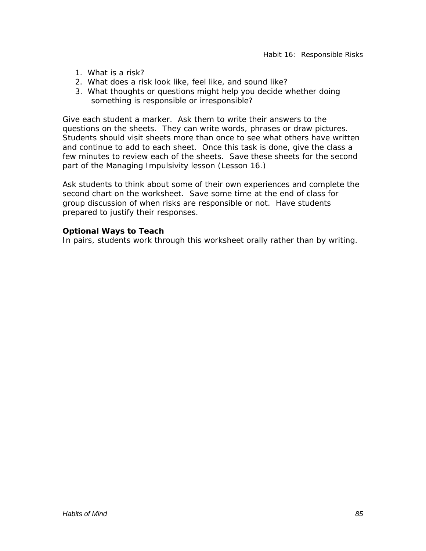- 1. What is a risk?
- 2. What does a risk look like, feel like, and sound like?
- 3. What thoughts or questions might help you decide whether doing something is responsible or irresponsible?

Give each student a marker. Ask them to write their answers to the questions on the sheets. They can write words, phrases or draw pictures. Students should visit sheets more than once to see what others have written and continue to add to each sheet. Once this task is done, give the class a few minutes to review each of the sheets. Save these sheets for the second part of the Managing Impulsivity lesson (Lesson 16.)

Ask students to think about some of their own experiences and complete the second chart on the worksheet. Save some time at the end of class for group discussion of when risks are responsible or not. Have students prepared to justify their responses.

#### *Optional Ways to Teach*

In pairs, students work through this worksheet orally rather than by writing.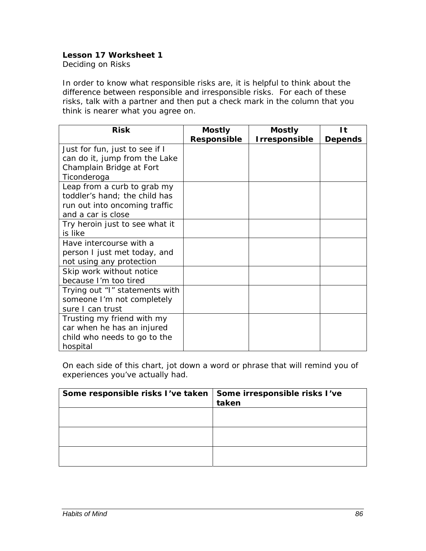Deciding on Risks

In order to know what responsible risks are, it is helpful to think about the difference between responsible and irresponsible risks. For each of these risks, talk with a partner and then put a check mark in the column that you think is nearer what you agree on.

| <b>Risk</b>                    | <b>Mostly</b> | <b>Mostly</b> | 1t             |
|--------------------------------|---------------|---------------|----------------|
|                                | Responsible   | Irresponsible | <b>Depends</b> |
| Just for fun, just to see if I |               |               |                |
| can do it, jump from the Lake  |               |               |                |
| Champlain Bridge at Fort       |               |               |                |
| Ticonderoga                    |               |               |                |
| Leap from a curb to grab my    |               |               |                |
| toddler's hand; the child has  |               |               |                |
| run out into oncoming traffic  |               |               |                |
| and a car is close             |               |               |                |
| Try heroin just to see what it |               |               |                |
| is like                        |               |               |                |
| Have intercourse with a        |               |               |                |
| person I just met today, and   |               |               |                |
| not using any protection       |               |               |                |
| Skip work without notice       |               |               |                |
| because I'm too tired          |               |               |                |
| Trying out "I" statements with |               |               |                |
| someone I'm not completely     |               |               |                |
| sure I can trust               |               |               |                |
| Trusting my friend with my     |               |               |                |
| car when he has an injured     |               |               |                |
| child who needs to go to the   |               |               |                |
| hospital                       |               |               |                |

On each side of this chart, jot down a word or phrase that will remind you of experiences you've actually had.

| Some responsible risks I've taken   Some irresponsible risks I've | taken |
|-------------------------------------------------------------------|-------|
|                                                                   |       |
|                                                                   |       |
|                                                                   |       |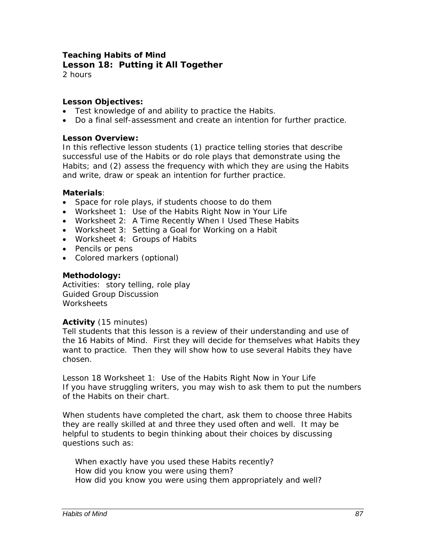## **Teaching Habits of Mind Lesson 18: Putting it All Together**

2 hours

## *Lesson Objectives:*

- Test knowledge of and ability to practice the Habits.
- Do a final self-assessment and create an intention for further practice.

#### *Lesson Overview:*

In this reflective lesson students (1) practice telling stories that describe successful use of the Habits or do role plays that demonstrate using the Habits; and (2) assess the frequency with which they are using the Habits and write, draw or speak an intention for further practice.

## *Materials:*

- Space for role plays, if students choose to do them
- Worksheet 1: Use of the Habits Right Now in Your Life
- Worksheet 2: A Time Recently When I Used These Habits
- Worksheet 3: Setting a Goal for Working on a Habit
- Worksheet 4: Groups of Habits
- Pencils or pens
- Colored markers (optional)

#### *Methodology:*

Activities: story telling, role play Guided Group Discussion **Worksheets** 

#### *Activity* (15 minutes)

Tell students that this lesson is a review of their understanding and use of the 16 Habits of Mind. First they will decide for themselves what Habits they want to practice. Then they will show how to use several Habits they have chosen.

Lesson 18 Worksheet 1: Use of the Habits Right Now in Your Life If you have struggling writers, you may wish to ask them to put the numbers of the Habits on their chart.

When students have completed the chart, ask them to choose three Habits they are really skilled at and three they used often and well. It may be helpful to students to begin thinking about their choices by discussing questions such as:

*When exactly have you used these Habits recently? How did you know you were using them? How did you know you were using them appropriately and well?*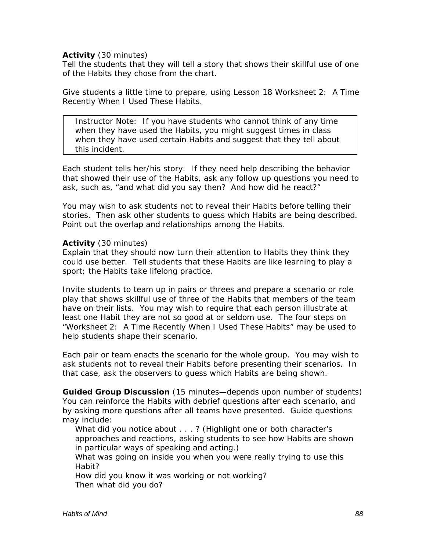## *Activity* (30 minutes)

Tell the students that they will tell a story that shows their skillful use of one of the Habits they chose from the chart.

Give students a little time to prepare, using Lesson 18 Worksheet 2: A Time Recently When I Used These Habits.

*Instructor Note*: If you have students who cannot think of any time when they have used the Habits, you might suggest times in class when they have used certain Habits and suggest that they tell about this incident.

Each student tells her/his story. If they need help describing the behavior that showed their use of the Habits, ask any follow up questions you need to ask, such as, *"and what did you say then? And how did he react?"* 

You may wish to ask students not to reveal their Habits before telling their stories. Then ask other students to guess which Habits are being described. Point out the overlap and relationships among the Habits.

#### *Activity* (30 minutes)

Explain that they should now turn their attention to Habits they think they could use better. Tell students that these Habits are like learning to play a sport; the Habits take lifelong practice.

Invite students to team up in pairs or threes and prepare a scenario or role play that shows skillful use of three of the Habits that members of the team have on their lists. You may wish to require that each person illustrate at least one Habit they are not so good at or seldom use. The four steps on "Worksheet 2: A Time Recently When I Used These Habits" may be used to help students shape their scenario.

Each pair or team enacts the scenario for the whole group. You may wish to ask students not to reveal their Habits before presenting their scenarios. In that case, ask the observers to guess which Habits are being shown.

*Guided Group Discussion* (15 minutes—depends upon number of students) You can reinforce the Habits with debrief questions after each scenario, and by asking more questions after all teams have presented. Guide questions may include:

*What did you notice about . . . ?* (Highlight one or both character's approaches and reactions, asking students to see how Habits are shown in particular ways of speaking and acting.)

*What was going on inside you when you were really trying to use this Habit?* 

*How did you know it was working or not working? Then what did you do?*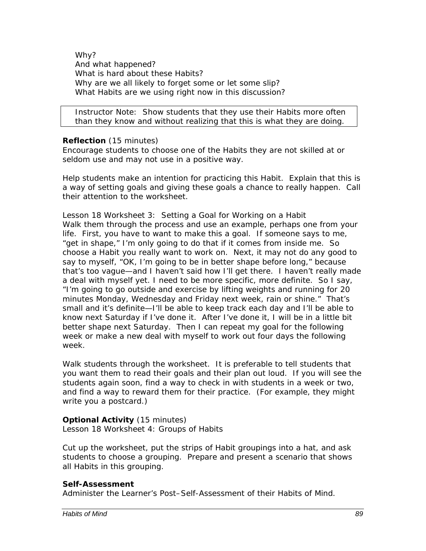*Why? And what happened? What is hard about these Habits? Why are we all likely to forget some or let some slip? What Habits are we using right now in this discussion?* 

*Instructor Note:* Show students that they use their Habits more often than they know and without realizing that this is what they are doing.

## *Reflection* (15 minutes)

Encourage students to choose one of the Habits they are not skilled at or seldom use and may not use in a positive way.

Help students make an intention for practicing this Habit. Explain that this is a way of setting goals and giving these goals a chance to really happen. Call their attention to the worksheet.

Lesson 18 Worksheet 3: Setting a Goal for Working on a Habit Walk them through the process and use an example, perhaps one from your life. *First, you have to want to make this a goal. If someone says to me, "get in shape," I'm only going to do that if it comes from inside me. So choose a Habit you really want to work on. Next, it may not do any good to say to myself, "OK, I'm going to be in better shape before long," because that's too vague—and I haven't said how I'll get there. I haven't really made a deal with myself yet. I need to be more specific, more definite. So I say, "I'm going to go outside and exercise by lifting weights and running for 20 minutes Monday, Wednesday and Friday next week, rain or shine." That's small and it's definite—I'll be able to keep track each day and I'll be able to know next Saturday if I've done it. After I've done it, I will be in a little bit better shape next Saturday. Then I can repeat my goal for the following week or make a new deal with myself to work out four days the following week.* 

Walk students through the worksheet. It is preferable to tell students that you want them to read their goals and their plan out loud. If you will see the students again soon, find a way to check in with students in a week or two, and find a way to reward them for their practice. (For example, they might write you a postcard.)

## *Optional Activity* (15 minutes)

Lesson 18 Worksheet 4: Groups of Habits

Cut up the worksheet, put the strips of Habit groupings into a hat, and ask students to choose a grouping. Prepare and present a scenario that shows all Habits in this grouping.

## *Self-Assessment*

Administer the Learner's Post–Self-Assessment of their Habits of Mind.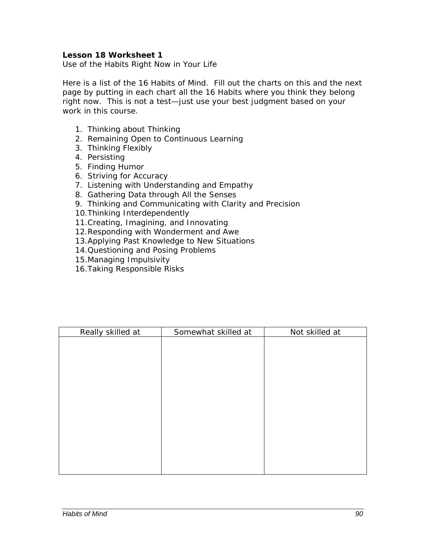Use of the Habits Right Now in Your Life

Here is a list of the 16 Habits of Mind. Fill out the charts on this and the next page by putting in each chart all the 16 Habits where you think they belong right now. This is not a test—just use your best judgment based on your work in this course.

- 1. Thinking about Thinking
- 2. Remaining Open to Continuous Learning
- 3. Thinking Flexibly
- 4. Persisting
- 5. Finding Humor
- 6. Striving for Accuracy
- 7. Listening with Understanding and Empathy
- 8. Gathering Data through All the Senses
- 9. Thinking and Communicating with Clarity and Precision
- 10.Thinking Interdependently
- 11.Creating, Imagining, and Innovating
- 12.Responding with Wonderment and Awe
- 13.Applying Past Knowledge to New Situations
- 14.Questioning and Posing Problems
- 15.Managing Impulsivity
- 16.Taking Responsible Risks

| Really skilled at | Somewhat skilled at | Not skilled at |
|-------------------|---------------------|----------------|
|                   |                     |                |
|                   |                     |                |
|                   |                     |                |
|                   |                     |                |
|                   |                     |                |
|                   |                     |                |
|                   |                     |                |
|                   |                     |                |
|                   |                     |                |
|                   |                     |                |
|                   |                     |                |
|                   |                     |                |
|                   |                     |                |
|                   |                     |                |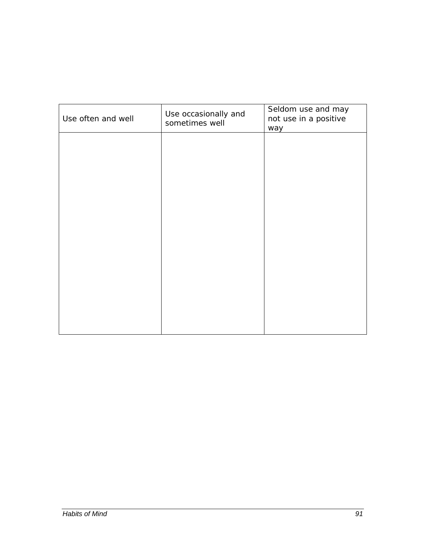| Use often and well | Use occasionally and<br>sometimes well | Seldom use and may<br>not use in a positive<br>way |
|--------------------|----------------------------------------|----------------------------------------------------|
|                    |                                        |                                                    |
|                    |                                        |                                                    |
|                    |                                        |                                                    |
|                    |                                        |                                                    |
|                    |                                        |                                                    |
|                    |                                        |                                                    |
|                    |                                        |                                                    |
|                    |                                        |                                                    |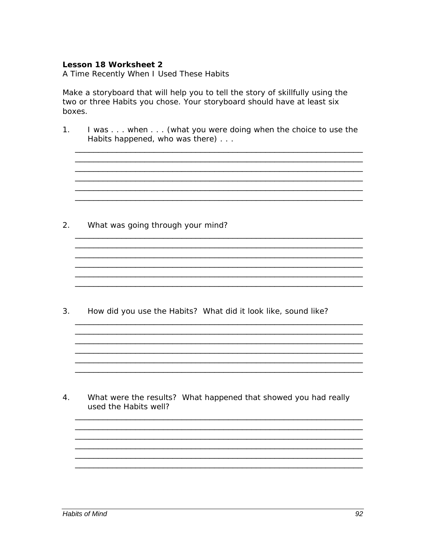A Time Recently When I Used These Habits

Make a storyboard that will help you to tell the story of skillfully using the two or three Habits you chose. Your storyboard should have at least six boxes.

I was . . . when . . . (what you were doing when the choice to use the  $1<sub>1</sub>$ Habits happened, who was there)...

<u> 1990 - Johann Stoff, amerikan berkeman (h. 1980).</u>

<u> 1989 - Johann Stoff, amerikansk politiker (d. 1989)</u>

 $2.$ What was going through your mind?

How did you use the Habits? What did it look like, sound like?  $3.$ 

4. What were the results? What happened that showed you had really used the Habits well?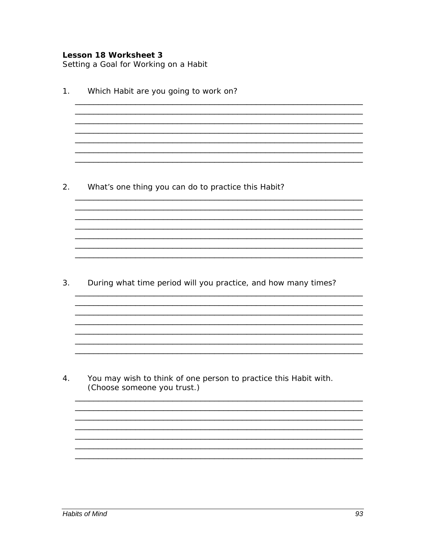Setting a Goal for Working on a Habit

 $1.$ Which Habit are you going to work on? <u> 1999 - 1999 - 1999 - 1999 - 1999 - 1999 - 1999 - 1999 - 1999 - 1999 - 1999 - 1999 - 1999 - 1999 - 1999 - 199</u> 2. What's one thing you can do to practice this Habit? 3. During what time period will you practice, and how many times? <u> 1980 - Johann John Stone, mars and de British and de British and de British and de British and de British an</u> 4. You may wish to think of one person to practice this Habit with. (Choose someone you trust.)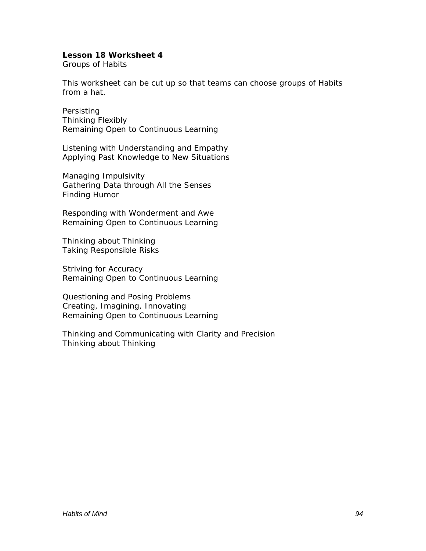Groups of Habits

This worksheet can be cut up so that teams can choose groups of Habits from a hat.

Persisting Thinking Flexibly Remaining Open to Continuous Learning

Listening with Understanding and Empathy Applying Past Knowledge to New Situations

Managing Impulsivity Gathering Data through All the Senses Finding Humor

Responding with Wonderment and Awe Remaining Open to Continuous Learning

Thinking about Thinking Taking Responsible Risks

Striving for Accuracy Remaining Open to Continuous Learning

Questioning and Posing Problems Creating, Imagining, Innovating Remaining Open to Continuous Learning

Thinking and Communicating with Clarity and Precision Thinking about Thinking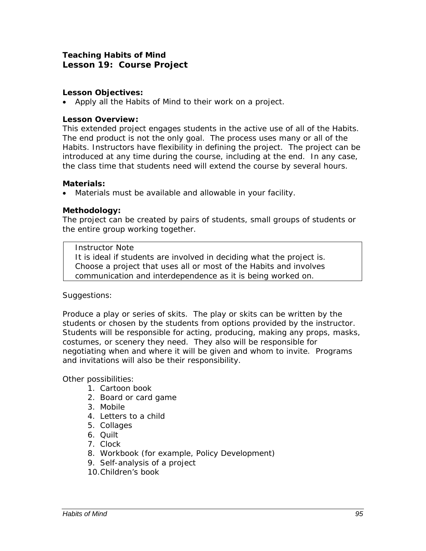## **Teaching Habits of Mind Lesson 19: Course Project**

## *Lesson Objectives:*

• Apply all the Habits of Mind to their work on a project.

## *Lesson Overview:*

This extended project engages students in the active use of all of the Habits. The end product is not the only goal. The process uses many or all of the Habits. Instructors have flexibility in defining the project. The project can be introduced at any time during the course, including at the end. In any case, the class time that students need will extend the course by several hours.

## *Materials:*

• Materials must be available and allowable in your facility.

## *Methodology:*

The project can be created by pairs of students, small groups of students or the entire group working together.

#### *Instructor Note*

It is ideal if students are involved in deciding what the project is. Choose a project that uses all or most of the Habits and involves communication and interdependence as it is being worked on.

## *Suggestions*:

Produce a play or series of skits. The play or skits can be written by the students or chosen by the students from options provided by the instructor. Students will be responsible for acting, producing, making any props, masks, costumes, or scenery they need. They also will be responsible for negotiating when and where it will be given and whom to invite. Programs and invitations will also be their responsibility.

Other possibilities:

- 1. Cartoon book
- 2. Board or card game
- 3. Mobile
- 4. Letters to a child
- 5. Collages
- 6. Quilt
- 7. Clock
- 8. Workbook (for example, Policy Development)
- 9. Self-analysis of a project
- 10.Children's book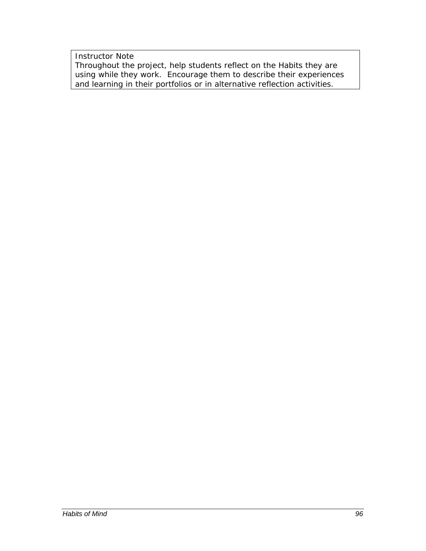*Instructor Note*  Throughout the project, help students reflect on the Habits they are using while they work. Encourage them to describe their experiences and learning in their portfolios or in alternative reflection activities.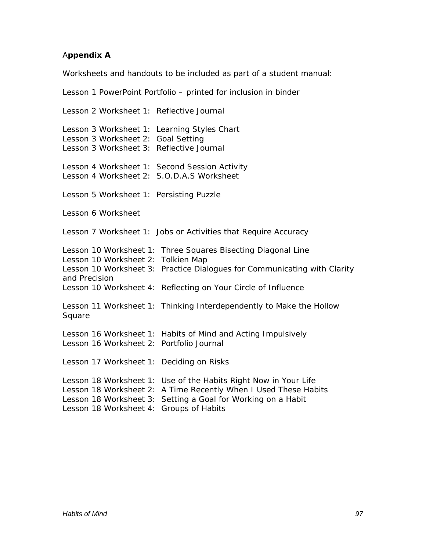## A**ppendix A**

Worksheets and handouts to be included as part of a student manual:

Lesson 1 PowerPoint Portfolio – printed for inclusion in binder Lesson 2 Worksheet 1: Reflective Journal Lesson 3 Worksheet 1: Learning Styles Chart Lesson 3 Worksheet 2: Goal Setting Lesson 3 Worksheet 3: Reflective Journal Lesson 4 Worksheet 1: Second Session Activity Lesson 4 Worksheet 2: S.O.D.A.S Worksheet Lesson 5 Worksheet 1: Persisting Puzzle Lesson 6 Worksheet Lesson 7 Worksheet 1: Jobs or Activities that Require Accuracy Lesson 10 Worksheet 1: Three Squares Bisecting Diagonal Line Lesson 10 Worksheet 2: Tolkien Map Lesson 10 Worksheet 3: Practice Dialogues for Communicating with Clarity and Precision Lesson 10 Worksheet 4: Reflecting on Your Circle of Influence Lesson 11 Worksheet 1: Thinking Interdependently to Make the Hollow Square Lesson 16 Worksheet 1: Habits of Mind and Acting Impulsively Lesson 16 Worksheet 2: Portfolio Journal Lesson 17 Worksheet 1: Deciding on Risks Lesson 18 Worksheet 1: Use of the Habits Right Now in Your Life Lesson 18 Worksheet 2: A Time Recently When I Used These Habits Lesson 18 Worksheet 3: Setting a Goal for Working on a Habit Lesson 18 Worksheet 4: Groups of Habits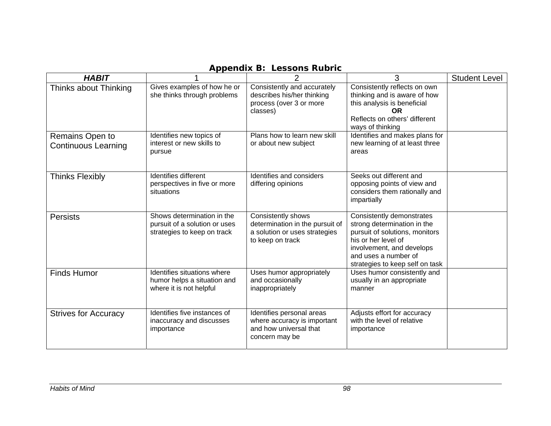| <b>HABIT</b>                                  |                                                                                            | $\overline{2}$                                                                                             | 3                                                                                                                                                                                                         | <b>Student Level</b> |
|-----------------------------------------------|--------------------------------------------------------------------------------------------|------------------------------------------------------------------------------------------------------------|-----------------------------------------------------------------------------------------------------------------------------------------------------------------------------------------------------------|----------------------|
| Thinks about Thinking                         | Gives examples of how he or<br>she thinks through problems                                 | Consistently and accurately<br>describes his/her thinking<br>process (over 3 or more<br>classes)           | Consistently reflects on own<br>thinking and is aware of how<br>this analysis is beneficial<br><b>OR</b><br>Reflects on others' different<br>ways of thinking                                             |                      |
| Remains Open to<br><b>Continuous Learning</b> | Identifies new topics of<br>interest or new skills to<br>pursue                            | Plans how to learn new skill<br>or about new subject                                                       | Identifies and makes plans for<br>new learning of at least three<br>areas                                                                                                                                 |                      |
| <b>Thinks Flexibly</b>                        | Identifies different<br>perspectives in five or more<br>situations                         | Identifies and considers<br>differing opinions                                                             | Seeks out different and<br>opposing points of view and<br>considers them rationally and<br>impartially                                                                                                    |                      |
| <b>Persists</b>                               | Shows determination in the<br>pursuit of a solution or uses<br>strategies to keep on track | Consistently shows<br>determination in the pursuit of<br>a solution or uses strategies<br>to keep on track | Consistently demonstrates<br>strong determination in the<br>pursuit of solutions, monitors<br>his or her level of<br>involvement, and develops<br>and uses a number of<br>strategies to keep self on task |                      |
| <b>Finds Humor</b>                            | Identifies situations where<br>humor helps a situation and<br>where it is not helpful      | Uses humor appropriately<br>and occasionally<br>inappropriately                                            | Uses humor consistently and<br>usually in an appropriate<br>manner                                                                                                                                        |                      |
| <b>Strives for Accuracy</b>                   | Identifies five instances of<br>inaccuracy and discusses<br>importance                     | Identifies personal areas<br>where accuracy is important<br>and how universal that<br>concern may be       | Adjusts effort for accuracy<br>with the level of relative<br>importance                                                                                                                                   |                      |

## **Appendix B: Lessons Rubric**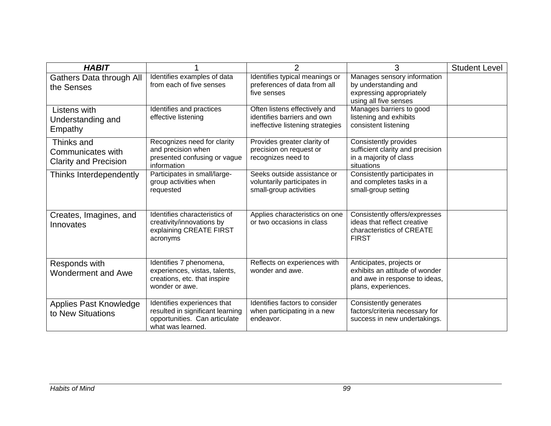| <b>HABIT</b>                                                    |                                                                                                                       | $\overline{2}$                                                                                   | 3                                                                                                                  | <b>Student Level</b> |
|-----------------------------------------------------------------|-----------------------------------------------------------------------------------------------------------------------|--------------------------------------------------------------------------------------------------|--------------------------------------------------------------------------------------------------------------------|----------------------|
| Gathers Data through All<br>the Senses                          | Identifies examples of data<br>from each of five senses                                                               | Identifies typical meanings or<br>preferences of data from all<br>five senses                    | Manages sensory information<br>by understanding and<br>expressing appropriately<br>using all five senses           |                      |
| Listens with<br>Understanding and<br>Empathy                    | Identifies and practices<br>effective listening                                                                       | Often listens effectively and<br>identifies barriers and own<br>ineffective listening strategies | Manages barriers to good<br>listening and exhibits<br>consistent listening                                         |                      |
| Thinks and<br>Communicates with<br><b>Clarity and Precision</b> | Recognizes need for clarity<br>and precision when<br>presented confusing or vague<br>information                      | Provides greater clarity of<br>precision on request or<br>recognizes need to                     | Consistently provides<br>sufficient clarity and precision<br>in a majority of class<br>situations                  |                      |
| Thinks Interdependently                                         | Participates in small/large-<br>group activities when<br>requested                                                    | Seeks outside assistance or<br>voluntarily participates in<br>small-group activities             | Consistently participates in<br>and completes tasks in a<br>small-group setting                                    |                      |
| Creates, Imagines, and<br>Innovates                             | Identifies characteristics of<br>creativity/innovations by<br>explaining CREATE FIRST<br>acronyms                     | Applies characteristics on one<br>or two occasions in class                                      | Consistently offers/expresses<br>ideas that reflect creative<br>characteristics of CREATE<br><b>FIRST</b>          |                      |
| Responds with<br><b>Wonderment and Awe</b>                      | Identifies 7 phenomena,<br>experiences, vistas, talents,<br>creations, etc. that inspire<br>wonder or awe.            | Reflects on experiences with<br>wonder and awe.                                                  | Anticipates, projects or<br>exhibits an attitude of wonder<br>and awe in response to ideas,<br>plans, experiences. |                      |
| Applies Past Knowledge<br>to New Situations                     | Identifies experiences that<br>resulted in significant learning<br>opportunities. Can articulate<br>what was learned. | Identifies factors to consider<br>when participating in a new<br>endeavor.                       | Consistently generates<br>factors/criteria necessary for<br>success in new undertakings.                           |                      |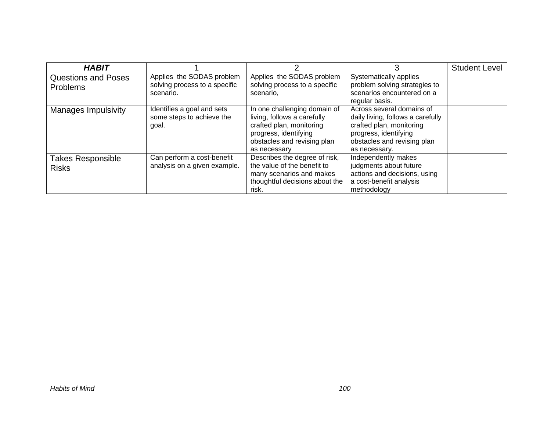| <b>HABIT</b>                             |                                                                  |                                                                                                                                                                 |                                                                                                                                                                     | <b>Student Level</b> |
|------------------------------------------|------------------------------------------------------------------|-----------------------------------------------------------------------------------------------------------------------------------------------------------------|---------------------------------------------------------------------------------------------------------------------------------------------------------------------|----------------------|
| <b>Questions and Poses</b><br>Problems   | Applies the SODAS problem<br>solving process to a specific       | Applies the SODAS problem<br>solving process to a specific                                                                                                      | Systematically applies<br>problem solving strategies to                                                                                                             |                      |
|                                          | scenario.                                                        | scenario.                                                                                                                                                       | scenarios encountered on a<br>regular basis.                                                                                                                        |                      |
| <b>Manages Impulsivity</b>               | Identifies a goal and sets<br>some steps to achieve the<br>goal. | In one challenging domain of<br>living, follows a carefully<br>crafted plan, monitoring<br>progress, identifying<br>obstacles and revising plan<br>as necessary | Across several domains of<br>daily living, follows a carefully<br>crafted plan, monitoring<br>progress, identifying<br>obstacles and revising plan<br>as necessary. |                      |
| <b>Takes Responsible</b><br><b>Risks</b> | Can perform a cost-benefit<br>analysis on a given example.       | Describes the degree of risk,<br>the value of the benefit to                                                                                                    | Independently makes<br>judgments about future                                                                                                                       |                      |
|                                          |                                                                  | many scenarios and makes<br>thoughtful decisions about the<br>risk.                                                                                             | actions and decisions, using<br>a cost-benefit analysis<br>methodology                                                                                              |                      |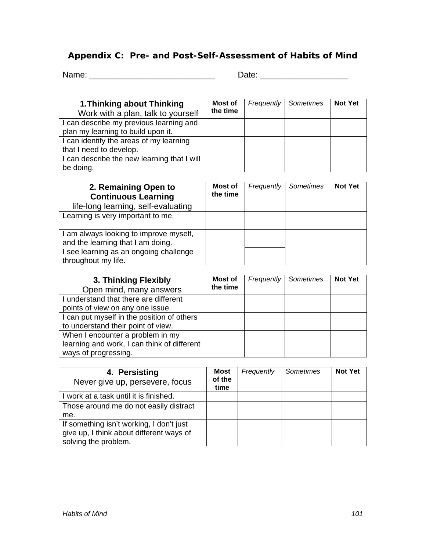## **Appendix C: Pre- and Post-Self-Assessment of Habits of Mind**

Name: \_\_\_\_\_\_\_\_\_\_\_\_\_\_\_\_\_\_\_\_\_\_\_\_\_\_\_ Date: \_\_\_\_\_\_\_\_\_\_\_\_\_\_\_\_\_\_\_

| 1. Thinking about Thinking<br>Work with a plan, talk to yourself | <b>Most of</b><br>the time | <b>Frequently Sometimes</b> | <b>Not Yet</b> |
|------------------------------------------------------------------|----------------------------|-----------------------------|----------------|
| I can describe my previous learning and                          |                            |                             |                |
| plan my learning to build upon it.                               |                            |                             |                |
| I can identify the areas of my learning                          |                            |                             |                |
| that I need to develop.                                          |                            |                             |                |
| I can describe the new learning that I will                      |                            |                             |                |
| be doing.                                                        |                            |                             |                |

| 2. Remaining Open to<br><b>Continuous Learning</b><br>life-long learning, self-evaluating | Most of<br>the time | Frequently | Sometimes | <b>Not Yet</b> |
|-------------------------------------------------------------------------------------------|---------------------|------------|-----------|----------------|
| Learning is very important to me.                                                         |                     |            |           |                |
| I am always looking to improve myself,<br>and the learning that I am doing.               |                     |            |           |                |
| I see learning as an ongoing challenge<br>throughout my life.                             |                     |            |           |                |

| 3. Thinking Flexibly<br>Open mind, many answers | Most of<br>the time | <b>Frequently</b> | Sometimes | <b>Not Yet</b> |
|-------------------------------------------------|---------------------|-------------------|-----------|----------------|
| I understand that there are different           |                     |                   |           |                |
| points of view on any one issue.                |                     |                   |           |                |
| I can put myself in the position of others      |                     |                   |           |                |
| to understand their point of view.              |                     |                   |           |                |
| When I encounter a problem in my                |                     |                   |           |                |
| learning and work, I can think of different     |                     |                   |           |                |
| ways of progressing.                            |                     |                   |           |                |

| 4. Persisting<br>Never give up, persevere, focus                                     | <b>Most</b><br>of the<br>time | Frequently | Sometimes | <b>Not Yet</b> |
|--------------------------------------------------------------------------------------|-------------------------------|------------|-----------|----------------|
| I work at a task until it is finished.                                               |                               |            |           |                |
| Those around me do not easily distract                                               |                               |            |           |                |
| me.                                                                                  |                               |            |           |                |
| If something isn't working, I don't just<br>give up, I think about different ways of |                               |            |           |                |
| solving the problem.                                                                 |                               |            |           |                |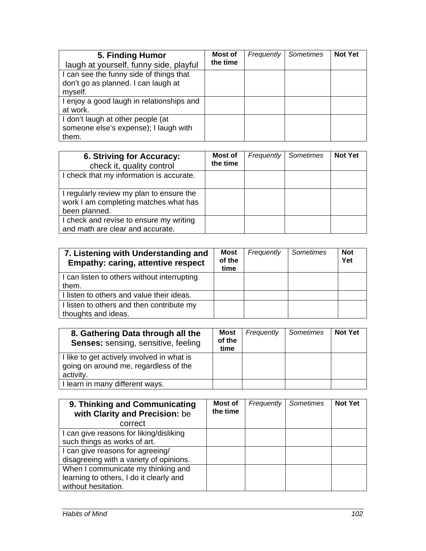| 5. Finding Humor<br>laugh at yourself, funny side, playful | Most of<br>the time | Frequently | Sometimes | <b>Not Yet</b> |
|------------------------------------------------------------|---------------------|------------|-----------|----------------|
| I can see the funny side of things that                    |                     |            |           |                |
| don't go as planned. I can laugh at                        |                     |            |           |                |
| myself.                                                    |                     |            |           |                |
| I enjoy a good laugh in relationships and                  |                     |            |           |                |
| at work.                                                   |                     |            |           |                |
| I don't laugh at other people (at                          |                     |            |           |                |
| someone else's expense); I laugh with                      |                     |            |           |                |
| them.                                                      |                     |            |           |                |

| 6. Striving for Accuracy:<br>check it, quality control                                             | Most of<br>the time | Frequently | Sometimes | <b>Not Yet</b> |
|----------------------------------------------------------------------------------------------------|---------------------|------------|-----------|----------------|
| I check that my information is accurate.                                                           |                     |            |           |                |
| I regularly review my plan to ensure the<br>work I am completing matches what has<br>been planned. |                     |            |           |                |
| I check and revise to ensure my writing<br>and math are clear and accurate.                        |                     |            |           |                |

| 7. Listening with Understanding and<br><b>Empathy: caring, attentive respect</b> | Most<br>of the<br>time | Frequently | Sometimes | <b>Not</b><br>Yet |
|----------------------------------------------------------------------------------|------------------------|------------|-----------|-------------------|
| I can listen to others without interrupting<br>them.                             |                        |            |           |                   |
| I listen to others and value their ideas.                                        |                        |            |           |                   |
| I listen to others and then contribute my<br>thoughts and ideas.                 |                        |            |           |                   |

| 8. Gathering Data through all the<br><b>Senses: sensing, sensitive, feeling</b>                  | <b>Most</b><br>of the<br>time | Frequently | Sometimes | <b>Not Yet</b> |
|--------------------------------------------------------------------------------------------------|-------------------------------|------------|-----------|----------------|
| I like to get actively involved in what is<br>going on around me, regardless of the<br>activity. |                               |            |           |                |
| I learn in many different ways.                                                                  |                               |            |           |                |

| 9. Thinking and Communicating<br>with Clarity and Precision: be                                      | Most of<br>the time | Frequently | Sometimes | <b>Not Yet</b> |
|------------------------------------------------------------------------------------------------------|---------------------|------------|-----------|----------------|
| correct                                                                                              |                     |            |           |                |
| I can give reasons for liking/disliking<br>such things as works of art.                              |                     |            |           |                |
| I can give reasons for agreeing/<br>disagreeing with a variety of opinions.                          |                     |            |           |                |
| When I communicate my thinking and<br>learning to others, I do it clearly and<br>without hesitation. |                     |            |           |                |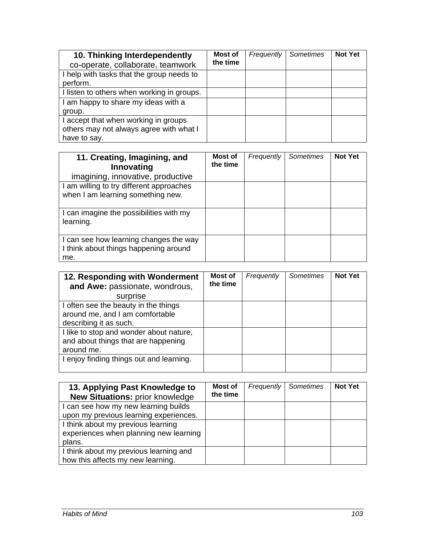| 10. Thinking Interdependently<br>co-operate, collaborate, teamwork | Most of<br>the time | Frequently | Sometimes | <b>Not Yet</b> |
|--------------------------------------------------------------------|---------------------|------------|-----------|----------------|
| I help with tasks that the group needs to                          |                     |            |           |                |
| perform.                                                           |                     |            |           |                |
| I listen to others when working in groups.                         |                     |            |           |                |
| I am happy to share my ideas with a                                |                     |            |           |                |
| group.                                                             |                     |            |           |                |
| I accept that when working in groups                               |                     |            |           |                |
| others may not always agree with what I                            |                     |            |           |                |
| have to say.                                                       |                     |            |           |                |

| 11. Creating, Imagining, and<br>Innovating<br>imagining, innovative, productive        | Most of<br>the time | Frequently | Sometimes | <b>Not Yet</b> |
|----------------------------------------------------------------------------------------|---------------------|------------|-----------|----------------|
| I am willing to try different approaches<br>when I am learning something new.          |                     |            |           |                |
| I can imagine the possibilities with my<br>learning.                                   |                     |            |           |                |
| I can see how learning changes the way<br>I think about things happening around<br>me. |                     |            |           |                |

| 12. Responding with Wonderment<br>and Awe: passionate, wondrous,                                  | Most of<br>the time | Frequently | Sometimes | <b>Not Yet</b> |
|---------------------------------------------------------------------------------------------------|---------------------|------------|-----------|----------------|
| surprise                                                                                          |                     |            |           |                |
| I often see the beauty in the things<br>around me, and I am comfortable<br>describing it as such. |                     |            |           |                |
| I like to stop and wonder about nature,<br>and about things that are happening<br>around me.      |                     |            |           |                |
| I enjoy finding things out and learning.                                                          |                     |            |           |                |

| 13. Applying Past Knowledge to<br><b>New Situations: prior knowledge</b>               | Most of<br>the time | Frequently | Sometimes | <b>Not Yet</b> |
|----------------------------------------------------------------------------------------|---------------------|------------|-----------|----------------|
| I can see how my new learning builds                                                   |                     |            |           |                |
| upon my previous learning experiences.                                                 |                     |            |           |                |
| I think about my previous learning<br>experiences when planning new learning<br>plans. |                     |            |           |                |
| I think about my previous learning and<br>how this affects my new learning.            |                     |            |           |                |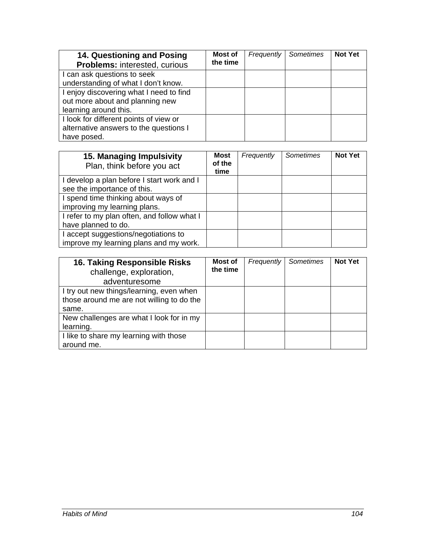| 14. Questioning and Posing<br>Problems: interested, curious | Most of<br>the time | <b>Frequently</b> | <b>Sometimes</b> | <b>Not Yet</b> |
|-------------------------------------------------------------|---------------------|-------------------|------------------|----------------|
| I can ask questions to seek                                 |                     |                   |                  |                |
| understanding of what I don't know.                         |                     |                   |                  |                |
| I enjoy discovering what I need to find                     |                     |                   |                  |                |
| out more about and planning new                             |                     |                   |                  |                |
| learning around this.                                       |                     |                   |                  |                |
| I look for different points of view or                      |                     |                   |                  |                |
| alternative answers to the questions I                      |                     |                   |                  |                |
| have posed.                                                 |                     |                   |                  |                |

| 15. Managing Impulsivity<br>Plan, think before you act | <b>Most</b><br>of the<br>time | Frequently | Sometimes | <b>Not Yet</b> |
|--------------------------------------------------------|-------------------------------|------------|-----------|----------------|
| I develop a plan before I start work and I             |                               |            |           |                |
| see the importance of this.                            |                               |            |           |                |
| I spend time thinking about ways of                    |                               |            |           |                |
| improving my learning plans.                           |                               |            |           |                |
| I refer to my plan often, and follow what I            |                               |            |           |                |
| have planned to do.                                    |                               |            |           |                |
| I accept suggestions/negotiations to                   |                               |            |           |                |
| improve my learning plans and my work.                 |                               |            |           |                |

| 16. Taking Responsible Risks<br>challenge, exploration,<br>adventuresome                       | Most of<br>the time | <b>Frequently</b> | Sometimes | <b>Not Yet</b> |
|------------------------------------------------------------------------------------------------|---------------------|-------------------|-----------|----------------|
| I try out new things/learning, even when<br>those around me are not willing to do the<br>same. |                     |                   |           |                |
| New challenges are what I look for in my<br>learning.                                          |                     |                   |           |                |
| I like to share my learning with those<br>around me.                                           |                     |                   |           |                |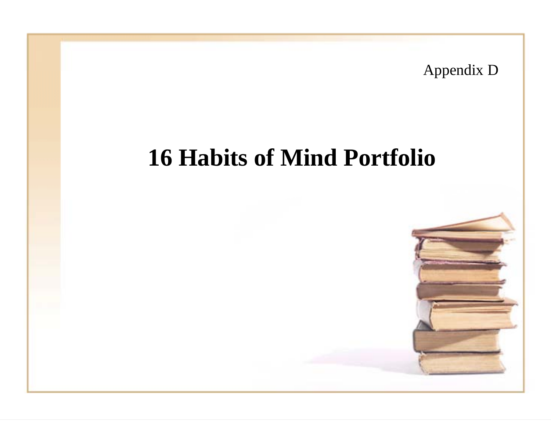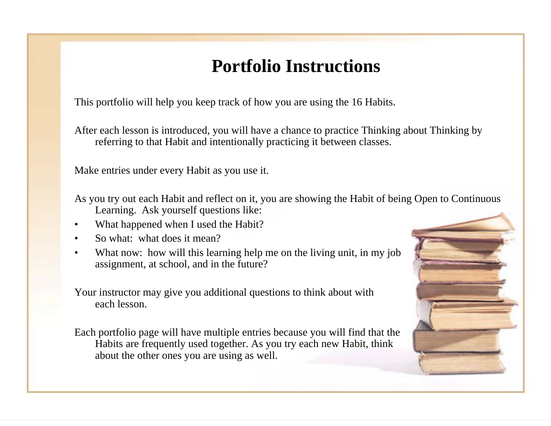# **Portfolio Instructions**

This portfolio will help you keep track of how you are using the 16 Habits.

After each lesson is introduced, you will have a chance to practice Thinking about Thinking by referring to that Habit and intentionally practicing it between classes.

Make entries under every Habit as you use it.

As you try out each Habit and reflect on it, you are showing the Habit of being Open to Continuous Learning. Ask yourself questions like:

- •What happened when I used the Habit?
- •So what: what does it mean?
- •What now: how will this learning help me on the living unit, in my job assignment, at school, and in the future?

Your instructor may give you additional questions to think about with each lesson.

Each portfolio page will have multiple entries because you will find that the Habits are frequently used together. As you try each new Habit, think about the other ones you are using as well.

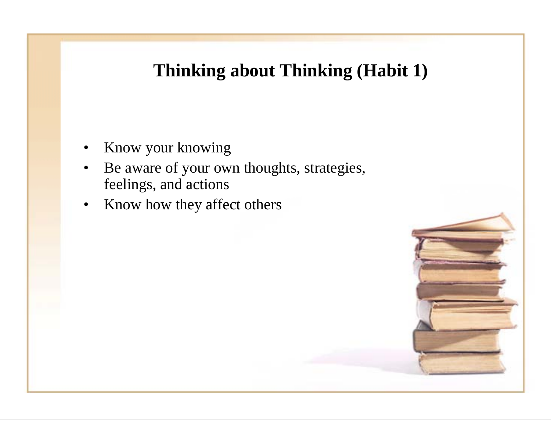## **Thinking about Thinking (Habit 1)**

- •Know your knowing
- • Be aware of your own thoughts, strategies, feelings, and actions
- •Know how they affect others

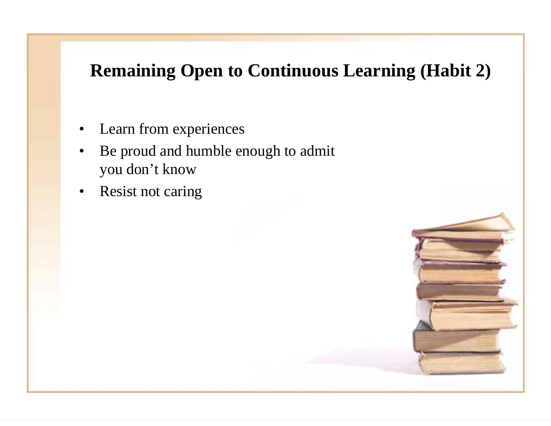# **Remaining Open to Continuous Learning (Habit 2)**

- $\bullet$ Learn from experiences
- • Be proud and humble enough to admit you don't know
- •Resist not caring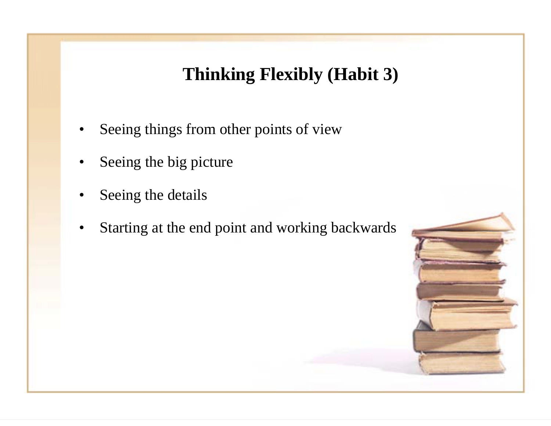## **Thinking Flexibly (Habit 3)**

- •Seeing things from other points of view
- •Seeing the big picture
- •Seeing the details
- •Starting at the end point and working backwards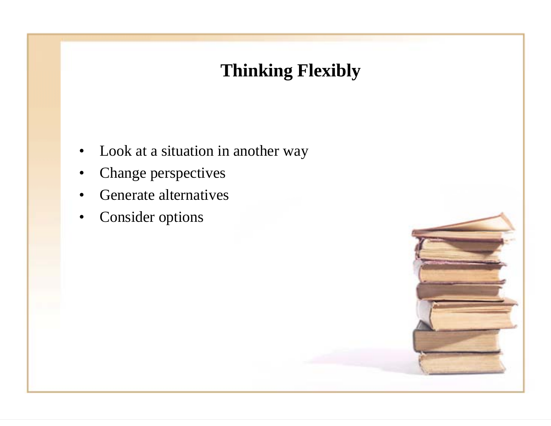# **Thinking Flexibly**

- $\bullet$ Look at a situation in another way
- •Change perspectives
- •Generate alternatives
- •Consider options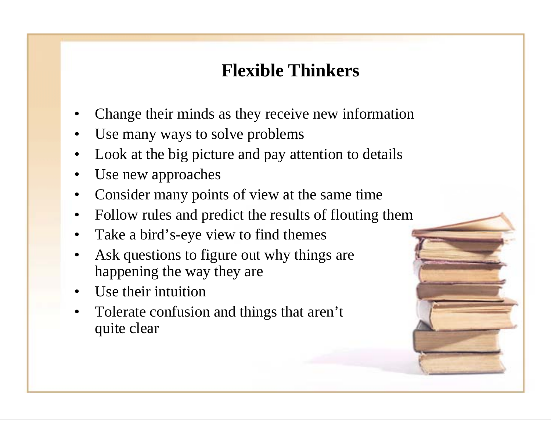## **Flexible Thinkers**

- •Change their minds as they receive new information
- •Use many ways to solve problems
- •Look at the big picture and pay attention to details
- •Use new approaches
- •Consider many points of view at the same time
- •Follow rules and predict the results of flouting them
- •Take a bird's-eye view to find themes
- • Ask questions to figure out why things are happening the way they are
- •Use their intuition
- • Tolerate confusion and things that aren't quite clear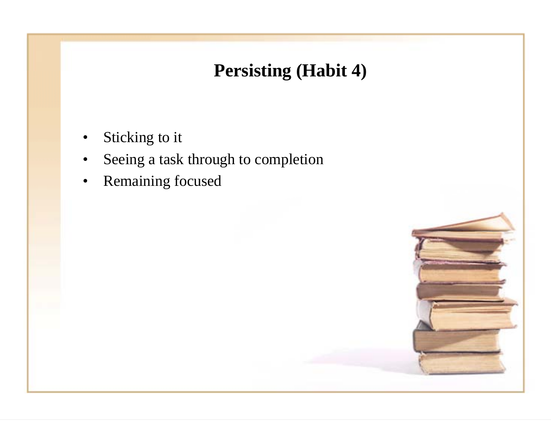# **Persisting (Habit 4)**

- •Sticking to it
- •Seeing a task through to completion
- •Remaining focused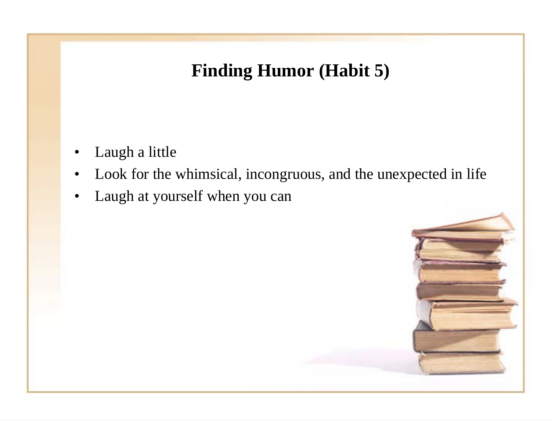## **Finding Humor (Habit 5)**

- •Laugh a little
- •Look for the whimsical, incongruous, and the unexpected in life
- •Laugh at yourself when you can

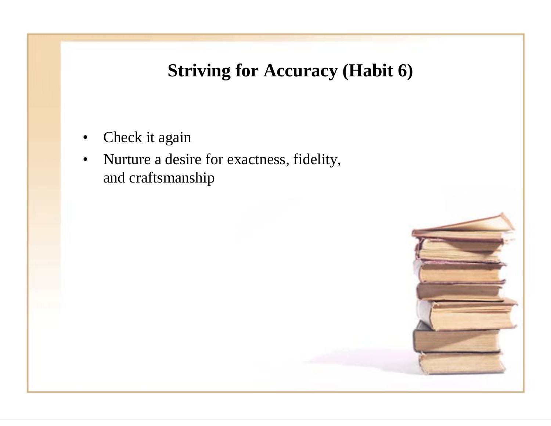#### **Striving for Accuracy (Habit 6)**

- •Check it again
- • Nurture a desire for exactness, fidelity, and craftsmanship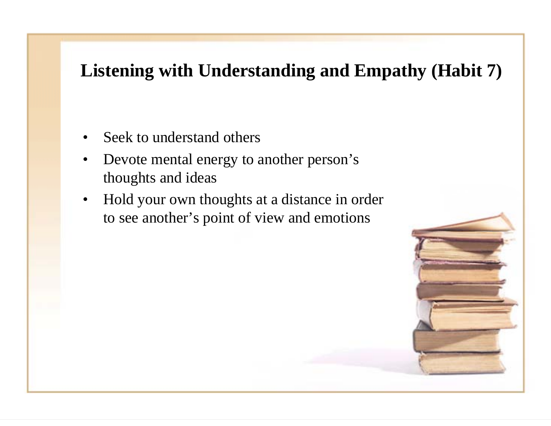#### **Listening with Understanding and Empathy (Habit 7)**

- •Seek to understand others
- • Devote mental energy to another person's thoughts and ideas
- • Hold your own thoughts at a distance in order to see another's point of view and emotions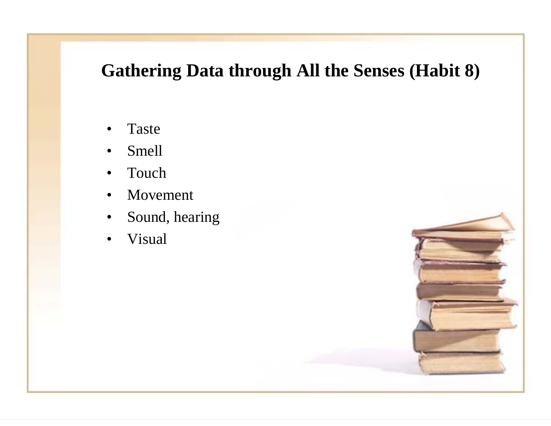#### **Gathering Data through All the Senses (Habit 8)**

- •Taste
- •Smell
- •Touch
- •Movement
- •Sound, hearing
- •Visual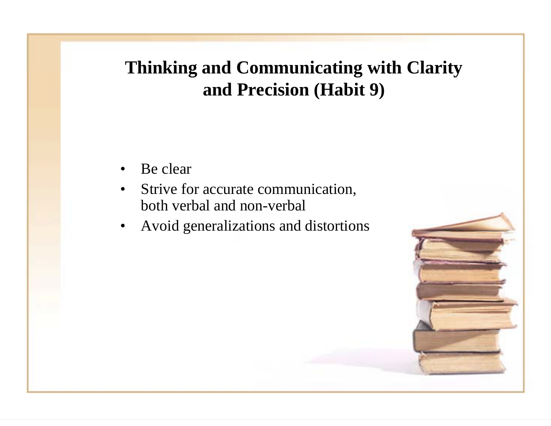# **Thinking and Communicating with Clarity and Precision (Habit 9)**

- •Be clear
- • Strive for accurate communication, both verbal and non-verbal
- •Avoid generalizations and distortions

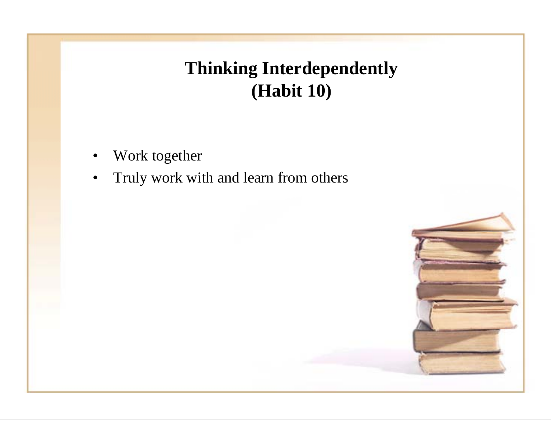# **Thinking Interdependently (Habit 10)**

- •Work together
- $\bullet$ Truly work with and learn from others

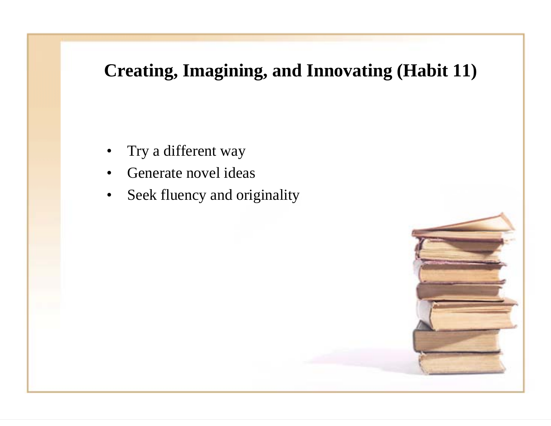### **Creating, Imagining, and Innovating (Habit 11)**

- •Try a different way
- •Generate novel ideas
- •Seek fluency and originality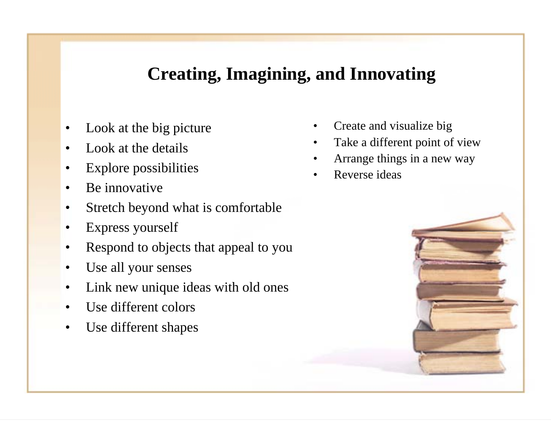#### **Creating, Imagining, and Innovating**

- •Look at the big picture
- •Look at the details
- •Explore possibilities
- •Be innovative
- •Stretch beyond what is comfortable
- •Express yourself
- •Respond to objects that appeal to you
- •Use all your senses
- •Link new unique ideas with old ones
- •Use different colors
- •Use different shapes
- •Create and visualize big
- •Take a different point of view
- •Arrange things in a new way
- •Reverse ideas

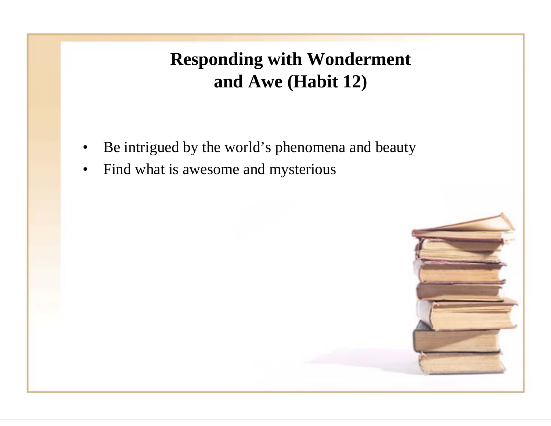**Responding with Wonderment and Awe (Habit 12)**

- •Be intrigued by the world's phenomena and beauty
- •Find what is awesome and mysterious

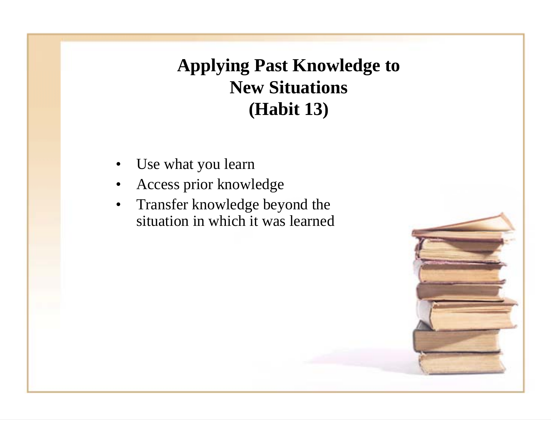# **Applying Past Knowledge to New Situations (Habit 13)**

- •Use what you learn
- •Access prior knowledge
- • Transfer knowledge beyond the situation in which it was learned

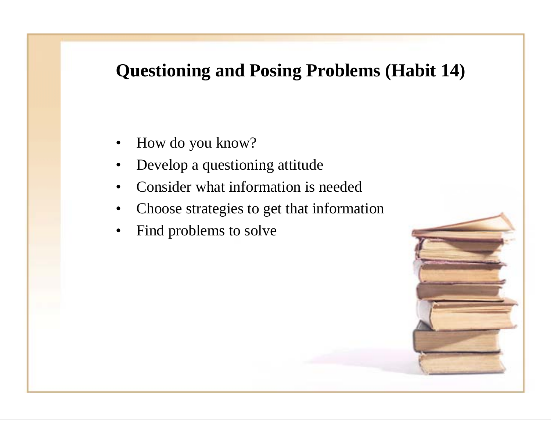#### **Questioning and Posing Problems (Habit 14)**

- •How do you know?
- •Develop a questioning attitude
- •Consider what information is needed
- •Choose strategies to get that information
- •Find problems to solve

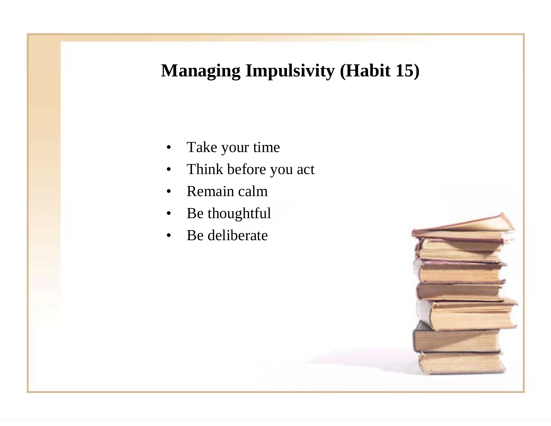## **Managing Impulsivity (Habit 15)**

- •Take your time
- $\bullet$ Think before you act
- •Remain calm
- •Be thoughtful
- •Be deliberate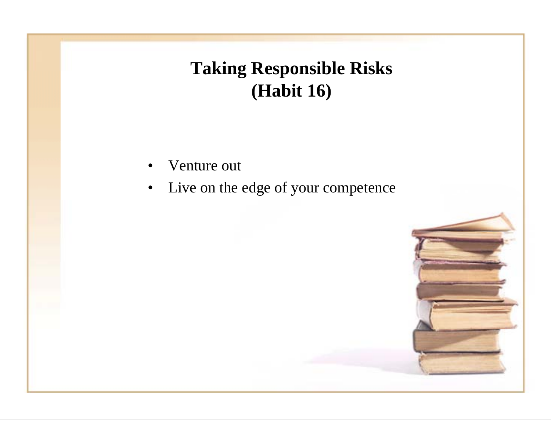# **Taking Responsible Risks (Habit 16)**

- •Venture out
- $\bullet$ Live on the edge of your competence